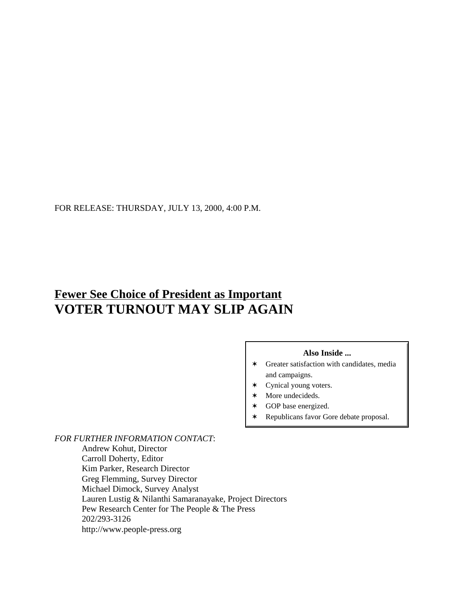FOR RELEASE: THURSDAY, JULY 13, 2000, 4:00 P.M.

# **Fewer See Choice of President as Important VOTER TURNOUT MAY SLIP AGAIN**

### **Also Inside ...**

- $\ast$  Greater satisfaction with candidates, media and campaigns.
- $\ast$  Cynical young voters.
- $*$  More undecideds.
- \* GOP base energized.
- \* Republicans favor Gore debate proposal.

*FOR FURTHER INFORMATION CONTACT*:

Andrew Kohut, Director Carroll Doherty, Editor Kim Parker, Research Director Greg Flemming, Survey Director Michael Dimock, Survey Analyst Lauren Lustig & Nilanthi Samaranayake, Project Directors Pew Research Center for The People & The Press 202/293-3126 http://www.people-press.org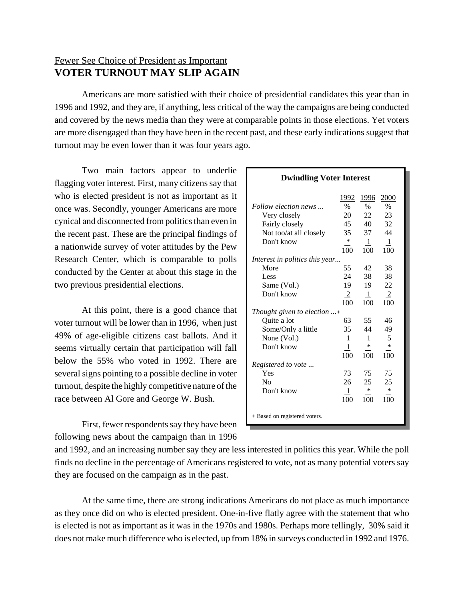# Fewer See Choice of President as Important **VOTER TURNOUT MAY SLIP AGAIN**

Americans are more satisfied with their choice of presidential candidates this year than in 1996 and 1992, and they are, if anything, less critical of the way the campaigns are being conducted and covered by the news media than they were at comparable points in those elections. Yet voters are more disengaged than they have been in the recent past, and these early indications suggest that turnout may be even lower than it was four years ago.

Two main factors appear to underlie flagging voter interest. First, many citizens say that who is elected president is not as important as it once was. Secondly, younger Americans are more cynical and disconnected from politics than even in the recent past. These are the principal findings of a nationwide survey of voter attitudes by the Pew Research Center, which is comparable to polls conducted by the Center at about this stage in the two previous presidential elections.

At this point, there is a good chance that voter turnout will be lower than in 1996, when just 49% of age-eligible citizens cast ballots. And it seems virtually certain that participation will fall below the 55% who voted in 1992. There are several signs pointing to a possible decline in voter turnout, despite the highly competitive nature of the race between Al Gore and George W. Bush.

First, fewer respondents say they have been following news about the campaign than in 1996

|                                | 1992           | 1996         | 2000           |
|--------------------------------|----------------|--------------|----------------|
| Follow election news           | %              | $\%$         | $\%$           |
| Very closely                   | 20             | 22           | 23             |
| Fairly closely                 | 45             | 40           | 32             |
| Not too/at all closely         | 35             | 37           | 44             |
| Don't know                     | $\ast$         | $\mathbf{1}$ | -1             |
|                                | 100            | 100          | 100            |
| Interest in politics this year |                |              |                |
| More                           | 55             | 42           | 38             |
| Less                           | 24             | 38           | 38             |
| Same (Vol.)                    | 19             | 19           | 22             |
| Don't know                     | $\overline{2}$ | $\mathbf{1}$ | $\overline{2}$ |
|                                | 100            | 100          | 100            |
| Thought given to election +    |                |              |                |
| Quite a lot                    | 63             | 55           | 46             |
| Some/Only a little             | 35             | 44           | 49             |
| None $(Vol.)$                  | 1              | $\mathbf{1}$ | 5              |
| Don't know                     | -1             | $\ast$       | *              |
|                                | 100            | 100          | 100            |
| Registered to vote             |                |              |                |
| Yes                            | 73             | 75           | 75             |
| No                             | 26             | 25           | 25             |
| Don't know                     | -1             | $\ast$       | *              |
|                                | 100            | 100          | 100            |
|                                |                |              |                |
| + Based on registered voters.  |                |              |                |

**Dwindling Voter Interest**

and 1992, and an increasing number say they are less interested in politics this year. While the poll finds no decline in the percentage of Americans registered to vote, not as many potential voters say they are focused on the campaign as in the past.

At the same time, there are strong indications Americans do not place as much importance as they once did on who is elected president. One-in-five flatly agree with the statement that who is elected is not as important as it was in the 1970s and 1980s. Perhaps more tellingly, 30% said it does not make much difference who is elected, up from 18% in surveys conducted in 1992 and 1976.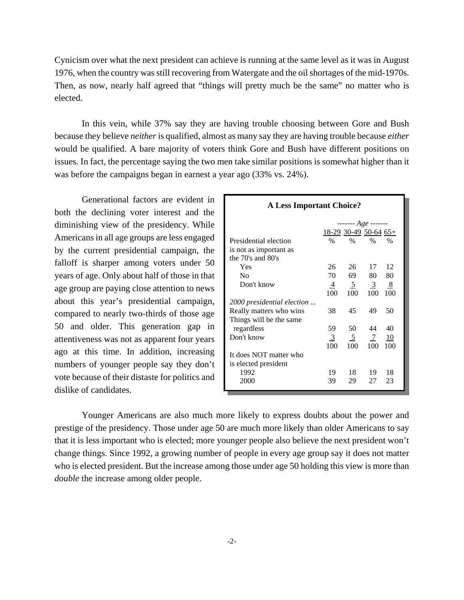Cynicism over what the next president can achieve is running at the same level as it was in August 1976, when the country was still recovering from Watergate and the oil shortages of the mid-1970s. Then, as now, nearly half agreed that "things will pretty much be the same" no matter who is elected.

In this vein, while 37% say they are having trouble choosing between Gore and Bush because they believe *neither* is qualified, almost as many say they are having trouble because *either* would be qualified. A bare majority of voters think Gore and Bush have different positions on issues. In fact, the percentage saying the two men take similar positions is somewhat higher than it was before the campaigns began in earnest a year ago (33% vs. 24%).

Generational factors are evident in both the declining voter interest and the diminishing view of the presidency. While Americans in all age groups are less engaged by the current presidential campaign, the falloff is sharper among voters under 50 years of age. Only about half of those in that age group are paying close attention to news about this year's presidential campaign, compared to nearly two-thirds of those age 50 and older. This generation gap in attentiveness was not as apparent four years ago at this time. In addition, increasing numbers of younger people say they don't vote because of their distaste for politics and dislike of candidates.

| <b>A Less Important Choice?</b> |                         |                |                |               |  |  |
|---------------------------------|-------------------------|----------------|----------------|---------------|--|--|
|                                 |                         |                |                |               |  |  |
|                                 | $18-29$ 30-49 50-64 65+ |                |                |               |  |  |
| Presidential election           | $\%$                    | $\%$           | $\frac{0}{0}$  | $\frac{0}{0}$ |  |  |
| is not as important as          |                         |                |                |               |  |  |
| the 70's and 80's               |                         |                |                |               |  |  |
| Yes                             | 26                      | 26             | 17             | 12            |  |  |
| N <sub>0</sub>                  | 70                      | 69             | 80             | 80            |  |  |
| Don't know                      | $\overline{4}$          | $\overline{2}$ | $\frac{3}{2}$  | 8             |  |  |
|                                 | 100                     | 100            | 100            | 100           |  |  |
| 2000 presidential election      |                         |                |                |               |  |  |
| Really matters who wins         | 38                      | 45             | 49             | 50            |  |  |
| Things will be the same         |                         |                |                |               |  |  |
| regardless                      | 59                      | 50             | 44             | 40            |  |  |
| Don't know                      | $\overline{3}$          | $\overline{2}$ | $\overline{1}$ | <u>10</u>     |  |  |
|                                 | 100                     | 100            | 100            | 100           |  |  |
| It does NOT matter who          |                         |                |                |               |  |  |
| is elected president            |                         |                |                |               |  |  |
| 1992                            | 19                      | 18             | 19             | 18            |  |  |
| 2000                            | 39                      | 29             | 27             | 23            |  |  |
|                                 |                         |                |                |               |  |  |

Younger Americans are also much more likely to express doubts about the power and prestige of the presidency. Those under age 50 are much more likely than older Americans to say that it is less important who is elected; more younger people also believe the next president won't change things. Since 1992, a growing number of people in every age group say it does not matter who is elected president. But the increase among those under age 50 holding this view is more than *double* the increase among older people.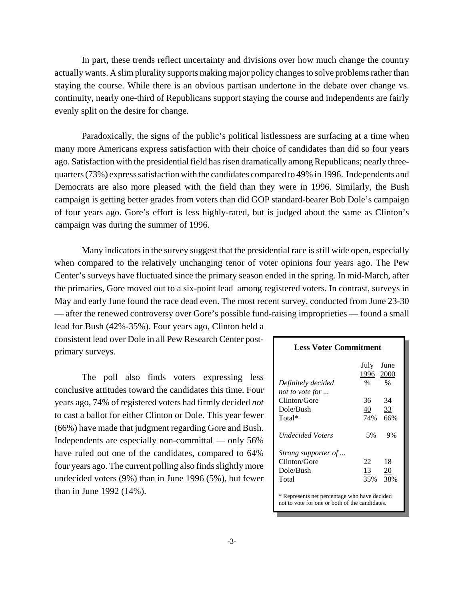In part, these trends reflect uncertainty and divisions over how much change the country actually wants. A slim plurality supports making major policy changes to solve problems rather than staying the course. While there is an obvious partisan undertone in the debate over change vs. continuity, nearly one-third of Republicans support staying the course and independents are fairly evenly split on the desire for change.

Paradoxically, the signs of the public's political listlessness are surfacing at a time when many more Americans express satisfaction with their choice of candidates than did so four years ago. Satisfaction with the presidential field has risen dramatically among Republicans; nearly threequarters (73%) express satisfaction with the candidates compared to 49% in 1996. Independents and Democrats are also more pleased with the field than they were in 1996. Similarly, the Bush campaign is getting better grades from voters than did GOP standard-bearer Bob Dole's campaign of four years ago. Gore's effort is less highly-rated, but is judged about the same as Clinton's campaign was during the summer of 1996.

Many indicators in the survey suggest that the presidential race is still wide open, especially when compared to the relatively unchanging tenor of voter opinions four years ago. The Pew Center's surveys have fluctuated since the primary season ended in the spring. In mid-March, after the primaries, Gore moved out to a six-point lead among registered voters. In contrast, surveys in May and early June found the race dead even. The most recent survey, conducted from June 23-30 — after the renewed controversy over Gore's possible fund-raising improprieties — found a small

lead for Bush (42%-35%). Four years ago, Clinton held a consistent lead over Dole in all Pew Research Center postprimary surveys.

The poll also finds voters expressing less conclusive attitudes toward the candidates this time. Four years ago, 74% of registered voters had firmly decided *not* to cast a ballot for either Clinton or Dole. This year fewer (66%) have made that judgment regarding Gore and Bush. Independents are especially non-committal — only 56% have ruled out one of the candidates, compared to 64% four years ago. The current polling also finds slightly more undecided voters (9%) than in June 1996 (5%), but fewer than in June 1992 (14%).

# **Less Voter Commitment**  July June 1996 2000 *Definitely decided* %% *not to vote for ...* Clinton/Gore 36 34 Dole/Bush 40 33 Total\* 74% 66% *Undecided Voters* 5% 9% *Strong supporter of ...* Clinton/Gore 22 18 Dole/Bush 13 20 Total 35% 38% \* Represents net percentage who have decided not to vote for one or both of the candidates.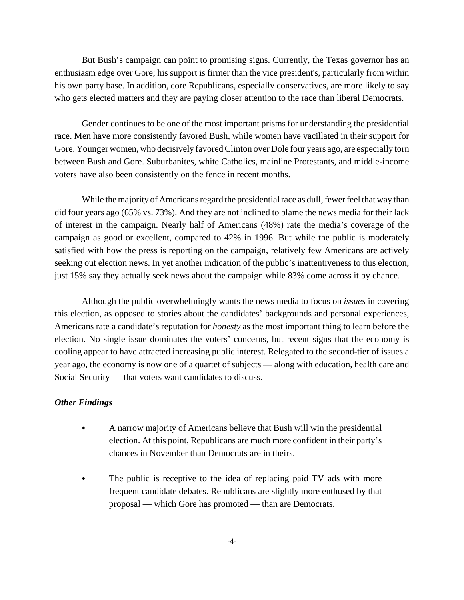But Bush's campaign can point to promising signs. Currently, the Texas governor has an enthusiasm edge over Gore; his support is firmer than the vice president's, particularly from within his own party base. In addition, core Republicans, especially conservatives, are more likely to say who gets elected matters and they are paying closer attention to the race than liberal Democrats.

Gender continues to be one of the most important prisms for understanding the presidential race. Men have more consistently favored Bush, while women have vacillated in their support for Gore. Younger women, who decisively favored Clinton over Dole four years ago, are especially torn between Bush and Gore. Suburbanites, white Catholics, mainline Protestants, and middle-income voters have also been consistently on the fence in recent months.

While the majority of Americans regard the presidential race as dull, fewer feel that way than did four years ago (65% vs. 73%). And they are not inclined to blame the news media for their lack of interest in the campaign. Nearly half of Americans (48%) rate the media's coverage of the campaign as good or excellent, compared to 42% in 1996. But while the public is moderately satisfied with how the press is reporting on the campaign, relatively few Americans are actively seeking out election news. In yet another indication of the public's inattentiveness to this election, just 15% say they actually seek news about the campaign while 83% come across it by chance.

Although the public overwhelmingly wants the news media to focus on *issues* in covering this election, as opposed to stories about the candidates' backgrounds and personal experiences, Americans rate a candidate's reputation for *honesty* as the most important thing to learn before the election. No single issue dominates the voters' concerns, but recent signs that the economy is cooling appear to have attracted increasing public interest. Relegated to the second-tier of issues a year ago, the economy is now one of a quartet of subjects — along with education, health care and Social Security — that voters want candidates to discuss.

# *Other Findings*

- A narrow majority of Americans believe that Bush will win the presidential election. At this point, Republicans are much more confident in their party's chances in November than Democrats are in theirs.
- The public is receptive to the idea of replacing paid TV ads with more frequent candidate debates. Republicans are slightly more enthused by that proposal — which Gore has promoted — than are Democrats.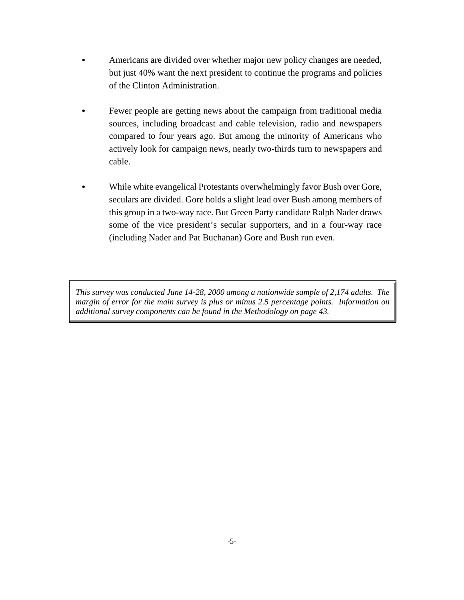- Americans are divided over whether major new policy changes are needed, but just 40% want the next president to continue the programs and policies of the Clinton Administration.
- Fewer people are getting news about the campaign from traditional media sources, including broadcast and cable television, radio and newspapers compared to four years ago. But among the minority of Americans who actively look for campaign news, nearly two-thirds turn to newspapers and cable.
- While white evangelical Protestants overwhelmingly favor Bush over Gore, seculars are divided. Gore holds a slight lead over Bush among members of this group in a two-way race. But Green Party candidate Ralph Nader draws some of the vice president's secular supporters, and in a four-way race (including Nader and Pat Buchanan) Gore and Bush run even.

*This survey was conducted June 14-28, 2000 among a nationwide sample of 2,174 adults. The margin of error for the main survey is plus or minus 2.5 percentage points. Information on additional survey components can be found in the Methodology on page 43.*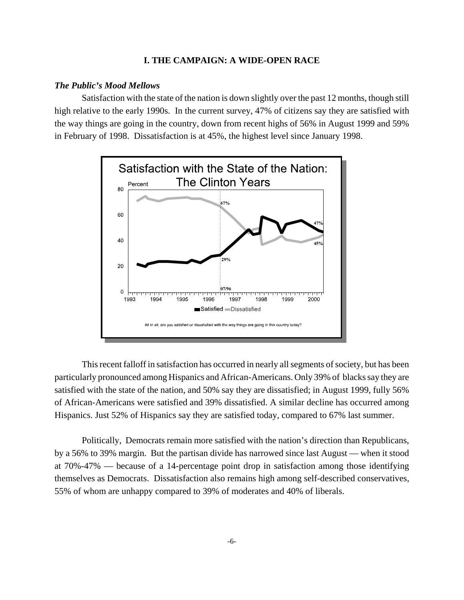### **I. THE CAMPAIGN: A WIDE-OPEN RACE**

### *The Public's Mood Mellows*

Satisfaction with the state of the nation is down slightly over the past 12 months, though still high relative to the early 1990s. In the current survey, 47% of citizens say they are satisfied with the way things are going in the country, down from recent highs of 56% in August 1999 and 59% in February of 1998. Dissatisfaction is at 45%, the highest level since January 1998.



This recent falloff in satisfaction has occurred in nearly all segments of society, but has been particularly pronounced among Hispanics and African-Americans. Only 39% of blacks say they are satisfied with the state of the nation, and 50% say they are dissatisfied; in August 1999, fully 56% of African-Americans were satisfied and 39% dissatisfied. A similar decline has occurred among Hispanics. Just 52% of Hispanics say they are satisfied today, compared to 67% last summer.

Politically, Democrats remain more satisfied with the nation's direction than Republicans, by a 56% to 39% margin. But the partisan divide has narrowed since last August — when it stood at 70%-47% — because of a 14-percentage point drop in satisfaction among those identifying themselves as Democrats. Dissatisfaction also remains high among self-described conservatives, 55% of whom are unhappy compared to 39% of moderates and 40% of liberals.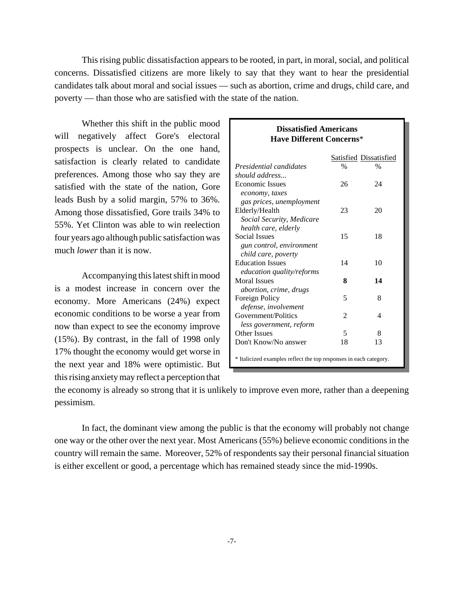This rising public dissatisfaction appears to be rooted, in part, in moral, social, and political concerns. Dissatisfied citizens are more likely to say that they want to hear the presidential candidates talk about moral and social issues — such as abortion, crime and drugs, child care, and poverty — than those who are satisfied with the state of the nation.

Whether this shift in the public mood will negatively affect Gore's electoral prospects is unclear. On the one hand, satisfaction is clearly related to candidate preferences. Among those who say they are satisfied with the state of the nation, Gore leads Bush by a solid margin, 57% to 36%. Among those dissatisfied, Gore trails 34% to 55%. Yet Clinton was able to win reelection four years ago although public satisfaction was much *lower* than it is now.

Accompanying this latest shift in mood is a modest increase in concern over the economy. More Americans (24%) expect economic conditions to be worse a year from now than expect to see the economy improve (15%). By contrast, in the fall of 1998 only 17% thought the economy would get worse in the next year and 18% were optimistic. But this rising anxiety may reflect a perception that

## **Have Different Concerns**\* Satisfied Dissatisfied *Presidential candidates* % % *should address...* Economic Issues 26 24  *economy, taxes gas prices, unemployment* Elderly/Health 23 20 *Social Security, Medicare health care, elderly* Social Issues 15 18  *gun control, environment child care, poverty* Education Issues 14 10  *education quality/reforms* Moral Issues 8 14  *abortion, crime, drugs* Foreign Policy 5 8  *defense, involvement* Government/Politics 2 4  *less government, reform* Other Issues 5 8 Don't Know/No answer 18 13 \* Italicized examples reflect the top responses in each category.

**Dissatisfied Americans**

the economy is already so strong that it is unlikely to improve even more, rather than a deepening

pessimism.

In fact, the dominant view among the public is that the economy will probably not change one way or the other over the next year. Most Americans (55%) believe economic conditions in the country will remain the same. Moreover, 52% of respondents say their personal financial situation is either excellent or good, a percentage which has remained steady since the mid-1990s.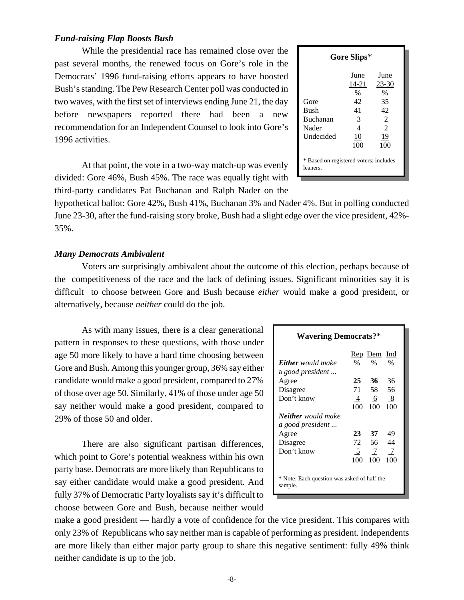# *Fund-raising Flap Boosts Bush*

While the presidential race has remained close over the past several months, the renewed focus on Gore's role in the Democrats' 1996 fund-raising efforts appears to have boosted Bush's standing. The Pew Research Center poll was conducted in two waves, with the first set of interviews ending June 21, the day before newspapers reported there had been a new recommendation for an Independent Counsel to look into Gore's 1996 activities.

| Gore Slips*                                        |                             |                             |  |  |  |  |
|----------------------------------------------------|-----------------------------|-----------------------------|--|--|--|--|
| Gore                                               | June<br>14-21<br>$\%$<br>42 | June<br>23-30<br>$\%$<br>35 |  |  |  |  |
| Bush<br>Buchanan                                   | 41<br>3                     | 42<br>$\mathcal{L}$         |  |  |  |  |
| Nader                                              | 4                           | $\mathfrak{D}$              |  |  |  |  |
| Undecided                                          | 10<br>100                   | 19<br>100                   |  |  |  |  |
| * Based on registered voters; includes<br>leaners. |                             |                             |  |  |  |  |

At that point, the vote in a two-way match-up was evenly divided: Gore 46%, Bush 45%. The race was equally tight with third-party candidates Pat Buchanan and Ralph Nader on the

hypothetical ballot: Gore 42%, Bush 41%, Buchanan 3% and Nader 4%. But in polling conducted June 23-30, after the fund-raising story broke, Bush had a slight edge over the vice president, 42%- 35%.

### *Many Democrats Ambivalent*

Voters are surprisingly ambivalent about the outcome of this election, perhaps because of the competitiveness of the race and the lack of defining issues. Significant minorities say it is difficult to choose between Gore and Bush because *either* would make a good president, or alternatively, because *neither* could do the job.

As with many issues, there is a clear generational  $\Box$ pattern in responses to these questions, with those under age 50 more likely to have a hard time choosing between Gore and Bush. Among this younger group, 36% say either candidate would make a good president, compared to 27% of those over age 50. Similarly, 41% of those under age 50 say neither would make a good president, compared to 29% of those 50 and older.

There are also significant partisan differences, which point to Gore's potential weakness within his own party base. Democrats are more likely than Republicans to say either candidate would make a good president. And fully 37% of Democratic Party loyalists say it's difficult to choose between Gore and Bush, because neither would

| <b>Wavering Democrats?*</b>                            |                |                 |               |  |  |
|--------------------------------------------------------|----------------|-----------------|---------------|--|--|
|                                                        |                | Rep Dem         | Ind           |  |  |
| <b>Either</b> would make                               | $\frac{0}{0}$  | $\%$            | $\frac{0}{0}$ |  |  |
| a good president                                       |                |                 |               |  |  |
| Agree                                                  | 25             | 36              | 36            |  |  |
| Disagree                                               | 71             | 58              | 56            |  |  |
| Don't know                                             | 4              | 6               | 8             |  |  |
|                                                        | 100            | 100             | 100           |  |  |
| <b>Neither</b> would make                              |                |                 |               |  |  |
| a good president                                       |                |                 |               |  |  |
| Agree                                                  | 23             | 37              | 49            |  |  |
| Disagree                                               | 72             | 56              | 44            |  |  |
| Don't know                                             | 5 <sup>5</sup> | $7\phantom{.0}$ | 7             |  |  |
|                                                        | 100            | 100             | 100           |  |  |
| * Note: Each question was asked of half the<br>sample. |                |                 |               |  |  |

make a good president — hardly a vote of confidence for the vice president. This compares with only 23% of Republicans who say neither man is capable of performing as president. Independents are more likely than either major party group to share this negative sentiment: fully 49% think neither candidate is up to the job.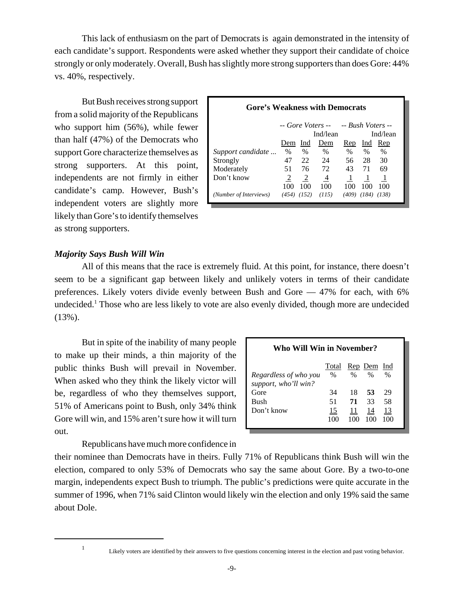This lack of enthusiasm on the part of Democrats is again demonstrated in the intensity of each candidate's support. Respondents were asked whether they support their candidate of choice strongly or only moderately. Overall, Bush has slightly more strong supporters than does Gore: 44% vs. 40%, respectively.

But Bush receives strong support from a solid majority of the Republicans who support him (56%), while fewer than half (47%) of the Democrats who support Gore characterize themselves as strong supporters. At this point, independents are not firmly in either candidate's camp. However, Bush's independent voters are slightly more likely than Gore's to identify themselves as strong supporters.

| Gore's Weakness with Democrats           |                      |       |       |       |       |       |
|------------------------------------------|----------------------|-------|-------|-------|-------|-------|
| -- Gore Voters --      -- Bush Voters -- |                      |       |       |       |       |       |
|                                          | Ind/lean<br>Ind/lean |       |       |       |       |       |
|                                          | Dem                  | Ind   | Dem   | Rep   | Ind   | Rep   |
| Support candidate                        | $\%$                 | $\%$  | $\%$  | $\%$  | $\%$  | $\%$  |
| Strongly                                 | 47                   | 22    | 24    | 56    | 28    | 30    |
| Moderately                               | 51                   | 76    | 72    | 43    | 71    | 69    |
| Don't know                               |                      | 2     | 4     |       |       |       |
|                                          | 100                  | 100   | 100   | 100   | 100   | 100   |
| (Number of Interviews)                   | (454)                | (152) | (115) | (409) | (184) | (138) |

# *Majority Says Bush Will Win*

All of this means that the race is extremely fluid. At this point, for instance, there doesn't seem to be a significant gap between likely and unlikely voters in terms of their candidate preferences. Likely voters divide evenly between Bush and Gore — 47% for each, with 6% undecided.<sup>1</sup> Those who are less likely to vote are also evenly divided, though more are undecided (13%).

But in spite of the inability of many people to make up their minds, a thin majority of the public thinks Bush will prevail in November. When asked who they think the likely victor will be, regardless of who they themselves support, 51% of Americans point to Bush, only 34% think Gore will win, and 15% aren't sure how it will turn out.

Republicans have much more confidence in

| Who Will Win in November?                                                                             |                       |                       |                       |                       |  |
|-------------------------------------------------------------------------------------------------------|-----------------------|-----------------------|-----------------------|-----------------------|--|
| Rep Dem Ind<br>Total<br>$\%$<br>$\%$<br>$\%$<br>$\%$<br>Regardless of who you<br>support, who'll win? |                       |                       |                       |                       |  |
| Gore<br>Bush<br>Don't know                                                                            | 34<br>51<br>15<br>100 | 18<br>71<br>11<br>100 | 53<br>33<br>14<br>100 | 29<br>58<br>13<br>100 |  |

their nominee than Democrats have in theirs. Fully 71% of Republicans think Bush will win the election, compared to only 53% of Democrats who say the same about Gore. By a two-to-one margin, independents expect Bush to triumph. The public's predictions were quite accurate in the summer of 1996, when 71% said Clinton would likely win the election and only 19% said the same about Dole.

<sup>1</sup> Likely voters are identified by their answers to five questions concerning interest in the election and past voting behavior.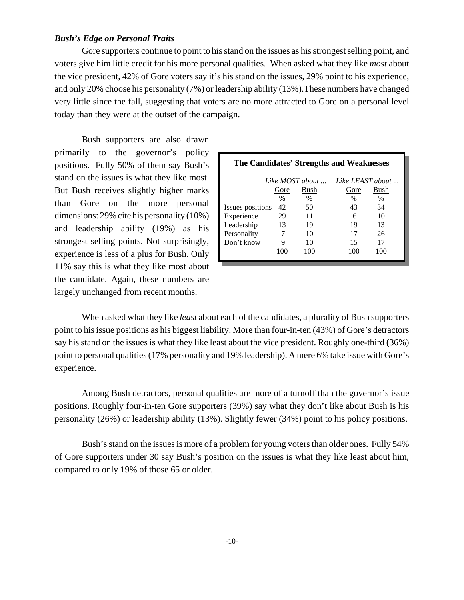### *Bush's Edge on Personal Traits*

Gore supporters continue to point to his stand on the issues as his strongest selling point, and voters give him little credit for his more personal qualities. When asked what they like *most* about the vice president, 42% of Gore voters say it's his stand on the issues, 29% point to his experience, and only 20% choose his personality (7%) or leadership ability (13%).These numbers have changed very little since the fall, suggesting that voters are no more attracted to Gore on a personal level today than they were at the outset of the campaign.

Bush supporters are also drawn primarily to the governor's policy positions. Fully 50% of them say Bush's stand on the issues is what they like most. But Bush receives slightly higher marks than Gore on the more personal dimensions: 29% cite his personality (10%) and leadership ability (19%) as his strongest selling points. Not surprisingly, experience is less of a plus for Bush. Only 11% say this is what they like most about the candidate. Again, these numbers are largely unchanged from recent months.

| The Candidates' Strengths and Weaknesses |      |                          |                  |      |  |  |
|------------------------------------------|------|--------------------------|------------------|------|--|--|
|                                          |      | Like MOST about $\ldots$ | Like LEAST about |      |  |  |
|                                          | Gore | Bush                     | Gore             | Bush |  |  |
|                                          | $\%$ | $\%$                     | $\frac{0}{0}$    | $\%$ |  |  |
| Issues positions                         | 42   | 50                       | 43               | 34   |  |  |
| Experience                               | 29   | 11                       | 6                | 10   |  |  |
| Leadership                               | 13   | 19                       | 19               | 13   |  |  |
| Personality                              |      | 10                       | 17               | 26   |  |  |
| Don't know                               | 9    | 10                       | 15               | 17   |  |  |
|                                          | 100  | 100                      | 100              | 100  |  |  |

When asked what they like *least* about each of the candidates, a plurality of Bush supporters point to his issue positions as his biggest liability. More than four-in-ten (43%) of Gore's detractors say his stand on the issues is what they like least about the vice president. Roughly one-third (36%) point to personal qualities (17% personality and 19% leadership). A mere 6% take issue with Gore's experience.

Among Bush detractors, personal qualities are more of a turnoff than the governor's issue positions. Roughly four-in-ten Gore supporters (39%) say what they don't like about Bush is his personality (26%) or leadership ability (13%). Slightly fewer (34%) point to his policy positions.

Bush's stand on the issues is more of a problem for young voters than older ones. Fully 54% of Gore supporters under 30 say Bush's position on the issues is what they like least about him, compared to only 19% of those 65 or older.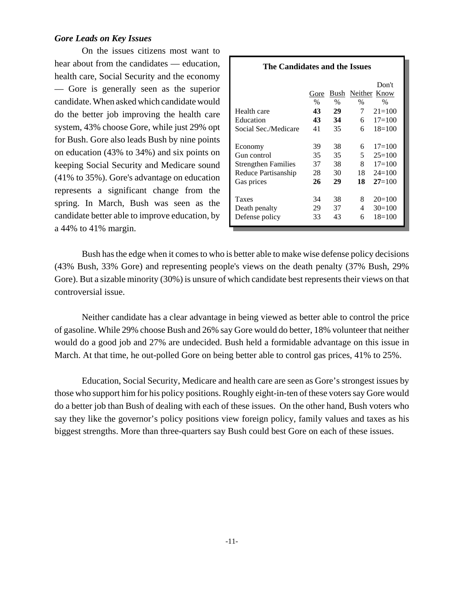## *Gore Leads on Key Issues*

On the issues citizens most want to hear about from the candidates — education, health care, Social Security and the economy — Gore is generally seen as the superior candidate. When asked which candidate would do the better job improving the health care system, 43% choose Gore, while just 29% opt for Bush. Gore also leads Bush by nine points on education (43% to 34%) and six points on keeping Social Security and Medicare sound (41% to 35%). Gore's advantage on education represents a significant change from the spring. In March, Bush was seen as the candidate better able to improve education, by a 44% to 41% margin.

| The Candidates and the Issues |               |      |                |              |  |
|-------------------------------|---------------|------|----------------|--------------|--|
|                               |               |      |                | Don't        |  |
|                               | Gore          | Bush |                | Neither Know |  |
|                               | $\frac{0}{0}$ | $\%$ | $\%$           | $\%$         |  |
| Health care                   | 43            | 29   | 7              | $21 = 100$   |  |
| Education                     | 43            | 34   | 6              | $17=100$     |  |
| Social Sec./Medicare          | 41            | 35   | 6              | $18=100$     |  |
| Economy                       | 39            | 38   | 6.             | $17=100$     |  |
| Gun control                   | 35            | 35   | 5 <sup>1</sup> | $25=100$     |  |
| <b>Strengthen Families</b>    | 37            | 38   | 8.             | $17=100$     |  |
| Reduce Partisanship           | 28            | 30   | 18             | $24 = 100$   |  |
| Gas prices                    | 26            | 29   | 18             | $27=100$     |  |
| <b>Taxes</b>                  | 34            | 38   | 8              | $20=100$     |  |
| Death penalty                 | 29            | 37   | 4              | $30=100$     |  |
| Defense policy                | 33            | 43   | 6              | $18=100$     |  |

Bush has the edge when it comes to who is better able to make wise defense policy decisions (43% Bush, 33% Gore) and representing people's views on the death penalty (37% Bush, 29% Gore). But a sizable minority (30%) is unsure of which candidate best represents their views on that controversial issue.

Neither candidate has a clear advantage in being viewed as better able to control the price of gasoline. While 29% choose Bush and 26% say Gore would do better, 18% volunteer that neither would do a good job and 27% are undecided. Bush held a formidable advantage on this issue in March. At that time, he out-polled Gore on being better able to control gas prices, 41% to 25%.

Education, Social Security, Medicare and health care are seen as Gore's strongest issues by those who support him for his policy positions. Roughly eight-in-ten of these voters say Gore would do a better job than Bush of dealing with each of these issues. On the other hand, Bush voters who say they like the governor's policy positions view foreign policy, family values and taxes as his biggest strengths. More than three-quarters say Bush could best Gore on each of these issues.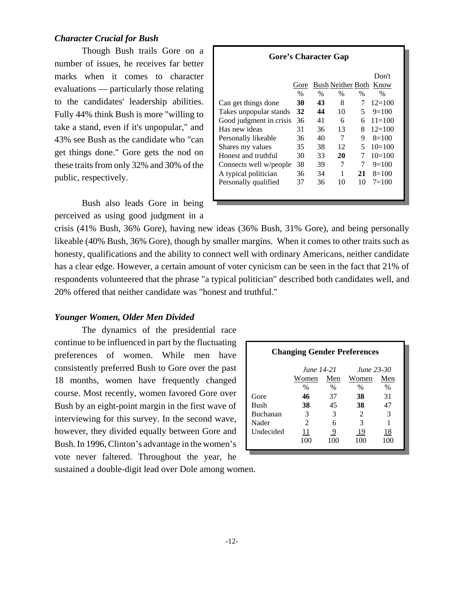## *Character Crucial for Bush*

Though Bush trails Gore on a number of issues, he receives far better marks when it comes to character evaluations — particularly those relating to the candidates' leadership abilities. Fully 44% think Bush is more "willing to take a stand, even if it's unpopular," and 43% see Bush as the candidate who "can get things done." Gore gets the nod on these traits from only 32% and 30% of the public, respectively.

Bush also leads Gore in being perceived as using good judgment in a

| <b>Gore's Character Gap</b> |               |      |      |               |                        |
|-----------------------------|---------------|------|------|---------------|------------------------|
|                             |               |      |      |               | Don't                  |
|                             | Gore          |      |      |               | Bush Neither Both Know |
|                             | $\frac{0}{6}$ | $\%$ | $\%$ | $\frac{0}{6}$ | $\%$                   |
| Can get things done         | 30            | 43   | 8    | 7             | $12=100$               |
| Takes unpopular stands      | 32            | 44   | 10   | 5.            | $9=100$                |
| Good judgment in crisis     | 36            | 41   | 6    | 6             | $11 = 100$             |
| Has new ideas               | 31            | 36   | 13   | 8             | $12=100$               |
| Personally likeable         | 36            | 40   | 7    | 9             | $8=100$                |
| Shares my values            | 35            | 38   | 12   | 5             | $10=100$               |
| Honest and truthful         | 30            | 33   | 20   | 7             | $10=100$               |
| Connects well w/people      | 38            | 39   | 7    | 7             | $9=100$                |
| A typical politician        | 36            | 34   | 1    | 21            | $8=100$                |
| Personally qualified        | 37            | 36   | 10   | 10            | $7=100$                |
|                             |               |      |      |               |                        |
|                             |               |      |      |               |                        |

crisis (41% Bush, 36% Gore), having new ideas (36% Bush, 31% Gore), and being personally likeable (40% Bush, 36% Gore), though by smaller margins. When it comes to other traits such as honesty, qualifications and the ability to connect well with ordinary Americans, neither candidate has a clear edge. However, a certain amount of voter cynicism can be seen in the fact that 21% of respondents volunteered that the phrase "a typical politician" described both candidates well, and 20% offered that neither candidate was "honest and truthful."

# *Younger Women, Older Men Divided*

The dynamics of the presidential race continue to be influenced in part by the fluctuating preferences of women. While men have consistently preferred Bush to Gore over the past 18 months, women have frequently changed course. Most recently, women favored Gore over Bush by an eight-point margin in the first wave of interviewing for this survey. In the second wave, however, they divided equally between Gore and Bush. In 1996, Clinton's advantage in the women's vote never faltered. Throughout the year, he

| <b>Changing Gender Preferences</b> |                |      |                |      |  |  |
|------------------------------------|----------------|------|----------------|------|--|--|
| June 14-21<br>June 23-30           |                |      |                |      |  |  |
|                                    | Women          | Men  | Women          | Men  |  |  |
|                                    | $\%$           | $\%$ | $\%$           | $\%$ |  |  |
| Gore                               | 46             | 37   | 38             | 31   |  |  |
| Bush                               | 38             | 45   | 38             | 47   |  |  |
| <b>Buchanan</b>                    | 3              | 3    | $\mathfrak{D}$ | 3    |  |  |
| Nader                              | $\mathfrak{D}$ | 6    | 3              |      |  |  |
| <b>Undecided</b>                   | 11             | 9    | 19             | 18   |  |  |
|                                    | 100            | 100  | 100            | 100  |  |  |

sustained a double-digit lead over Dole among women.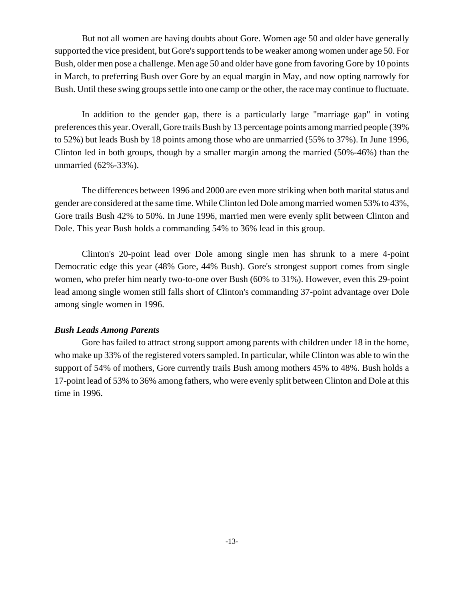But not all women are having doubts about Gore. Women age 50 and older have generally supported the vice president, but Gore's support tends to be weaker among women under age 50. For Bush, older men pose a challenge. Men age 50 and older have gone from favoring Gore by 10 points in March, to preferring Bush over Gore by an equal margin in May, and now opting narrowly for Bush. Until these swing groups settle into one camp or the other, the race may continue to fluctuate.

In addition to the gender gap, there is a particularly large "marriage gap" in voting preferences this year. Overall, Gore trails Bush by 13 percentage points among married people (39% to 52%) but leads Bush by 18 points among those who are unmarried (55% to 37%). In June 1996, Clinton led in both groups, though by a smaller margin among the married (50%-46%) than the unmarried (62%-33%).

The differences between 1996 and 2000 are even more striking when both marital status and gender are considered at the same time. While Clinton led Dole among married women 53% to 43%, Gore trails Bush 42% to 50%. In June 1996, married men were evenly split between Clinton and Dole. This year Bush holds a commanding 54% to 36% lead in this group.

Clinton's 20-point lead over Dole among single men has shrunk to a mere 4-point Democratic edge this year (48% Gore, 44% Bush). Gore's strongest support comes from single women, who prefer him nearly two-to-one over Bush (60% to 31%). However, even this 29-point lead among single women still falls short of Clinton's commanding 37-point advantage over Dole among single women in 1996.

### *Bush Leads Among Parents*

Gore has failed to attract strong support among parents with children under 18 in the home, who make up 33% of the registered voters sampled. In particular, while Clinton was able to win the support of 54% of mothers, Gore currently trails Bush among mothers 45% to 48%. Bush holds a 17-point lead of 53% to 36% among fathers, who were evenly split between Clinton and Dole at this time in 1996.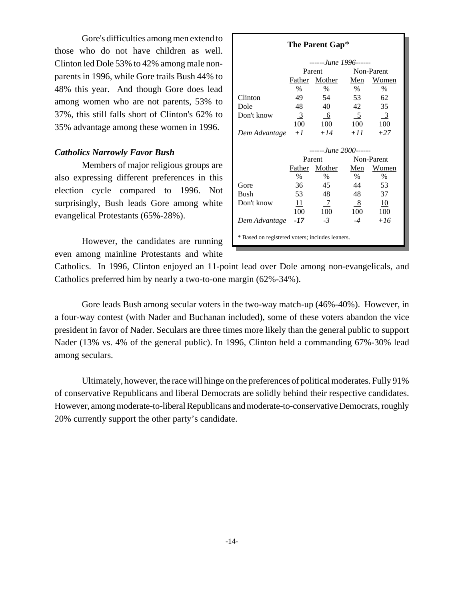Gore's difficulties among men extend to those who do not have children as well. Clinton led Dole 53% to 42% among male nonparents in 1996, while Gore trails Bush 44% to 48% this year. And though Gore does lead among women who are not parents, 53% to 37%, this still falls short of Clinton's 62% to 35% advantage among these women in 1996.

### *Catholics Narrowly Favor Bush*

Members of major religious groups are also expressing different preferences in this election cycle compared to 1996. Not surprisingly, Bush leads Gore among white evangelical Protestants (65%-28%).

However, the candidates are running even among mainline Protestants and white

| The Parent Gap*                                 |                       |                       |                |            |  |  |
|-------------------------------------------------|-----------------------|-----------------------|----------------|------------|--|--|
|                                                 | ------June 1996------ |                       |                |            |  |  |
|                                                 |                       | Parent                | Non-Parent     |            |  |  |
|                                                 |                       | Father Mother         | Men            | Women      |  |  |
|                                                 | $\%$                  | $\%$                  | $\%$           | $\%$       |  |  |
| Clinton                                         | 49                    | - 54                  | 53             | 62         |  |  |
| Dole                                            | 48                    | 40                    | 42             | 35         |  |  |
| Don't know                                      | 3                     | - 6                   | 5 <sup>5</sup> | 3          |  |  |
|                                                 | 100                   | 100                   | 100            | 100        |  |  |
| Dem Advantage $+1$                              |                       | $+14$                 | $+11$          | $+27$      |  |  |
|                                                 |                       |                       |                |            |  |  |
|                                                 |                       | ------June 2000------ |                |            |  |  |
|                                                 |                       | Parent                |                | Non-Parent |  |  |
|                                                 |                       | Father Mother         | Men            | Women      |  |  |
|                                                 | $\%$                  | $\%$                  | $\%$           | $\%$       |  |  |
| Gore                                            | 36                    | 45                    | 44             | 53         |  |  |
| <b>Bush</b>                                     | 53                    | 48                    | 48             | 37         |  |  |
| Don't know                                      | 11                    | 7                     | - 8            | 10         |  |  |
|                                                 | 100                   | 100                   | 100            | 100        |  |  |
| Dem Advantage -17                               |                       | $-3$                  | $-4$           | $+16$      |  |  |
| * Based on registered voters; includes leaners. |                       |                       |                |            |  |  |

Catholics. In 1996, Clinton enjoyed an 11-point lead over Dole among non-evangelicals, and Catholics preferred him by nearly a two-to-one margin (62%-34%).

Gore leads Bush among secular voters in the two-way match-up (46%-40%). However, in a four-way contest (with Nader and Buchanan included), some of these voters abandon the vice president in favor of Nader. Seculars are three times more likely than the general public to support Nader (13% vs. 4% of the general public). In 1996, Clinton held a commanding 67%-30% lead among seculars.

Ultimately, however, the race will hinge on the preferences of political moderates. Fully 91% of conservative Republicans and liberal Democrats are solidly behind their respective candidates. However, among moderate-to-liberal Republicans and moderate-to-conservative Democrats, roughly 20% currently support the other party's candidate.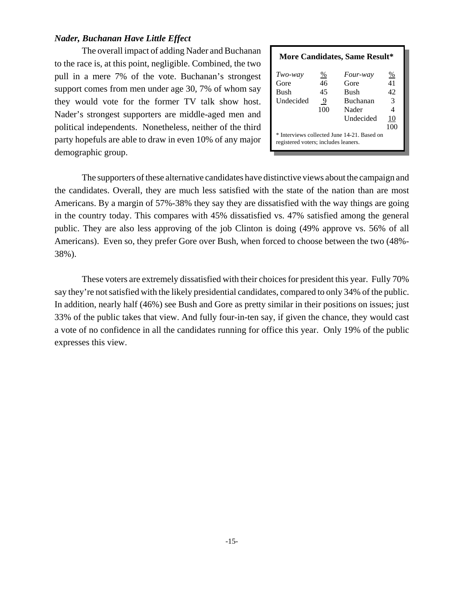## *Nader, Buchanan Have Little Effect*

The overall impact of adding Nader and Buchanan to the race is, at this point, negligible. Combined, the two pull in a mere 7% of the vote. Buchanan's strongest support comes from men under age 30, 7% of whom say they would vote for the former TV talk show host. Nader's strongest supporters are middle-aged men and political independents. Nonetheless, neither of the third party hopefuls are able to draw in even 10% of any major demographic group.

| <b>More Candidates, Same Result*</b> |                 |                                             |     |  |  |
|--------------------------------------|-----------------|---------------------------------------------|-----|--|--|
| Two-way                              | $\frac{\%}{\ }$ | Four-way                                    | %   |  |  |
| Gore                                 | 46              | Gore                                        | 41  |  |  |
| <b>Bush</b>                          | 45              | <b>Bush</b>                                 | 42  |  |  |
| Undecided                            | 9               | Buchanan                                    | 3   |  |  |
|                                      | 100             | Nader                                       |     |  |  |
|                                      |                 | Undecided                                   | 10  |  |  |
|                                      |                 |                                             | 100 |  |  |
| registered voters; includes leaners. |                 | * Interviews collected June 14-21. Based on |     |  |  |

The supporters of these alternative candidates have distinctive views about the campaign and the candidates. Overall, they are much less satisfied with the state of the nation than are most Americans. By a margin of 57%-38% they say they are dissatisfied with the way things are going in the country today. This compares with 45% dissatisfied vs. 47% satisfied among the general public. They are also less approving of the job Clinton is doing (49% approve vs. 56% of all Americans). Even so, they prefer Gore over Bush, when forced to choose between the two (48%- 38%).

These voters are extremely dissatisfied with their choices for president this year. Fully 70% say they're not satisfied with the likely presidential candidates, compared to only 34% of the public. In addition, nearly half (46%) see Bush and Gore as pretty similar in their positions on issues; just 33% of the public takes that view. And fully four-in-ten say, if given the chance, they would cast a vote of no confidence in all the candidates running for office this year. Only 19% of the public expresses this view.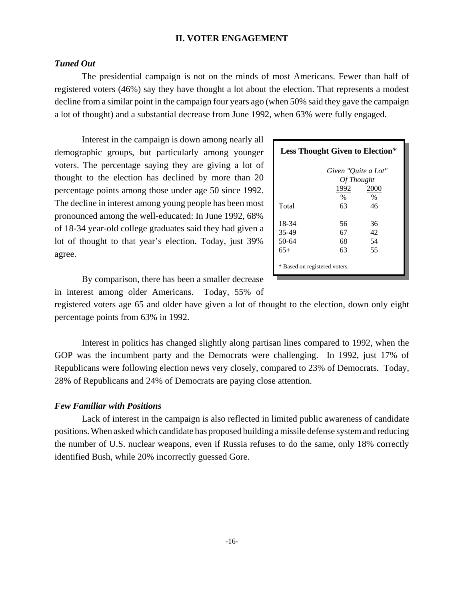### **II. VOTER ENGAGEMENT**

# *Tuned Out*

The presidential campaign is not on the minds of most Americans. Fewer than half of registered voters (46%) say they have thought a lot about the election. That represents a modest decline from a similar point in the campaign four years ago (when 50% said they gave the campaign a lot of thought) and a substantial decrease from June 1992, when 63% were fully engaged.

Interest in the campaign is down among nearly all demographic groups, but particularly among younger voters. The percentage saying they are giving a lot of thought to the election has declined by more than 20 percentage points among those under age 50 since 1992. The decline in interest among young people has been most pronounced among the well-educated: In June 1992, 68% of 18-34 year-old college graduates said they had given a lot of thought to that year's election. Today, just 39% agree.

|                               | <b>Less Thought Given to Election*</b> |      |  |  |  |
|-------------------------------|----------------------------------------|------|--|--|--|
|                               | Given "Quite a Lot"                    |      |  |  |  |
| Of Thought                    |                                        |      |  |  |  |
|                               | 1992                                   | 2000 |  |  |  |
|                               | $\%$                                   | $\%$ |  |  |  |
| Total                         | 63                                     | 46   |  |  |  |
|                               |                                        |      |  |  |  |
| 18-34                         | 56                                     | 36   |  |  |  |
| 35-49                         | 67                                     | 42   |  |  |  |
| 50-64                         | 68                                     | 54   |  |  |  |
| $65+$                         | 63                                     | 55   |  |  |  |
| * Based on registered voters. |                                        |      |  |  |  |

By comparison, there has been a smaller decrease in interest among older Americans. Today, 55% of

registered voters age 65 and older have given a lot of thought to the election, down only eight percentage points from 63% in 1992.

Interest in politics has changed slightly along partisan lines compared to 1992, when the GOP was the incumbent party and the Democrats were challenging. In 1992, just 17% of Republicans were following election news very closely, compared to 23% of Democrats. Today, 28% of Republicans and 24% of Democrats are paying close attention.

## *Few Familiar with Positions*

Lack of interest in the campaign is also reflected in limited public awareness of candidate positions. When asked which candidate has proposed building a missile defense system and reducing the number of U.S. nuclear weapons, even if Russia refuses to do the same, only 18% correctly identified Bush, while 20% incorrectly guessed Gore.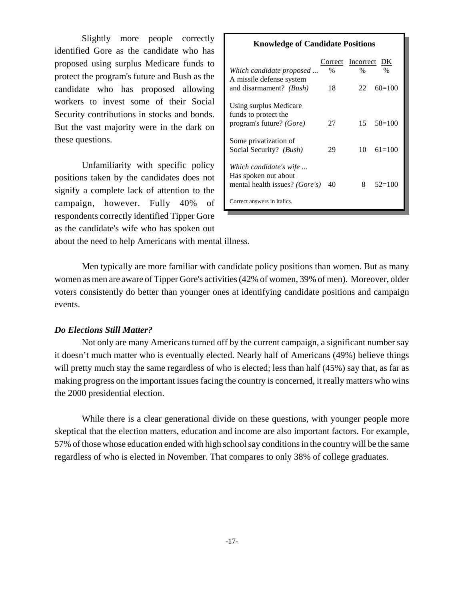Slightly more people correctly identified Gore as the candidate who has proposed using surplus Medicare funds to protect the program's future and Bush as the candidate who has proposed allowing workers to invest some of their Social Security contributions in stocks and bonds. But the vast majority were in the dark on these questions.

Unfamiliarity with specific policy positions taken by the candidates does not signify a complete lack of attention to the campaign, however. Fully 40% of respondents correctly identified Tipper Gore as the candidate's wife who has spoken out

| <b>Knowledge of Candidate Positions</b>             |         |              |            |  |  |
|-----------------------------------------------------|---------|--------------|------------|--|--|
|                                                     | Correct | Incorrect DK |            |  |  |
| Which candidate proposed                            | $\%$    | $\%$         | $\%$       |  |  |
| A missile defense system<br>and disarmament? (Bush) | 18      | 22           | $60=100$   |  |  |
|                                                     |         |              |            |  |  |
| Using surplus Medicare<br>funds to protect the      |         |              |            |  |  |
| program's future? (Gore)                            | 27      | 15           | $58=100$   |  |  |
| Some privatization of                               |         |              |            |  |  |
| Social Security? (Bush)                             | 29      | 10           | $61 = 100$ |  |  |
| Which candidate's wife                              |         |              |            |  |  |
| Has spoken out about                                |         |              |            |  |  |
| mental health issues? ( <i>Gore's</i> )             | 40      | 8            | $52=100$   |  |  |
| Correct answers in italics.                         |         |              |            |  |  |

about the need to help Americans with mental illness.

Men typically are more familiar with candidate policy positions than women. But as many women as men are aware of Tipper Gore's activities (42% of women, 39% of men). Moreover, older voters consistently do better than younger ones at identifying candidate positions and campaign events.

### *Do Elections Still Matter?*

Not only are many Americans turned off by the current campaign, a significant number say it doesn't much matter who is eventually elected. Nearly half of Americans (49%) believe things will pretty much stay the same regardless of who is elected; less than half (45%) say that, as far as making progress on the important issues facing the country is concerned, it really matters who wins the 2000 presidential election.

While there is a clear generational divide on these questions, with younger people more skeptical that the election matters, education and income are also important factors. For example, 57% of those whose education ended with high school say conditions in the country will be the same regardless of who is elected in November. That compares to only 38% of college graduates.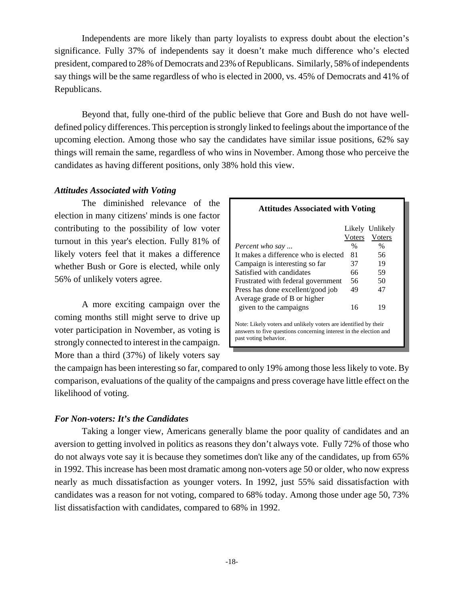Independents are more likely than party loyalists to express doubt about the election's significance. Fully 37% of independents say it doesn't make much difference who's elected president, compared to 28% of Democrats and 23% of Republicans. Similarly, 58% of independents say things will be the same regardless of who is elected in 2000, vs. 45% of Democrats and 41% of Republicans.

Beyond that, fully one-third of the public believe that Gore and Bush do not have welldefined policy differences. This perception is strongly linked to feelings about the importance of the upcoming election. Among those who say the candidates have similar issue positions, 62% say things will remain the same, regardless of who wins in November. Among those who perceive the candidates as having different positions, only 38% hold this view.

# *Attitudes Associated with Voting*

The diminished relevance of the election in many citizens' minds is one factor contributing to the possibility of low voter turnout in this year's election. Fully 81% of likely voters feel that it makes a difference whether Bush or Gore is elected, while only 56% of unlikely voters agree.

A more exciting campaign over the coming months still might serve to drive up voter participation in November, as voting is strongly connected to interest in the campaign. More than a third (37%) of likely voters say

| Attitudes Associated with voling                                                                                                                              |               |                 |  |  |  |  |
|---------------------------------------------------------------------------------------------------------------------------------------------------------------|---------------|-----------------|--|--|--|--|
|                                                                                                                                                               |               | Likely Unlikely |  |  |  |  |
|                                                                                                                                                               | Voters        | Voters          |  |  |  |  |
| <i>Percent who say</i>                                                                                                                                        | $\frac{0}{0}$ | $\frac{0}{0}$   |  |  |  |  |
| It makes a difference who is elected                                                                                                                          | 81            | 56              |  |  |  |  |
| Campaign is interesting so far                                                                                                                                | 37            | 19              |  |  |  |  |
| Satisfied with candidates                                                                                                                                     | 66            | 59              |  |  |  |  |
| Frustrated with federal government                                                                                                                            | 56            | 50              |  |  |  |  |
| Press has done excellent/good job                                                                                                                             | 49            | 47              |  |  |  |  |
| Average grade of B or higher                                                                                                                                  |               |                 |  |  |  |  |
| given to the campaigns                                                                                                                                        | 16            | 19              |  |  |  |  |
| Note: Likely voters and unlikely voters are identified by their<br>answers to five questions concerning interest in the election and<br>past voting behavior. |               |                 |  |  |  |  |

**Attitudes Associated with Voting**

the campaign has been interesting so far, compared to only 19% among those less likely to vote. By comparison, evaluations of the quality of the campaigns and press coverage have little effect on the likelihood of voting.

# *For Non-voters: It's the Candidates*

Taking a longer view, Americans generally blame the poor quality of candidates and an aversion to getting involved in politics as reasons they don't always vote. Fully 72% of those who do not always vote say it is because they sometimes don't like any of the candidates, up from 65% in 1992. This increase has been most dramatic among non-voters age 50 or older, who now express nearly as much dissatisfaction as younger voters. In 1992, just 55% said dissatisfaction with candidates was a reason for not voting, compared to 68% today. Among those under age 50, 73% list dissatisfaction with candidates, compared to 68% in 1992.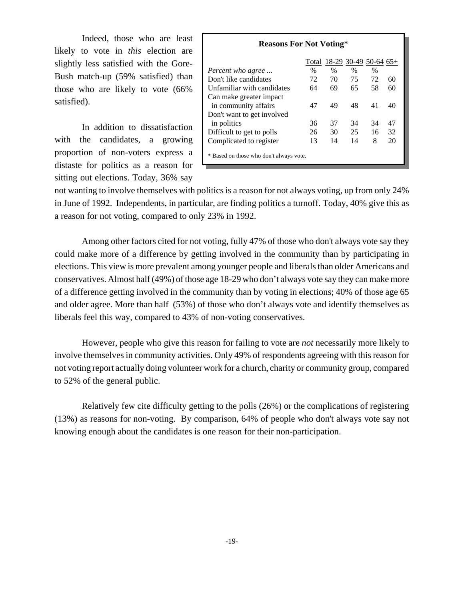Indeed, those who are least likely to vote in *this* election are slightly less satisfied with the Gore-Bush match-up (59% satisfied) than those who are likely to vote (66% satisfied).

In addition to dissatisfaction with the candidates, a growing proportion of non-voters express a distaste for politics as a reason for sitting out elections. Today, 36% say

| <b>Reasons For Not Voting*</b>                  |               |                         |               |               |    |  |
|-------------------------------------------------|---------------|-------------------------|---------------|---------------|----|--|
|                                                 | Total         | $18-29$ 30-49 50-64 65+ |               |               |    |  |
| <i>Percent who agree</i>                        | $\frac{0}{0}$ | $\frac{0}{0}$           | $\frac{0}{0}$ | $\frac{0}{0}$ |    |  |
| Don't like candidates                           | 72            | 70                      | 75            | 72            | 60 |  |
| Unfamiliar with candidates                      | 64            | 69                      | 65            | 58            | 60 |  |
| Can make greater impact<br>in community affairs | 47            | 49                      | 48            | 41            | 40 |  |
| Don't want to get involved                      |               |                         |               |               |    |  |
| in politics                                     | 36            | 37                      | 34            | 34            | 47 |  |
| Difficult to get to polls                       | 26            | 30                      | 25            | 16            | 32 |  |
| Complicated to register                         | 13            | 14                      | 14            | 8             | 20 |  |
| * Based on those who don't always vote.         |               |                         |               |               |    |  |

not wanting to involve themselves with politics is a reason for not always voting, up from only 24% in June of 1992. Independents, in particular, are finding politics a turnoff. Today, 40% give this as a reason for not voting, compared to only 23% in 1992.

Among other factors cited for not voting, fully 47% of those who don't always vote say they could make more of a difference by getting involved in the community than by participating in elections. This view is more prevalent among younger people and liberals than older Americans and conservatives. Almost half (49%) of those age 18-29 who don't always vote say they can make more of a difference getting involved in the community than by voting in elections; 40% of those age 65 and older agree. More than half (53%) of those who don't always vote and identify themselves as liberals feel this way, compared to 43% of non-voting conservatives.

However, people who give this reason for failing to vote are *not* necessarily more likely to involve themselves in community activities. Only 49% of respondents agreeing with this reason for not voting report actually doing volunteer work for a church, charity or community group, compared to 52% of the general public.

Relatively few cite difficulty getting to the polls (26%) or the complications of registering (13%) as reasons for non-voting. By comparison, 64% of people who don't always vote say not knowing enough about the candidates is one reason for their non-participation.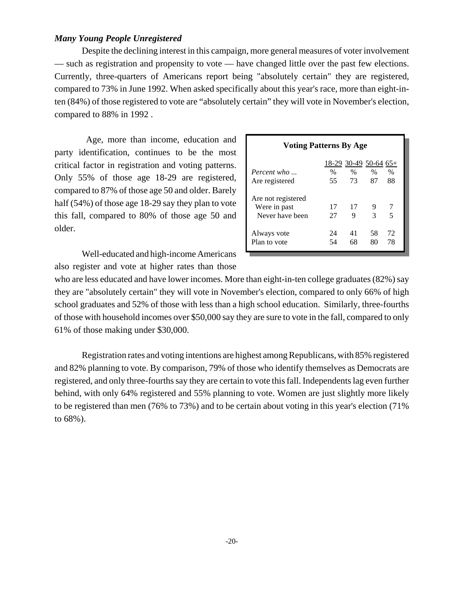# *Many Young People Unregistered*

Despite the declining interest in this campaign, more general measures of voter involvement — such as registration and propensity to vote — have changed little over the past few elections. Currently, three-quarters of Americans report being "absolutely certain" they are registered, compared to 73% in June 1992. When asked specifically about this year's race, more than eight-inten (84%) of those registered to vote are "absolutely certain" they will vote in November's election, compared to 88% in 1992 .

 Age, more than income, education and party identification, continues to be the most critical factor in registration and voting patterns. Only 55% of those age 18-29 are registered, compared to 87% of those age 50 and older. Barely half (54%) of those age 18-29 say they plan to vote this fall, compared to 80% of those age 50 and older.

Well-educated and high-income Americans also register and vote at higher rates than those

| <b>Voting Patterns By Age</b> |                         |          |          |          |  |  |
|-------------------------------|-------------------------|----------|----------|----------|--|--|
|                               | $18-29$ 30-49 50-64 65+ |          |          |          |  |  |
| Percent who                   | $\frac{0}{0}$           | $\%$     | $\%$     | $\%$     |  |  |
| Are registered                | 55                      | 73       | 87       | 88       |  |  |
| Are not registered            |                         |          |          |          |  |  |
| Were in past                  | 17                      | 17       | 9        |          |  |  |
| Never have been               | 27                      | 9        | 3        | 5        |  |  |
| Always vote<br>Plan to vote   | 24<br>54                | 41<br>68 | 58<br>80 | 72<br>78 |  |  |

who are less educated and have lower incomes. More than eight-in-ten college graduates (82%) say they are "absolutely certain" they will vote in November's election, compared to only 66% of high school graduates and 52% of those with less than a high school education. Similarly, three-fourths of those with household incomes over \$50,000 say they are sure to vote in the fall, compared to only 61% of those making under \$30,000.

Registration rates and voting intentions are highest among Republicans, with 85% registered and 82% planning to vote. By comparison, 79% of those who identify themselves as Democrats are registered, and only three-fourths say they are certain to vote this fall. Independents lag even further behind, with only 64% registered and 55% planning to vote. Women are just slightly more likely to be registered than men (76% to 73%) and to be certain about voting in this year's election (71% to 68%).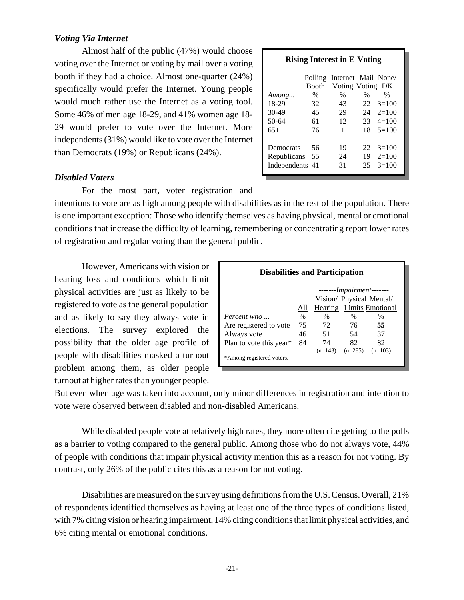# *Voting Via Internet*

Almost half of the public (47%) would choose voting over the Internet or voting by mail over a voting booth if they had a choice. Almost one-quarter (24%) specifically would prefer the Internet. Young people would much rather use the Internet as a voting tool. Some 46% of men age 18-29, and 41% women age 18- 29 would prefer to vote over the Internet. More independents (31%) would like to vote over the Internet than Democrats (19%) or Republicans (24%).

### **Rising Interest in E-Voting**

|                 | Polling<br>Booth | Internet Mail None/<br>Voting Voting DK |      |         |
|-----------------|------------------|-----------------------------------------|------|---------|
| Among           | $\%$             | $\%$                                    | $\%$ | $\%$    |
| 18-29           | 32               | 43                                      | 22   | $3=100$ |
| $30-49$         | 45               | 29                                      | 24   | $2=100$ |
| 50-64           | 61               | 12                                      | 23.  | $4=100$ |
| $65+$           | 76               | 1                                       | 18   | $5=100$ |
|                 |                  |                                         |      |         |
| Democrats       | 56               | 19                                      | 22   | $3=100$ |
| Republicans     | 55               | 24                                      | 19   | $2=100$ |
| Independents 41 |                  | 31                                      | 25   | $3=100$ |
|                 |                  |                                         |      |         |

### *Disabled Voters*

For the most part, voter registration and

intentions to vote are as high among people with disabilities as in the rest of the population. There is one important exception: Those who identify themselves as having physical, mental or emotional conditions that increase the difficulty of learning, remembering or concentrating report lower rates of registration and regular voting than the general public.

However, Americans with vision or hearing loss and conditions which limit physical activities are just as likely to be registered to vote as the general population and as likely to say they always vote in elections. The survey explored the possibility that the older age profile of people with disabilities masked a turnout problem among them, as older people turnout at higher rates than younger people.

| <b>Disabilities and Participation</b> |                                 |           |                                   |           |  |  |
|---------------------------------------|---------------------------------|-----------|-----------------------------------|-----------|--|--|
|                                       |                                 |           | ------- <i>Impairment</i> ------- |           |  |  |
|                                       | Vision/ Physical Mental/        |           |                                   |           |  |  |
|                                       | Hearing Limits Emotional<br>All |           |                                   |           |  |  |
| Percent who                           | $\frac{0}{0}$                   | $\%$      | $\%$                              | $\%$      |  |  |
| Are registered to vote                | 75                              | 72        | 76                                | 55        |  |  |
| Always vote                           | 46                              | 51        | 54                                | 37        |  |  |
| Plan to vote this year $*$            | 84                              | 74        | 82                                | 82        |  |  |
|                                       |                                 | $(n=143)$ | $(n=285)$                         | $(n=103)$ |  |  |
| *Among registered voters.             |                                 |           |                                   |           |  |  |

But even when age was taken into account, only minor differences in registration and intention to vote were observed between disabled and non-disabled Americans.

While disabled people vote at relatively high rates, they more often cite getting to the polls as a barrier to voting compared to the general public. Among those who do not always vote, 44% of people with conditions that impair physical activity mention this as a reason for not voting. By contrast, only 26% of the public cites this as a reason for not voting.

Disabilities are measured on the survey using definitions from the U.S. Census. Overall, 21% of respondents identified themselves as having at least one of the three types of conditions listed, with 7% citing vision or hearing impairment, 14% citing conditions that limit physical activities, and 6% citing mental or emotional conditions.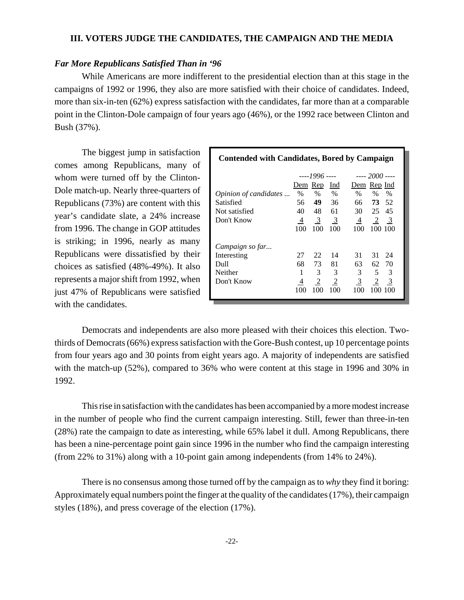### **III. VOTERS JUDGE THE CANDIDATES, THE CAMPAIGN AND THE MEDIA**

## *Far More Republicans Satisfied Than in '96*

While Americans are more indifferent to the presidential election than at this stage in the campaigns of 1992 or 1996, they also are more satisfied with their choice of candidates. Indeed, more than six-in-ten (62%) express satisfaction with the candidates, far more than at a comparable point in the Clinton-Dole campaign of four years ago (46%), or the 1992 race between Clinton and Bush (37%).

The biggest jump in satisfaction comes among Republicans, many of whom were turned off by the Clinton-Dole match-up. Nearly three-quarters of Republicans (73%) are content with this year's candidate slate, a 24% increase from 1996. The change in GOP attitudes is striking; in 1996, nearly as many Republicans were dissatisfied by their choices as satisfied (48%-49%). It also represents a major shift from 1992, when just 47% of Republicans were satisfied with the candidates.

| <b>Contended with Candidates, Bored by Campaign</b> |                |                                           |            |                                 |  |  |
|-----------------------------------------------------|----------------|-------------------------------------------|------------|---------------------------------|--|--|
|                                                     |                | ----1996 ----                             |            | ---- 2000 ----                  |  |  |
|                                                     |                | Dem Rep                                   | Ind        | Dem Rep Ind                     |  |  |
| Opinion of candidates                               | $\%$           | $\%$                                      | $\%$       | $\%$<br>$\%$<br>$\%$            |  |  |
| Satisfied                                           | 56             | 49 36                                     |            | 66 73 52                        |  |  |
| Not satisfied                                       | 40             | 48 61                                     |            | 30 25 45                        |  |  |
| Don't Know                                          |                | $\frac{4}{5}$ $\frac{3}{5}$ $\frac{3}{5}$ |            | $\frac{4}{2}$ $\frac{2}{3}$     |  |  |
|                                                     | 100            | 100                                       | 100        | 100<br>100 100                  |  |  |
| Campaign so far                                     |                |                                           |            |                                 |  |  |
| Interesting                                         | 27             | 22                                        | 14         | 31<br>31 24                     |  |  |
| Dull                                                | 68             | 73                                        | 81         | 63<br>62.70                     |  |  |
| Neither                                             | 1              | 3                                         | 3          | 5<br>$\mathfrak{Z}$<br>3        |  |  |
| Don't Know                                          | $\overline{4}$ | $\overline{2}$                            | $\sqrt{2}$ | $\frac{2}{3}$<br>$\overline{3}$ |  |  |
|                                                     | 100            | 100                                       | 100        | 100<br>100-100                  |  |  |

Democrats and independents are also more pleased with their choices this election. Twothirds of Democrats (66%) express satisfaction with the Gore-Bush contest, up 10 percentage points from four years ago and 30 points from eight years ago. A majority of independents are satisfied with the match-up (52%), compared to 36% who were content at this stage in 1996 and 30% in 1992.

This rise in satisfaction with the candidates has been accompanied by a more modest increase in the number of people who find the current campaign interesting. Still, fewer than three-in-ten (28%) rate the campaign to date as interesting, while 65% label it dull. Among Republicans, there has been a nine-percentage point gain since 1996 in the number who find the campaign interesting (from 22% to 31%) along with a 10-point gain among independents (from 14% to 24%).

There is no consensus among those turned off by the campaign as to *why* they find it boring: Approximately equal numbers point the finger at the quality of the candidates (17%), their campaign styles (18%), and press coverage of the election (17%).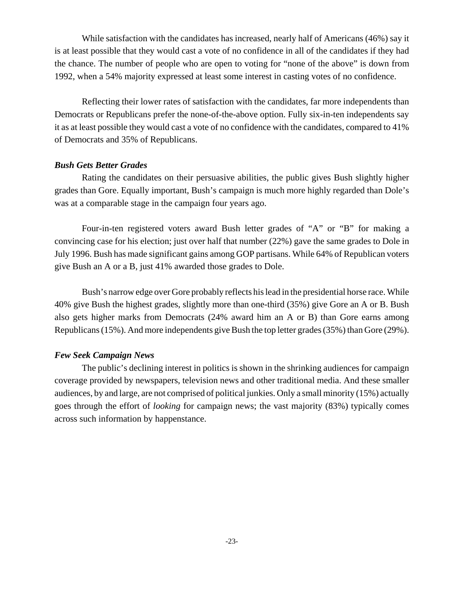While satisfaction with the candidates has increased, nearly half of Americans (46%) say it is at least possible that they would cast a vote of no confidence in all of the candidates if they had the chance. The number of people who are open to voting for "none of the above" is down from 1992, when a 54% majority expressed at least some interest in casting votes of no confidence.

Reflecting their lower rates of satisfaction with the candidates, far more independents than Democrats or Republicans prefer the none-of-the-above option. Fully six-in-ten independents say it as at least possible they would cast a vote of no confidence with the candidates, compared to 41% of Democrats and 35% of Republicans.

### *Bush Gets Better Grades*

Rating the candidates on their persuasive abilities, the public gives Bush slightly higher grades than Gore. Equally important, Bush's campaign is much more highly regarded than Dole's was at a comparable stage in the campaign four years ago.

Four-in-ten registered voters award Bush letter grades of "A" or "B" for making a convincing case for his election; just over half that number (22%) gave the same grades to Dole in July 1996. Bush has made significant gains among GOP partisans. While 64% of Republican voters give Bush an A or a B, just 41% awarded those grades to Dole.

Bush's narrow edge over Gore probably reflects his lead in the presidential horse race. While 40% give Bush the highest grades, slightly more than one-third (35%) give Gore an A or B. Bush also gets higher marks from Democrats (24% award him an A or B) than Gore earns among Republicans (15%). And more independents give Bush the top letter grades (35%) than Gore (29%).

### *Few Seek Campaign News*

The public's declining interest in politics is shown in the shrinking audiences for campaign coverage provided by newspapers, television news and other traditional media. And these smaller audiences, by and large, are not comprised of political junkies. Only a small minority (15%) actually goes through the effort of *looking* for campaign news; the vast majority (83%) typically comes across such information by happenstance.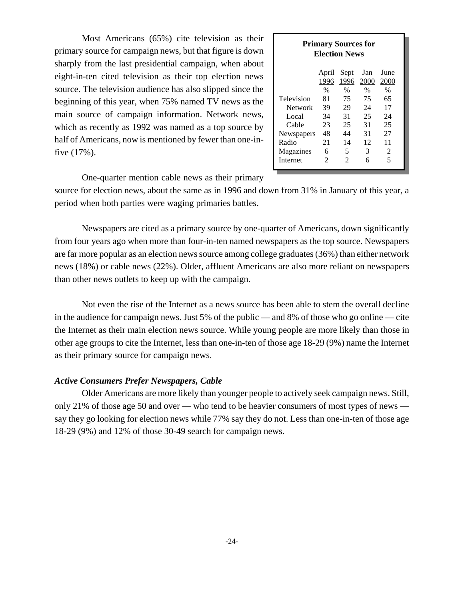Most Americans (65%) cite television as their primary source for campaign news, but that figure is down sharply from the last presidential campaign, when about eight-in-ten cited television as their top election news source. The television audience has also slipped since the beginning of this year, when 75% named TV news as the main source of campaign information. Network news, which as recently as 1992 was named as a top source by half of Americans, now is mentioned by fewer than one-infive (17%).

| <b>Primary Sources for</b><br><b>Election News</b> |                      |                       |      |      |  |  |  |  |
|----------------------------------------------------|----------------------|-----------------------|------|------|--|--|--|--|
| June<br>April<br>Sept<br>Jan                       |                      |                       |      |      |  |  |  |  |
|                                                    | 1996                 | 1996                  | 2000 | 2000 |  |  |  |  |
| $\%$<br>%<br>%<br>$\%$                             |                      |                       |      |      |  |  |  |  |
| Television                                         | 81                   | 75                    | 75   | 65   |  |  |  |  |
| Network                                            | 29<br>39<br>24<br>17 |                       |      |      |  |  |  |  |
| Local                                              | 34                   | 31                    | 25   | 24   |  |  |  |  |
| Cable                                              | 23                   | 25                    | 31   | 25   |  |  |  |  |
| Newspapers                                         | 48                   | 44                    | 31   | 27   |  |  |  |  |
| Radio                                              | 14<br>12<br>21<br>11 |                       |      |      |  |  |  |  |
| Magazines                                          | 6                    | 5                     | 3    | 2    |  |  |  |  |
| Internet                                           | $\mathfrak{D}$       | $\mathcal{D}_{\cdot}$ | 6    | 5    |  |  |  |  |

One-quarter mention cable news as their primary

source for election news, about the same as in 1996 and down from 31% in January of this year, a period when both parties were waging primaries battles.

Newspapers are cited as a primary source by one-quarter of Americans, down significantly from four years ago when more than four-in-ten named newspapers as the top source. Newspapers are far more popular as an election news source among college graduates (36%) than either network news (18%) or cable news (22%). Older, affluent Americans are also more reliant on newspapers than other news outlets to keep up with the campaign.

Not even the rise of the Internet as a news source has been able to stem the overall decline in the audience for campaign news. Just 5% of the public — and 8% of those who go online — cite the Internet as their main election news source. While young people are more likely than those in other age groups to cite the Internet, less than one-in-ten of those age 18-29 (9%) name the Internet as their primary source for campaign news.

### *Active Consumers Prefer Newspapers, Cable*

Older Americans are more likely than younger people to actively seek campaign news. Still, only 21% of those age 50 and over — who tend to be heavier consumers of most types of news say they go looking for election news while 77% say they do not. Less than one-in-ten of those age 18-29 (9%) and 12% of those 30-49 search for campaign news.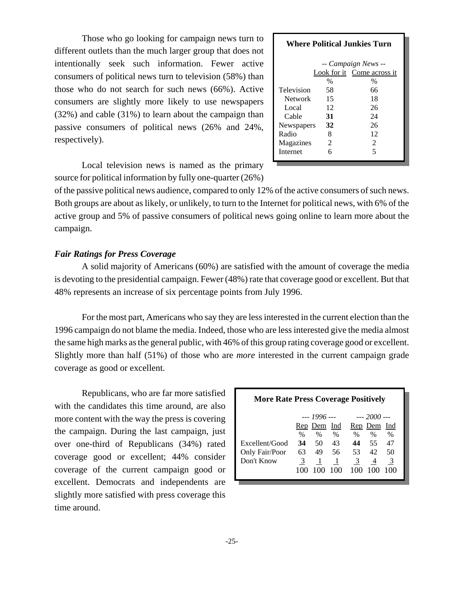Those who go looking for campaign news turn to different outlets than the much larger group that does not intentionally seek such information. Fewer active consumers of political news turn to television (58%) than those who do not search for such news (66%). Active consumers are slightly more likely to use newspapers (32%) and cable (31%) to learn about the campaign than passive consumers of political news (26% and 24%, respectively).

|                       |                  | <b>Where Political Junkies Turn</b>               |
|-----------------------|------------------|---------------------------------------------------|
|                       |                  | -- Campaign News --<br>Look for it Come across it |
| Television<br>Network | $\%$<br>58<br>15 | $\%$<br>66<br>18                                  |
| Local.                | 12               | 26                                                |
| Cable<br>Newspapers   | 31<br>32         | 24<br>26                                          |
| Radio                 | 8                | 12                                                |
| Magazines             | 2                | $\mathfrak{D}$                                    |
| <b>Internet</b>       | 6                | 5                                                 |

Local television news is named as the primary source for political information by fully one-quarter (26%)

of the passive political news audience, compared to only 12% of the active consumers of such news. Both groups are about as likely, or unlikely, to turn to the Internet for political news, with 6% of the active group and 5% of passive consumers of political news going online to learn more about the campaign.

# *Fair Ratings for Press Coverage*

A solid majority of Americans (60%) are satisfied with the amount of coverage the media is devoting to the presidential campaign. Fewer (48%) rate that coverage good or excellent. But that 48% represents an increase of six percentage points from July 1996.

For the most part, Americans who say they are less interested in the current election than the 1996 campaign do not blame the media. Indeed, those who are less interested give the media almost the same high marks as the general public, with 46% of this group rating coverage good or excellent. Slightly more than half (51%) of those who are *more* interested in the current campaign grade coverage as good or excellent.

Republicans, who are far more satisfied with the candidates this time around, are also more content with the way the press is covering the campaign. During the last campaign, just over one-third of Republicans (34%) rated coverage good or excellent; 44% consider coverage of the current campaign good or excellent. Democrats and independents are slightly more satisfied with press coverage this time around.

| <b>More Rate Press Coverage Positively</b> |      |             |      |      |             |               |  |
|--------------------------------------------|------|-------------|------|------|-------------|---------------|--|
|                                            |      | $-1996 -$   |      |      | $-2000$ $-$ |               |  |
|                                            |      | Rep Dem Ind |      |      | Rep Dem Ind |               |  |
|                                            | $\%$ | $\%$        | $\%$ | $\%$ | $\%$        | $\frac{0}{0}$ |  |
| Excellent/Good                             | 34   | 50          | 43   | 44   | 55          | 47            |  |
| Only Fair/Poor                             | 63   | 49          | 56   | 53   | 42          | 50            |  |
| Don't Know                                 | 3    |             | 1    | 3    | 4           | 3             |  |
|                                            |      | 100         | 100  | 100  | 100         | 100           |  |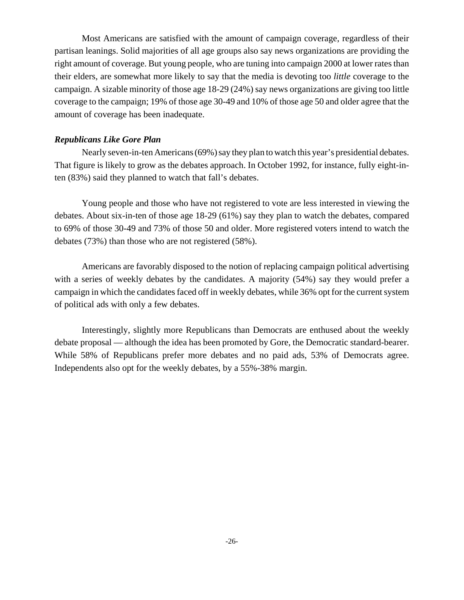Most Americans are satisfied with the amount of campaign coverage, regardless of their partisan leanings. Solid majorities of all age groups also say news organizations are providing the right amount of coverage. But young people, who are tuning into campaign 2000 at lower rates than their elders, are somewhat more likely to say that the media is devoting too *little* coverage to the campaign. A sizable minority of those age 18-29 (24%) say news organizations are giving too little coverage to the campaign; 19% of those age 30-49 and 10% of those age 50 and older agree that the amount of coverage has been inadequate.

## *Republicans Like Gore Plan*

Nearly seven-in-ten Americans (69%) say they plan to watch this year's presidential debates. That figure is likely to grow as the debates approach. In October 1992, for instance, fully eight-inten (83%) said they planned to watch that fall's debates.

Young people and those who have not registered to vote are less interested in viewing the debates. About six-in-ten of those age 18-29 (61%) say they plan to watch the debates, compared to 69% of those 30-49 and 73% of those 50 and older. More registered voters intend to watch the debates (73%) than those who are not registered (58%).

Americans are favorably disposed to the notion of replacing campaign political advertising with a series of weekly debates by the candidates. A majority (54%) say they would prefer a campaign in which the candidates faced off in weekly debates, while 36% opt for the current system of political ads with only a few debates.

Interestingly, slightly more Republicans than Democrats are enthused about the weekly debate proposal — although the idea has been promoted by Gore, the Democratic standard-bearer. While 58% of Republicans prefer more debates and no paid ads, 53% of Democrats agree. Independents also opt for the weekly debates, by a 55%-38% margin.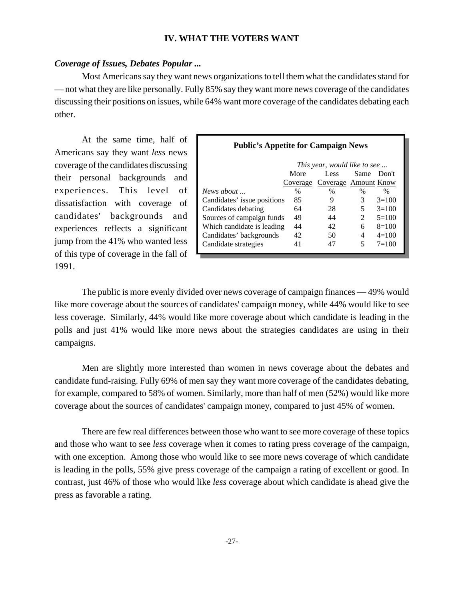### **IV. WHAT THE VOTERS WANT**

### *Coverage of Issues, Debates Popular ...*

Most Americans say they want news organizations to tell them what the candidates stand for — not what they are like personally. Fully 85% say they want more news coverage of the candidates discussing their positions on issues, while 64% want more coverage of the candidates debating each other.

At the same time, half of Americans say they want *less* news coverage of the candidates discussing their personal backgrounds and experiences. This level of dissatisfaction with coverage of candidates' backgrounds and experiences reflects a significant jump from the 41% who wanted less of this type of coverage in the fall of 1991.

### **Public's Appetite for Campaign News**

|                             | This year, would like to see  |                               |      |         |  |  |  |  |
|-----------------------------|-------------------------------|-------------------------------|------|---------|--|--|--|--|
|                             | More<br>Same<br>Less<br>Don't |                               |      |         |  |  |  |  |
|                             |                               | Coverage Coverage Amount Know |      |         |  |  |  |  |
| News about $\ldots$         | %                             | $\%$                          | $\%$ | $\%$    |  |  |  |  |
| Candidates' issue positions | 85                            | 9                             | 3    | $3=100$ |  |  |  |  |
| Candidates debating         | 64                            | 28                            | 5    | $3=100$ |  |  |  |  |
| Sources of campaign funds   | 49                            | 44                            | 2    | $5=100$ |  |  |  |  |
| Which candidate is leading  | 44                            | 42                            | 6    | $8=100$ |  |  |  |  |
| Candidates' backgrounds     | 42                            | 50                            | 4    | $4=100$ |  |  |  |  |
| Candidate strategies        | 41                            | 47                            |      | $7=100$ |  |  |  |  |

The public is more evenly divided over news coverage of campaign finances — 49% would like more coverage about the sources of candidates' campaign money, while 44% would like to see less coverage. Similarly, 44% would like more coverage about which candidate is leading in the polls and just 41% would like more news about the strategies candidates are using in their campaigns.

Men are slightly more interested than women in news coverage about the debates and candidate fund-raising. Fully 69% of men say they want more coverage of the candidates debating, for example, compared to 58% of women. Similarly, more than half of men (52%) would like more coverage about the sources of candidates' campaign money, compared to just 45% of women.

There are few real differences between those who want to see more coverage of these topics and those who want to see *less* coverage when it comes to rating press coverage of the campaign, with one exception. Among those who would like to see more news coverage of which candidate is leading in the polls, 55% give press coverage of the campaign a rating of excellent or good. In contrast, just 46% of those who would like *less* coverage about which candidate is ahead give the press as favorable a rating.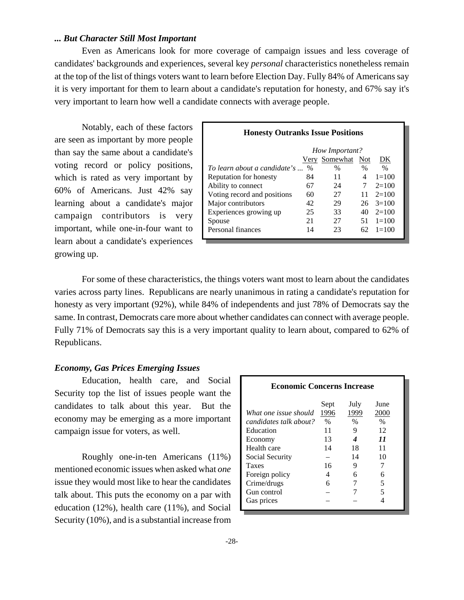## *... But Character Still Most Important*

Even as Americans look for more coverage of campaign issues and less coverage of candidates' backgrounds and experiences, several key *personal* characteristics nonetheless remain at the top of the list of things voters want to learn before Election Day. Fully 84% of Americans say it is very important for them to learn about a candidate's reputation for honesty, and 67% say it's very important to learn how well a candidate connects with average people.

Notably, each of these factors are seen as important by more people than say the same about a candidate's voting record or policy positions, which is rated as very important by 60% of Americans. Just 42% say learning about a candidate's major campaign contributors is very important, while one-in-four want to learn about a candidate's experiences growing up.

| <b>Honesty Outranks Issue Positions</b> |      |                      |      |                    |  |  |  |  |  |  |
|-----------------------------------------|------|----------------------|------|--------------------|--|--|--|--|--|--|
| How Important?                          |      |                      |      |                    |  |  |  |  |  |  |
|                                         |      | <u>Very Somewhat</u> | Not  | DK                 |  |  |  |  |  |  |
| To learn about a candidate's            | $\%$ | $\%$                 | $\%$ | $\frac{0}{0}$      |  |  |  |  |  |  |
| Reputation for honesty                  | 84   | 11                   | 4    | $1 = 100$          |  |  |  |  |  |  |
| Ability to connect                      | 67   | 24                   |      | $2=100$            |  |  |  |  |  |  |
| Voting record and positions             | 60   | 27                   |      | $11 \quad 2 = 100$ |  |  |  |  |  |  |
| Major contributors                      | 42   | 29                   | 26   | $3=100$            |  |  |  |  |  |  |
| Experiences growing up                  | 25   | 33                   | 40   | $2=100$            |  |  |  |  |  |  |
| Spouse                                  | 21   | 27                   | 51   | $1 = 100$          |  |  |  |  |  |  |
| Personal finances                       | 14   | 23                   |      | $1 = 100$          |  |  |  |  |  |  |

For some of these characteristics, the things voters want most to learn about the candidates varies across party lines. Republicans are nearly unanimous in rating a candidate's reputation for honesty as very important (92%), while 84% of independents and just 78% of Democrats say the same. In contrast, Democrats care more about whether candidates can connect with average people. Fully 71% of Democrats say this is a very important quality to learn about, compared to 62% of Republicans.

## *Economy, Gas Prices Emerging Issues*

Education, health care, and Social Security top the list of issues people want the candidates to talk about this year. But the economy may be emerging as a more important campaign issue for voters, as well.

Roughly one-in-ten Americans (11%) mentioned economic issues when asked what *one* issue they would most like to hear the candidates talk about. This puts the economy on a par with education (12%), health care (11%), and Social Security (10%), and is a substantial increase from

| <b>Economic Concerns Increase</b> |      |      |                            |  |  |  |  |  |  |
|-----------------------------------|------|------|----------------------------|--|--|--|--|--|--|
|                                   | Sept | July | June                       |  |  |  |  |  |  |
| What one issue should             | 1996 | 1999 | 2000                       |  |  |  |  |  |  |
| candidates talk about?            | $\%$ | $\%$ | $\%$                       |  |  |  |  |  |  |
| Education                         | 11   | 9    | 12                         |  |  |  |  |  |  |
| Economy                           | 13   |      | $\boldsymbol{\mathit{11}}$ |  |  |  |  |  |  |
| Health care                       | 14   | 18   | 11                         |  |  |  |  |  |  |
| Social Security                   |      | 14   | 10                         |  |  |  |  |  |  |
| Taxes                             | 16   | 9    |                            |  |  |  |  |  |  |
| Foreign policy                    | 4    |      |                            |  |  |  |  |  |  |
| Crime/drugs                       | 6    |      |                            |  |  |  |  |  |  |
| Gun control                       |      |      | 5                          |  |  |  |  |  |  |
| Gas prices                        |      |      |                            |  |  |  |  |  |  |
|                                   |      |      |                            |  |  |  |  |  |  |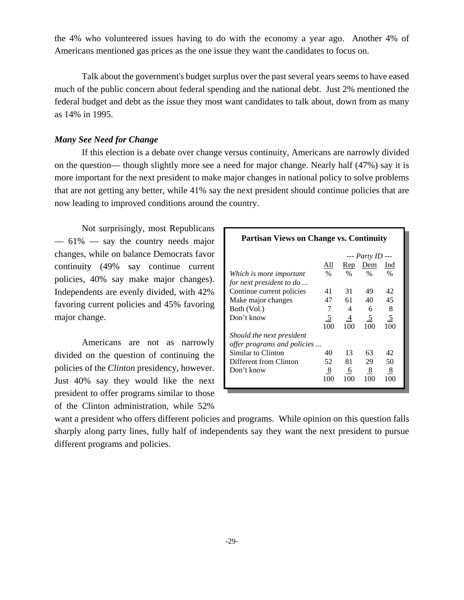the 4% who volunteered issues having to do with the economy a year ago. Another 4% of Americans mentioned gas prices as the one issue they want the candidates to focus on.

Talk about the government's budget surplus over the past several years seems to have eased much of the public concern about federal spending and the national debt. Just 2% mentioned the federal budget and debt as the issue they most want candidates to talk about, down from as many as 14% in 1995.

# *Many See Need for Change*

If this election is a debate over change versus continuity, Americans are narrowly divided on the question— though slightly more see a need for major change. Nearly half (47%) say it is more important for the next president to make major changes in national policy to solve problems that are not getting any better, while 41% say the next president should continue policies that are now leading to improved conditions around the country.

Not surprisingly, most Republicans  $-61\%$  — say the country needs major changes, while on balance Democrats favor continuity (49% say continue current policies, 40% say make major changes). Independents are evenly divided, with 42% favoring current policies and 45% favoring major change.

Americans are not as narrowly divided on the question of continuing the policies of the *Clinton* presidency, however. Just 40% say they would like the next president to offer programs similar to those of the Clinton administration, while 52%

| <b>Partisan Views on Change vs. Continuity</b> |                |              |                |                |  |  |  |  |  |
|------------------------------------------------|----------------|--------------|----------------|----------------|--|--|--|--|--|
|                                                |                | --- Party ID |                |                |  |  |  |  |  |
|                                                | All            | Rep          | Dem            | Ind            |  |  |  |  |  |
| Which is more important                        | $\frac{0}{0}$  | $\%$         | $\%$           | $\frac{0}{0}$  |  |  |  |  |  |
| for next president to do                       |                |              |                |                |  |  |  |  |  |
| Continue current policies                      | 41             | 31           | 49             | 42             |  |  |  |  |  |
| Make major changes                             | 47             | 61           | 40             | 45             |  |  |  |  |  |
| Both (Vol.)                                    | 7              | 4            | 6              | 8              |  |  |  |  |  |
| Don't know                                     | $\overline{5}$ | 4            | $\overline{5}$ | $\overline{5}$ |  |  |  |  |  |
|                                                | 100            | 100          | 100            | 100            |  |  |  |  |  |
| Should the next president                      |                |              |                |                |  |  |  |  |  |
| offer programs and policies                    |                |              |                |                |  |  |  |  |  |
| Similar to Clinton                             | 40             | 13           | 63             | 42             |  |  |  |  |  |
| Different from Clinton                         | 52             | 81           | 29             | 50             |  |  |  |  |  |
| Don't know                                     | 8              | 6            | 8              | 8              |  |  |  |  |  |
|                                                | 100            | 100          | 100            | 100            |  |  |  |  |  |
|                                                |                |              |                |                |  |  |  |  |  |

want a president who offers different policies and programs. While opinion on this question falls sharply along party lines, fully half of independents say they want the next president to pursue different programs and policies.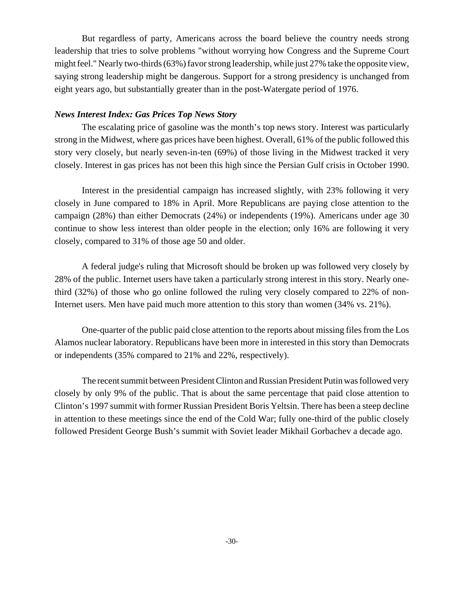But regardless of party, Americans across the board believe the country needs strong leadership that tries to solve problems "without worrying how Congress and the Supreme Court might feel." Nearly two-thirds (63%) favor strong leadership, while just 27% take the opposite view, saying strong leadership might be dangerous. Support for a strong presidency is unchanged from eight years ago, but substantially greater than in the post-Watergate period of 1976.

## *News Interest Index: Gas Prices Top News Story*

The escalating price of gasoline was the month's top news story. Interest was particularly strong in the Midwest, where gas prices have been highest. Overall, 61% of the public followed this story very closely, but nearly seven-in-ten (69%) of those living in the Midwest tracked it very closely. Interest in gas prices has not been this high since the Persian Gulf crisis in October 1990.

Interest in the presidential campaign has increased slightly, with 23% following it very closely in June compared to 18% in April. More Republicans are paying close attention to the campaign (28%) than either Democrats (24%) or independents (19%). Americans under age 30 continue to show less interest than older people in the election; only 16% are following it very closely, compared to 31% of those age 50 and older.

A federal judge's ruling that Microsoft should be broken up was followed very closely by 28% of the public. Internet users have taken a particularly strong interest in this story. Nearly onethird (32%) of those who go online followed the ruling very closely compared to 22% of non-Internet users. Men have paid much more attention to this story than women (34% vs. 21%).

One-quarter of the public paid close attention to the reports about missing files from the Los Alamos nuclear laboratory. Republicans have been more in interested in this story than Democrats or independents (35% compared to 21% and 22%, respectively).

The recent summit between President Clinton and Russian President Putin was followed very closely by only 9% of the public. That is about the same percentage that paid close attention to Clinton's 1997 summit with former Russian President Boris Yeltsin. There has been a steep decline in attention to these meetings since the end of the Cold War; fully one-third of the public closely followed President George Bush's summit with Soviet leader Mikhail Gorbachev a decade ago.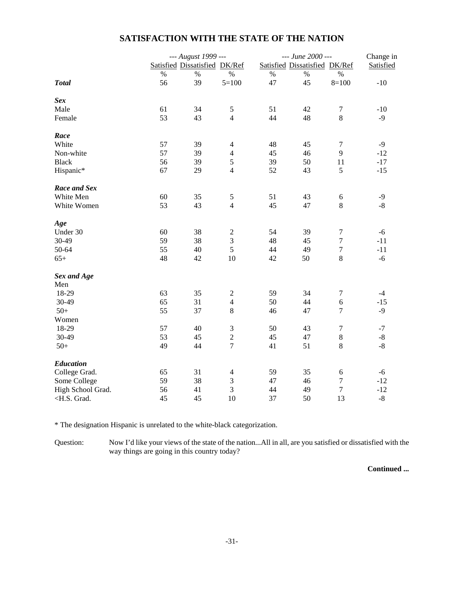# **SATISFACTION WITH THE STATE OF THE NATION**

|                                                                                                                         |      | --- August 1999 ---           |                  |      | --- June 2000 ---             |                  | Change in   |  |
|-------------------------------------------------------------------------------------------------------------------------|------|-------------------------------|------------------|------|-------------------------------|------------------|-------------|--|
|                                                                                                                         |      | Satisfied Dissatisfied DK/Ref |                  |      | Satisfied Dissatisfied DK/Ref |                  | Satisfied   |  |
|                                                                                                                         | $\%$ | $\%$                          | $\%$             | $\%$ | $\%$                          | $\%$             |             |  |
| <b>Total</b>                                                                                                            | 56   | 39                            | $5=100$          | 47   | 45                            | $8=100$          | $-10$       |  |
| <b>Sex</b>                                                                                                              |      |                               |                  |      |                               |                  |             |  |
| Male                                                                                                                    | 61   | 34                            | $\mathfrak{S}$   | 51   | 42                            | $\tau$           | $-10$       |  |
| Female                                                                                                                  | 53   | 43                            | $\overline{4}$   | 44   | 48                            | $8\,$            | $-9$        |  |
| Race                                                                                                                    |      |                               |                  |      |                               |                  |             |  |
| White                                                                                                                   | 57   | 39                            | $\overline{4}$   | 48   | 45                            | $\boldsymbol{7}$ | $-9$        |  |
| Non-white                                                                                                               | 57   | 39                            | $\overline{4}$   | 45   | 46                            | 9                | $-12$       |  |
| <b>Black</b>                                                                                                            | 56   | 39                            | 5                | 39   | 50                            | 11               | $-17$       |  |
| Hispanic*                                                                                                               | 67   | 29                            | $\overline{4}$   | 52   | 43                            | 5                | $-15$       |  |
| Race and Sex                                                                                                            |      |                               |                  |      |                               |                  |             |  |
| White Men                                                                                                               | 60   | 35                            | $\mathfrak{S}$   | 51   | 43                            | 6                | $-9$        |  |
| White Women                                                                                                             | 53   | 43                            | $\overline{4}$   | 45   | 47                            | $\,8\,$          | $-8$        |  |
| Age                                                                                                                     |      |                               |                  |      |                               |                  |             |  |
| Under 30                                                                                                                | 60   | 38                            | $\mathfrak{2}$   | 54   | 39                            | $\tau$           | $-6$        |  |
| 30-49                                                                                                                   | 59   | 38                            | $\mathfrak{Z}$   | 48   | 45                            | $\boldsymbol{7}$ | $-11$       |  |
| 50-64                                                                                                                   | 55   | 40                            | 5                | 44   | 49                            | $\boldsymbol{7}$ | $-11$       |  |
| $65+$                                                                                                                   | 48   | 42                            | 10               | 42   | 50                            | $8\,$            | $-6$        |  |
| Sex and Age                                                                                                             |      |                               |                  |      |                               |                  |             |  |
| Men                                                                                                                     |      |                               |                  |      |                               |                  |             |  |
| 18-29                                                                                                                   | 63   | 35                            | $\boldsymbol{2}$ | 59   | 34                            | $\tau$           | $-4$        |  |
| 30-49                                                                                                                   | 65   | 31                            | $\overline{4}$   | 50   | 44                            | $\epsilon$       | $-15$       |  |
| $50+$                                                                                                                   | 55   | 37                            | 8                | 46   | 47                            | $\overline{7}$   | $-9$        |  |
| Women                                                                                                                   |      |                               |                  |      |                               |                  |             |  |
| 18-29                                                                                                                   | 57   | 40                            | $\mathfrak{Z}$   | 50   | 43                            | $\boldsymbol{7}$ | $-7$        |  |
| 30-49                                                                                                                   | 53   | 45                            | $\sqrt{2}$       | 45   | 47                            | $\,8\,$          | $\mbox{-}8$ |  |
| $50+$                                                                                                                   | 49   | 44                            | $\overline{7}$   | 41   | 51                            | $\,8\,$          | $-8$        |  |
| <b>Education</b>                                                                                                        |      |                               |                  |      |                               |                  |             |  |
| College Grad.                                                                                                           | 65   | 31                            | $\overline{4}$   | 59   | 35                            | $\epsilon$       | $-6$        |  |
| Some College                                                                                                            | 59   | 38                            | $\mathfrak{Z}$   | 47   | 46                            | $\boldsymbol{7}$ | $-12$       |  |
| High School Grad.                                                                                                       | 56   | 41                            | 3                | 44   | 49                            | $\boldsymbol{7}$ | $-12$       |  |
| <h.s. grad.<="" td=""><td>45</td><td>45</td><td>10</td><td>37</td><td>50</td><td>13</td><td><math>-8</math></td></h.s.> | 45   | 45                            | 10               | 37   | 50                            | 13               | $-8$        |  |

\* The designation Hispanic is unrelated to the white-black categorization.

Question: Now I'd like your views of the state of the nation...All in all, are you satisfied or dissatisfied with the way things are going in this country today?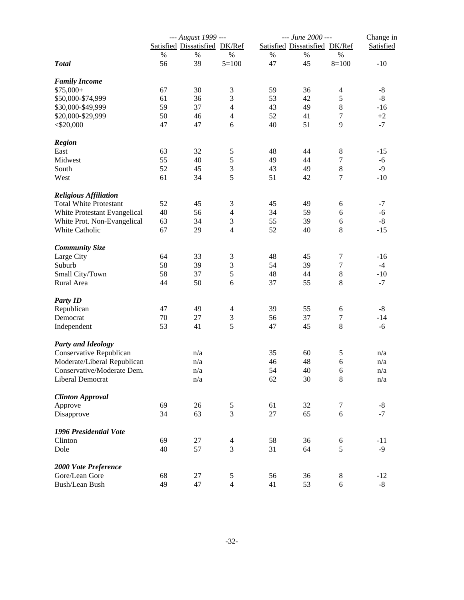|                               |    | --- August 1999 ---           |                |        | --- June 2000 --- |                               | Change in   |  |
|-------------------------------|----|-------------------------------|----------------|--------|-------------------|-------------------------------|-------------|--|
|                               |    | Satisfied Dissatisfied DK/Ref |                |        |                   | Satisfied Dissatisfied DK/Ref | Satisfied   |  |
|                               | %  | $\%$                          | $\%$           | %      | %                 | $\%$                          |             |  |
| <b>Total</b>                  | 56 | 39                            | $5 = 100$      | 47     | 45                | $8=100$                       | $-10$       |  |
| <b>Family Income</b>          |    |                               |                |        |                   |                               |             |  |
| $$75,000+$                    | 67 | 30                            | 3              | 59     | 36                | 4                             | $-8$        |  |
| \$50,000-\$74,999             | 61 | 36                            | 3              | 53     | 42                | 5                             | $-8$        |  |
| \$30,000-\$49,999             | 59 | 37                            | $\overline{4}$ | 43     | 49                | $8\,$                         | $-16$       |  |
| \$20,000-\$29,999             | 50 | 46                            | $\overline{4}$ | 52     | 41                | $\boldsymbol{7}$              | $+2$        |  |
| $<$ \$20,000                  | 47 | 47                            | 6              | 40     | 51                | 9                             | $-7$        |  |
| <b>Region</b>                 |    |                               |                |        |                   |                               |             |  |
| East                          | 63 | 32                            | $\mathfrak s$  | 48     | 44                | $8\,$                         | $-15$       |  |
| Midwest                       | 55 | 40                            | 5              | 49     | 44                | $\boldsymbol{7}$              | $-6$        |  |
| South                         | 52 | 45                            | 3              | 43     | 49                | $8\,$                         | $-9$        |  |
| West                          | 61 | 34                            | 5              | 51     | 42                | $\tau$                        | $-10$       |  |
| <b>Religious Affiliation</b>  |    |                               |                |        |                   |                               |             |  |
| <b>Total White Protestant</b> | 52 | 45                            | 3              | 45     | 49                | 6                             | $-7$        |  |
| White Protestant Evangelical  | 40 | 56                            | $\overline{4}$ | 34     | 59                | 6                             | $-6$        |  |
| White Prot. Non-Evangelical   | 63 | 34                            | 3              | 55     | 39                | $\sqrt{6}$                    | $-8$        |  |
| White Catholic                | 67 | 29                            | $\overline{4}$ | 52     | 40                | 8                             | $-15$       |  |
| <b>Community Size</b>         |    |                               |                |        |                   |                               |             |  |
| Large City                    | 64 | 33                            | $\mathfrak{Z}$ | 48     | 45                | $\boldsymbol{7}$              | $-16$       |  |
| Suburb                        | 58 | 39                            | 3              | 54     | 39                | $\boldsymbol{7}$              | $-4$        |  |
| Small City/Town               | 58 | 37                            | 5              | 48     | 44                | $\,8\,$                       | $-10$       |  |
| Rural Area                    | 44 | 50                            | 6              | 37     | 55                | 8                             | $-7$        |  |
| <b>Party ID</b>               |    |                               |                |        |                   |                               |             |  |
| Republican                    | 47 | 49                            | $\overline{4}$ | 39     | 55                | 6                             | $-8$        |  |
| Democrat                      | 70 | 27                            | $\mathfrak{Z}$ | 56     | 37                | $\boldsymbol{7}$              | $-14$       |  |
| Independent                   | 53 | 41                            | 5              | 47     | 45                | $8\,$                         | $-6$        |  |
| <b>Party and Ideology</b>     |    |                               |                |        |                   |                               |             |  |
| Conservative Republican       |    | n/a                           |                | 35     | 60                | 5                             | n/a         |  |
| Moderate/Liberal Republican   |    | n/a                           |                | 46     | 48                | $\sqrt{6}$                    | n/a         |  |
| Conservative/Moderate Dem.    |    | n/a                           |                | 54     | 40                | 6                             | n/a         |  |
| Liberal Democrat              |    | n/a                           |                | 62     | 30                | $8\,$                         | n/a         |  |
| <b>Clinton Approval</b>       |    |                               |                |        |                   |                               |             |  |
| Approve                       | 69 | $26\,$                        | $\mathfrak s$  | 61     | 32                | $\tau$                        | $-8$        |  |
| Disapprove                    | 34 | 63                            | 3              | $27\,$ | 65                | 6                             | $-7$        |  |
| 1996 Presidential Vote        |    |                               |                |        |                   |                               |             |  |
| Clinton                       | 69 | 27                            | $\overline{4}$ | 58     | 36                | 6                             | $-11$       |  |
| Dole                          | 40 | 57                            | 3              | 31     | 64                | 5                             | $-9$        |  |
| 2000 Vote Preference          |    |                               |                |        |                   |                               |             |  |
| Gore/Lean Gore                | 68 | 27                            | 5              | 56     | 36                | 8                             | $-12$       |  |
| Bush/Lean Bush                | 49 | 47                            | $\overline{4}$ | 41     | 53                | 6                             | $\mbox{-}8$ |  |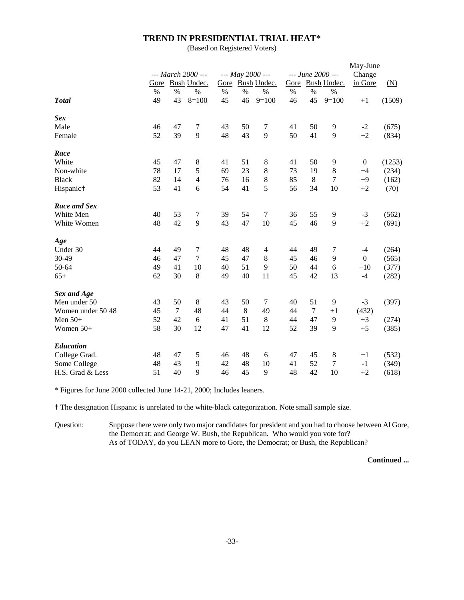### **TREND IN PRESIDENTIAL TRIAL HEAT**\*

(Based on Registered Voters)

|                    |      |        |                    |      |      | May-June         |                   |       |             |                |                   |
|--------------------|------|--------|--------------------|------|------|------------------|-------------------|-------|-------------|----------------|-------------------|
|                    |      |        | --- March 2000 --- |      |      | --- May 2000 --- | --- June 2000 --- |       |             |                |                   |
|                    | Gore |        | Bush Undec.        |      |      | Gore Bush Undec. | Gore              |       | Bush Undec. | in Gore        | $(\underline{N})$ |
|                    | $\%$ | $\%$   | $\%$               | $\%$ | $\%$ | $\%$             | $\%$              | $\%$  | $\%$        |                |                   |
| <b>T</b> otal      | 49   | 43     | $8=100$            | 45   | 46   | $9=100$          | 46                | 45    | $9=100$     | $+1$           | (1509)            |
| Sex                |      |        |                    |      |      |                  |                   |       |             |                |                   |
| Male               | 46   | 47     | 7                  | 43   | 50   | 7                | 41                | 50    | 9           | $-2$           | (675)             |
| Female             | 52   | 39     | 9                  | 48   | 43   | 9                | 50                | 41    | 9           | $+2$           | (834)             |
| Race               |      |        |                    |      |      |                  |                   |       |             |                |                   |
| White              | 45   | 47     | 8                  | 41   | 51   | 8                | 41                | 50    | 9           | $\overline{0}$ | (1253)            |
| Non-white          | 78   | 17     | 5                  | 69   | 23   | 8                | 73                | 19    | $\,8\,$     | $+4$           | (234)             |
| <b>Black</b>       | 82   | 14     | $\overline{4}$     | 76   | 16   | 8                | 85                | $\,8$ | $\tau$      | $+9$           | (162)             |
| Hispanict          | 53   | 41     | 6                  | 54   | 41   | 5                | 56                | 34    | 10          | $+2$           | (70)              |
| Race and Sex       |      |        |                    |      |      |                  |                   |       |             |                |                   |
| White Men          | 40   | 53     | 7                  | 39   | 54   | $\boldsymbol{7}$ | 36                | 55    | 9           | $-3$           | (562)             |
| White Women        | 48   | 42     | 9                  | 43   | 47   | 10               | 45                | 46    | 9           | $+2$           | (691)             |
| Age                |      |        |                    |      |      |                  |                   |       |             |                |                   |
| Under 30           | 44   | 49     | $\tau$             | 48   | 48   | $\overline{4}$   | 44                | 49    | 7           | $-4$           | (264)             |
| 30-49              | 46   | 47     | $\tau$             | 45   | 47   | 8                | 45                | 46    | 9           | $\overline{0}$ | (565)             |
| 50-64              | 49   | 41     | 10                 | 40   | 51   | 9                | 50                | 44    | 6           | $+10$          | (377)             |
| $65+$              | 62   | 30     | 8                  | 49   | 40   | 11               | 45                | 42    | 13          | $-4$           | (282)             |
| <b>Sex and Age</b> |      |        |                    |      |      |                  |                   |       |             |                |                   |
| Men under 50       | 43   | 50     | 8                  | 43   | 50   | 7                | 40                | 51    | 9           | $-3$           | (397)             |
| Women under 50 48  | 45   | $\tau$ | 48                 | 44   | 8    | 49               | 44                | 7     | $+1$        | (432)          |                   |
| Men $50+$          | 52   | 42     | 6                  | 41   | 51   | 8                | 44                | 47    | 9           | $+3$           | (274)             |
| Women $50+$        | 58   | 30     | 12                 | 47   | 41   | 12               | 52                | 39    | 9           | $+5$           | (385)             |
| Education          |      |        |                    |      |      |                  |                   |       |             |                |                   |
| College Grad.      | 48   | 47     | 5                  | 46   | 48   | 6                | 47                | 45    | 8           | $+1$           | (532)             |
| Some College       | 48   | 43     | 9                  | 42   | 48   | 10               | 41                | 52    | 7           | $-1$           | (349)             |
| H.S. Grad & Less   | 51   | 40     | 9                  | 46   | 45   | 9                | 48                | 42    | 10          | $+2$           | (618)             |

\* Figures for June 2000 collected June 14-21, 2000; Includes leaners.

^ The designation Hispanic is unrelated to the white-black categorization. Note small sample size.

Question: Suppose there were only two major candidates for president and you had to choose between Al Gore, the Democrat; and George W. Bush, the Republican. Who would you vote for? As of TODAY, do you LEAN more to Gore, the Democrat; or Bush, the Republican?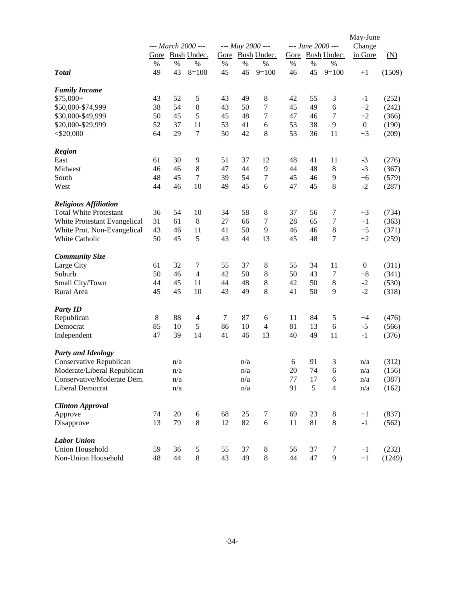|                               |    |     | --- March 2000 --- |        |                         | --- May 2000 --- |                  |    | --- June 2000 --- | May-June<br>Change |                   |
|-------------------------------|----|-----|--------------------|--------|-------------------------|------------------|------------------|----|-------------------|--------------------|-------------------|
|                               |    |     | Gore Bush Undec.   | Gore   |                         | Bush Undec.      |                  |    | Gore Bush Undec.  | in Gore            | $(\underline{N})$ |
|                               | %  | %   | $\%$               | $\%$   | %                       | %                | $\%$             | %  | %                 |                    |                   |
| <b>Total</b>                  | 49 | 43  | $8=100$            | 45     | 46                      | $9=100$          | 46               | 45 | $9=100$           | $+1$               | (1509)            |
| <b>Family Income</b>          |    |     |                    |        |                         |                  |                  |    |                   |                    |                   |
| $$75,000+$                    | 43 | 52  | 5                  | 43     | 49                      | $\,8$            | 42               | 55 | 3                 | $-1$               | (252)             |
| \$50,000-\$74,999             | 38 | 54  | $8\,$              | 43     | 50                      | 7                | 45               | 49 | 6                 | $+2$               | (242)             |
| \$30,000-\$49,999             | 50 | 45  | 5                  | 45     | 48                      | 7                | 47               | 46 | 7                 | $+2$               | (366)             |
| \$20,000-\$29,999             | 52 | 37  | 11                 | 53     | 41                      | 6                | 53               | 38 | 9                 | $\mathbf{0}$       | (190)             |
| $<$ \$20,000                  | 64 | 29  | 7                  | 50     | 42                      | 8                | 53               | 36 | 11                | $+3$               | (209)             |
| <b>Region</b>                 |    |     |                    |        |                         |                  |                  |    |                   |                    |                   |
| East                          | 61 | 30  | 9                  | 51     | 37                      | 12               | 48               | 41 | 11                | $-3$               | (276)             |
| Midwest                       | 46 | 46  | 8                  | 47     | 44                      | 9                | 44               | 48 | 8                 | $-3$               | (367)             |
| South                         | 48 | 45  | 7                  | 39     | 54                      | 7                | 45               | 46 | 9                 | $+6$               | (579)             |
| West                          | 44 | 46  | 10                 | 49     | 45                      | 6                | 47               | 45 | 8                 | $-2$               | (287)             |
| <b>Religious Affiliation</b>  |    |     |                    |        |                         |                  |                  |    |                   |                    |                   |
| <b>Total White Protestant</b> | 36 | 54  | 10                 | 34     | 58                      | $\,8\,$          | 37               | 56 | 7                 | $+3$               | (734)             |
| White Protestant Evangelical  | 31 | 61  | 8                  | 27     | 66                      | $\tau$           | 28               | 65 | $\tau$            | $+1$               | (363)             |
| White Prot. Non-Evangelical   | 43 | 46  | 11                 | 41     | 50                      | 9                | 46               | 46 | $\,8\,$           | $+5$               | (371)             |
| White Catholic                | 50 | 45  | 5                  | 43     | 44                      | 13               | 45               | 48 | 7                 | $+2$               | (259)             |
| <b>Community Size</b>         |    |     |                    |        |                         |                  |                  |    |                   |                    |                   |
| Large City                    | 61 | 32  | 7                  | 55     | 37                      | 8                | 55               | 34 | 11                | $\boldsymbol{0}$   | (311)             |
| Suburb                        | 50 | 46  | $\overline{4}$     | 42     | 50                      | 8                | 50               | 43 | 7                 | $+8$               | (341)             |
| Small City/Town               | 44 | 45  | 11                 | 44     | 48                      | $\,8\,$          | 42               | 50 | 8                 | $-2$               | (530)             |
| Rural Area                    | 45 | 45  | 10                 | 43     | 49                      | $8\,$            | 41               | 50 | 9                 | $-2$               | (318)             |
| <b>Party ID</b>               |    |     |                    |        |                         |                  |                  |    |                   |                    |                   |
| Republican                    | 8  | 88  | 4                  | $\tau$ | 87                      | 6                | 11               | 84 | 5                 | $+4$               | (476)             |
| Democrat                      | 85 | 10  | 5                  | 86     | 10                      | $\overline{4}$   | 81               | 13 | 6                 | $-5$               | (566)             |
| Independent                   | 47 | 39  | 14                 | 41     | 46                      | 13               | 40               | 49 | 11                | $-1$               | (376)             |
| <b>Party and Ideology</b>     |    |     |                    |        |                         |                  |                  |    |                   |                    |                   |
| Conservative Republican       |    | n/a |                    |        | n/a                     |                  | $\boldsymbol{6}$ | 91 | 3                 | n/a                | (312)             |
| Moderate/Liberal Republican   |    | n/a |                    |        | $\mathrm{n}/\mathrm{a}$ |                  | $20\,$           | 74 | $\sqrt{6}$        | n/a                | (156)             |
| Conservative/Moderate Dem.    |    | n/a |                    |        | n/a                     |                  | 77               | 17 | 6                 | n/a                | (387)             |
| Liberal Democrat              |    | n/a |                    |        | n/a                     |                  | 91               | 5  | $\overline{4}$    | n/a                | (162)             |
| <b>Clinton Approval</b>       |    |     |                    |        |                         |                  |                  |    |                   |                    |                   |
| Approve                       | 74 | 20  | 6                  | 68     | 25                      | 7                | 69               | 23 | 8                 | $+1$               | (837)             |
| Disapprove                    | 13 | 79  | 8                  | 12     | 82                      | 6                | 11               | 81 | $\,8\,$           | $-1$               | (562)             |
| <b>Labor Union</b>            |    |     |                    |        |                         |                  |                  |    |                   |                    |                   |
| <b>Union Household</b>        | 59 | 36  | 5                  | 55     | 37                      | 8                | 56               | 37 | 7                 | $+1$               | (232)             |
| Non-Union Household           | 48 | 44  | $8\,$              | 43     | 49                      | $8\,$            | 44               | 47 | 9                 | $+1$               | (1249)            |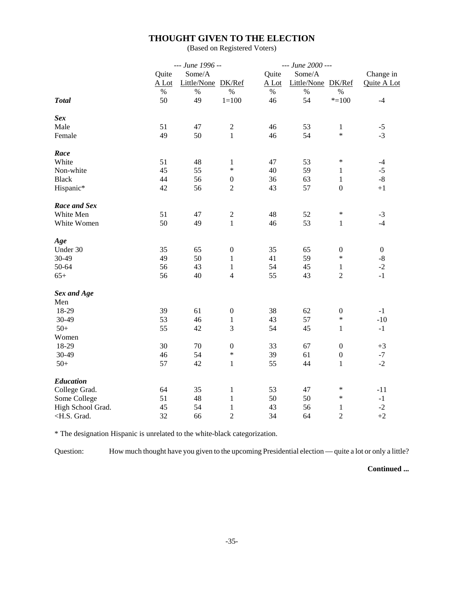# **THOUGHT GIVEN TO THE ELECTION**

(Based on Registered Voters)

|                                                                                                                                                                       | --- June 1996 -- |                    |                  | --- June 2000 --- |                    |                  |                  |
|-----------------------------------------------------------------------------------------------------------------------------------------------------------------------|------------------|--------------------|------------------|-------------------|--------------------|------------------|------------------|
|                                                                                                                                                                       | Quite            | Some/A             |                  | Quite             | Some/A             |                  | Change in        |
|                                                                                                                                                                       | A Lot            | Little/None DK/Ref |                  | A Lot             | Little/None DK/Ref |                  | Quite A Lot      |
|                                                                                                                                                                       | $\%$             | $\%$               | $\%$             | $\%$              | $\%$               | $\%$             |                  |
| <b>Total</b>                                                                                                                                                          | 50               | 49                 | $1 = 100$        | 46                | 54                 | $* = 100$        | $-4$             |
| <b>Sex</b>                                                                                                                                                            |                  |                    |                  |                   |                    |                  |                  |
| Male                                                                                                                                                                  | 51               | 47                 | $\sqrt{2}$       | 46                | 53                 | $\mathbf{1}$     | $-5$             |
| Female                                                                                                                                                                | 49               | 50                 | $\mathbf{1}$     | 46                | 54                 | $\ast$           | $-3$             |
| Race                                                                                                                                                                  |                  |                    |                  |                   |                    |                  |                  |
| White                                                                                                                                                                 | 51               | 48                 | $\mathbf{1}$     | 47                | 53                 | $\ast$           | $-4$             |
| Non-white                                                                                                                                                             | 45               | 55                 | $\ast$           | 40                | 59                 | $\mathbf{1}$     | $-5$             |
| <b>Black</b>                                                                                                                                                          | 44               | 56                 | $\boldsymbol{0}$ | 36                | 63                 | $\mathbf{1}$     | $\mbox{-}8$      |
| Hispanic*                                                                                                                                                             | 42               | 56                 | $\overline{2}$   | 43                | 57                 | $\boldsymbol{0}$ | $+1$             |
| Race and Sex                                                                                                                                                          |                  |                    |                  |                   |                    |                  |                  |
| White Men                                                                                                                                                             | 51               | 47                 | $\sqrt{2}$       | 48                | 52                 | $\ast$           | $-3$             |
| White Women                                                                                                                                                           | 50               | 49                 | $\mathbf{1}$     | 46                | 53                 | $\mathbf{1}$     | $-4$             |
| Age                                                                                                                                                                   |                  |                    |                  |                   |                    |                  |                  |
| Under 30                                                                                                                                                              | 35               | 65                 | $\boldsymbol{0}$ | 35                | 65                 | $\boldsymbol{0}$ | $\boldsymbol{0}$ |
| 30-49                                                                                                                                                                 | 49               | 50                 | $\mathbf{1}$     | 41                | 59                 | $\ast$           | $-8$             |
| 50-64                                                                                                                                                                 | 56               | 43                 | $\,1$            | 54                | 45                 | $\,1$            | $-2$             |
| $65+$                                                                                                                                                                 | 56               | 40                 | $\overline{4}$   | 55                | 43                 | $\overline{2}$   | $-1$             |
| Sex and Age                                                                                                                                                           |                  |                    |                  |                   |                    |                  |                  |
| Men                                                                                                                                                                   |                  |                    |                  |                   |                    |                  |                  |
| 18-29                                                                                                                                                                 | 39               | 61                 | $\boldsymbol{0}$ | 38                | 62                 | $\boldsymbol{0}$ | $-1$             |
| 30-49                                                                                                                                                                 | 53               | 46                 | $\mathbf 1$      | 43                | 57                 | $\ast$           | $-10$            |
| $50+$                                                                                                                                                                 | 55               | 42                 | 3                | 54                | 45                 | $\mathbf{1}$     | $-1$             |
| Women                                                                                                                                                                 |                  |                    |                  |                   |                    |                  |                  |
| 18-29                                                                                                                                                                 | 30               | $70\,$             | $\boldsymbol{0}$ | 33                | 67                 | $\mathbf{0}$     | $+3$             |
| 30-49                                                                                                                                                                 | 46               | 54                 | $\ast$           | 39                | 61                 | $\boldsymbol{0}$ | $-7$             |
| $50+$                                                                                                                                                                 | 57               | 42                 | $\mathbf{1}$     | 55                | 44                 | $\mathbf{1}$     | $-2$             |
| <b>Education</b>                                                                                                                                                      |                  |                    |                  |                   |                    |                  |                  |
| College Grad.                                                                                                                                                         | 64               | 35                 | $\mathbf{1}$     | 53                | 47                 | $\ast$           | $-11$            |
| Some College                                                                                                                                                          | 51               | 48                 | $\mathbf{1}$     | 50                | 50                 | $\ast$           | $-1$             |
| High School Grad.                                                                                                                                                     | 45               | 54                 | $\,1$            | 43                | 56                 | $\mathbf{1}$     | $-2$             |
| <h.s. grad.<="" td=""><td>32</td><td>66</td><td><math>\overline{2}</math></td><td>34</td><td>64</td><td><math>\overline{c}</math></td><td><math>+2</math></td></h.s.> | 32               | 66                 | $\overline{2}$   | 34                | 64                 | $\overline{c}$   | $+2$             |

\* The designation Hispanic is unrelated to the white-black categorization.

Question: How much thought have you given to the upcoming Presidential election — quite a lot or only a little?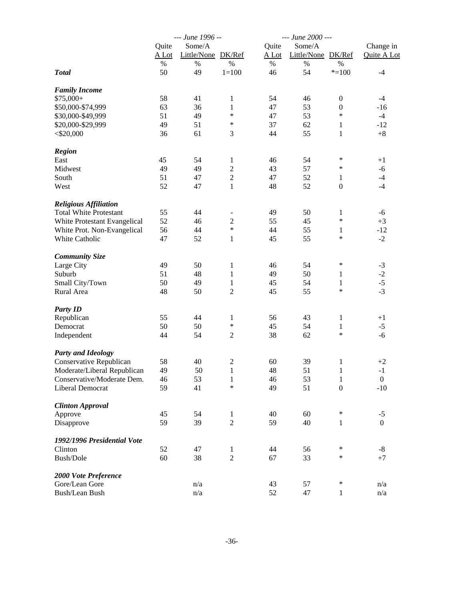|                               |         | --- June 1996 --   |                |         | --- June 2000 ---  |                  |                  |  |
|-------------------------------|---------|--------------------|----------------|---------|--------------------|------------------|------------------|--|
|                               | Quite   | Some/A             |                | Quite   | Some/A             |                  | Change in        |  |
|                               | $A$ Lot | Little/None DK/Ref |                | $A$ Lot | Little/None DK/Ref |                  | Quite A Lot      |  |
|                               | $\%$    | $\%$               | $\%$           | $\%$    | $\%$               | $\%$             |                  |  |
| <b>Total</b>                  | 50      | 49                 | $1 = 100$      | 46      | 54                 | $* = 100$        | $-4$             |  |
|                               |         |                    |                |         |                    |                  |                  |  |
| <b>Family Income</b>          |         |                    |                |         |                    |                  |                  |  |
| $$75,000+$                    | 58      | 41                 | 1              | 54      | 46                 | $\boldsymbol{0}$ | $-4$             |  |
| \$50,000-\$74,999             | 63      | 36                 | $\mathbf{1}$   | 47      | 53                 | $\boldsymbol{0}$ | $-16$            |  |
| \$30,000-\$49,999             | 51      | 49                 | $\ast$         | 47      | 53                 | $\ast$           | $-4$             |  |
| \$20,000-\$29,999             | 49      | 51                 | $\ast$         | 37      | 62                 | $\mathbf{1}$     | $-12$            |  |
| $<$ \$20,000                  | 36      | 61                 | 3              | 44      | 55                 | $\mathbf{1}$     | $+8$             |  |
|                               |         |                    |                |         |                    |                  |                  |  |
| <b>Region</b>                 |         |                    |                |         |                    | ∗                |                  |  |
| East                          | 45      | 54                 | 1              | 46      | 54                 |                  | $+1$             |  |
| Midwest                       | 49      | 49                 | $\mathbf{2}$   | 43      | 57                 | ∗                | $-6$             |  |
| South                         | 51      | 47                 | $\sqrt{2}$     | 47      | 52                 | 1                | $-4$             |  |
| West                          | 52      | 47                 | $\mathbf{1}$   | 48      | 52                 | $\boldsymbol{0}$ | $-4$             |  |
| <b>Religious Affiliation</b>  |         |                    |                |         |                    |                  |                  |  |
| <b>Total White Protestant</b> | 55      | 44                 |                | 49      | 50                 | 1                | -6               |  |
| White Protestant Evangelical  | 52      | 46                 | $\sqrt{2}$     | 55      | 45                 | $\ast$           | $+3$             |  |
| White Prot. Non-Evangelical   | 56      | 44                 | $\ast$         | 44      | 55                 | 1                | $-12$            |  |
|                               |         |                    |                |         |                    | $\ast$           |                  |  |
| White Catholic                | 47      | 52                 | $\mathbf{1}$   | 45      | 55                 |                  | $-2$             |  |
| <b>Community Size</b>         |         |                    |                |         |                    |                  |                  |  |
| Large City                    | 49      | 50                 | $\mathbf{1}$   | 46      | 54                 | ∗                | $-3$             |  |
| Suburb                        | 51      | 48                 | $\mathbf{1}$   | 49      | 50                 | 1                | $-2$             |  |
| Small City/Town               | 50      | 49                 | 1              | 45      | 54                 | $\mathbf{1}$     | $-5$             |  |
| Rural Area                    | 48      | 50                 | $\overline{2}$ | 45      | 55                 | $\ast$           | $-3$             |  |
|                               |         |                    |                |         |                    |                  |                  |  |
| <b>Party ID</b>               |         |                    |                |         |                    |                  |                  |  |
| Republican                    | 55      | 44                 | 1              | 56      | 43                 | 1                | $+1$             |  |
| Democrat                      | 50      | 50                 | $\ast$         | 45      | 54                 | 1                | $-5$             |  |
| Independent                   | 44      | 54                 | $\mathfrak{2}$ | 38      | 62                 | $\ast$           | $-6$             |  |
| <b>Party and Ideology</b>     |         |                    |                |         |                    |                  |                  |  |
| Conservative Republican       | 58      | 40                 | $\sqrt{2}$     | 60      | 39                 | 1                | $+2$             |  |
| Moderate/Liberal Republican   | 49      | 50                 | $\mathbf{1}$   | 48      | 51                 | $\mathbf{1}$     | $-1$             |  |
| Conservative/Moderate Dem.    | 46      | 53                 | $\mathbf{1}$   | 46      | 53                 | $\mathbf{1}$     | $\boldsymbol{0}$ |  |
| Liberal Democrat              | 59      | 41                 | *              | 49      | 51                 | $\boldsymbol{0}$ | $-10$            |  |
|                               |         |                    |                |         |                    |                  |                  |  |
| <b>Clinton Approval</b>       |         |                    |                |         |                    |                  |                  |  |
| Approve                       | 45      | 54                 | $\mathbf{1}$   | 40      | 60                 | $\ast$           | $-5$             |  |
| Disapprove                    | 59      | 39                 | $\overline{2}$ | 59      | 40                 | 1                | $\boldsymbol{0}$ |  |
| 1992/1996 Presidential Vote   |         |                    |                |         |                    |                  |                  |  |
| Clinton                       | 52      | 47                 | $\mathbf{1}$   | 44      | 56                 | ∗                | $-8$             |  |
| Bush/Dole                     | 60      | 38                 | $\overline{2}$ | 67      | 33                 | $\ast$           | $+7$             |  |
| 2000 Vote Preference          |         |                    |                |         |                    |                  |                  |  |
| Gore/Lean Gore                |         | n/a                |                | 43      | 57                 | $\ast$           | n/a              |  |
| <b>Bush/Lean Bush</b>         |         | n/a                |                | 52      | 47                 |                  | n/a              |  |
|                               |         |                    |                |         |                    | $\mathbf{1}$     |                  |  |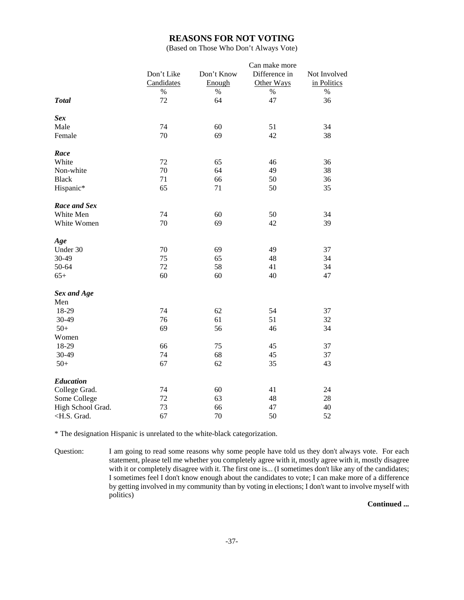### **REASONS FOR NOT VOTING**

(Based on Those Who Don't Always Vote)

|                                                                           |            |            | Can make more |              |
|---------------------------------------------------------------------------|------------|------------|---------------|--------------|
|                                                                           | Don't Like | Don't Know | Difference in | Not Involved |
|                                                                           | Candidates | Enough     | Other Ways    | in Politics  |
|                                                                           | $\%$       | $\%$       | $\%$          | $\%$         |
| <b>Total</b>                                                              | 72         | 64         | 47            | 36           |
| <b>Sex</b>                                                                |            |            |               |              |
| Male                                                                      | 74         | 60         | 51            | 34           |
| Female                                                                    | 70         | 69         | 42            | 38           |
| Race                                                                      |            |            |               |              |
| White                                                                     | 72         | 65         | 46            | 36           |
| Non-white                                                                 | 70         | 64         | 49            | 38           |
| <b>Black</b>                                                              | 71         | 66         | 50            | 36           |
| Hispanic*                                                                 | 65         | 71         | 50            | 35           |
| <b>Race and Sex</b>                                                       |            |            |               |              |
| White Men                                                                 | 74         | 60         | 50            | 34           |
| White Women                                                               | 70         | 69         | 42            | 39           |
| Age                                                                       |            |            |               |              |
| Under 30                                                                  | 70         | 69         | 49            | 37           |
| 30-49                                                                     | 75         | 65         | 48            | 34           |
| 50-64                                                                     | 72         | 58         | 41            | 34           |
| $65+$                                                                     | 60         | 60         | 40            | 47           |
| Sex and Age                                                               |            |            |               |              |
| Men                                                                       |            |            |               |              |
| 18-29                                                                     | 74         | 62         | 54            | 37           |
| 30-49                                                                     | 76         | 61         | 51            | 32           |
| $50+$                                                                     | 69         | 56         | 46            | 34           |
| Women                                                                     |            |            |               |              |
| 18-29                                                                     | 66         | 75         | 45            | 37           |
| 30-49                                                                     | 74         | 68         | 45            | 37           |
| $50+$                                                                     | 67         | 62         | 35            | 43           |
| Education                                                                 |            |            |               |              |
| College Grad.                                                             | 74         | 60         | 41            | 24           |
| Some College                                                              | 72         | 63         | 48            | 28           |
| High School Grad.                                                         | 73         | 66         | 47            | 40           |
| <h.s. grad.<="" td=""><td>67</td><td>70</td><td>50</td><td>52</td></h.s.> | 67         | 70         | 50            | 52           |

\* The designation Hispanic is unrelated to the white-black categorization.

Question: I am going to read some reasons why some people have told us they don't always vote. For each statement, please tell me whether you completely agree with it, mostly agree with it, mostly disagree with it or completely disagree with it. The first one is... (I sometimes don't like any of the candidates; I sometimes feel I don't know enough about the candidates to vote; I can make more of a difference by getting involved in my community than by voting in elections; I don't want to involve myself with politics)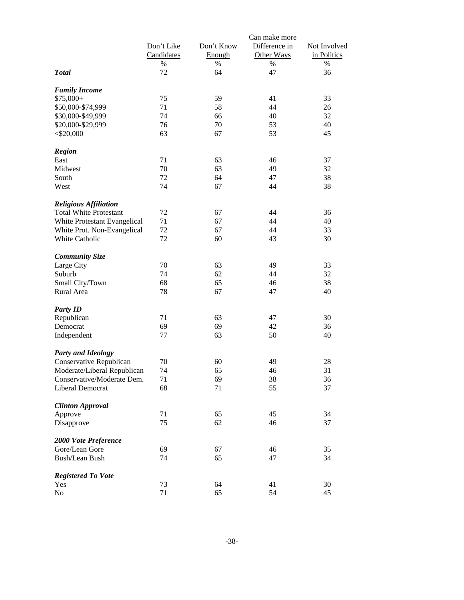|                               | Don't Like<br>Candidates<br>% | Don't Know<br>Enough<br>$\%$ | Can make more<br>Difference in<br>Other Ways<br>% | Not Involved<br>in Politics<br>$\%$ |
|-------------------------------|-------------------------------|------------------------------|---------------------------------------------------|-------------------------------------|
| <b>Total</b>                  | 72                            | 64                           | 47                                                | 36                                  |
| <b>Family Income</b>          |                               |                              |                                                   |                                     |
| $$75,000+$                    | 75                            | 59                           | 41                                                | 33                                  |
| \$50,000-\$74,999             | 71                            | 58                           | 44                                                | 26                                  |
| \$30,000-\$49,999             | 74                            | 66                           | 40                                                | 32                                  |
| \$20,000-\$29,999             | 76                            | 70                           | 53                                                | 40                                  |
| $<$ \$20,000                  | 63                            | 67                           | 53                                                | 45                                  |
| <b>Region</b>                 |                               |                              |                                                   |                                     |
| East                          | 71                            | 63                           | 46                                                | 37                                  |
| Midwest                       | 70                            | 63                           | 49                                                | 32                                  |
| South                         | 72                            | 64                           | 47                                                | 38                                  |
| West                          | 74                            | 67                           | 44                                                | 38                                  |
| <b>Religious Affiliation</b>  |                               |                              |                                                   |                                     |
| <b>Total White Protestant</b> | 72                            | 67                           | 44                                                | 36                                  |
| White Protestant Evangelical  | 71                            | 67                           | 44                                                | 40                                  |
| White Prot. Non-Evangelical   | 72                            | 67                           | 44                                                | 33                                  |
| White Catholic                | 72                            | 60                           | 43                                                | 30                                  |
| <b>Community Size</b>         |                               |                              |                                                   |                                     |
| Large City                    | 70                            | 63                           | 49                                                | 33                                  |
| Suburb                        | 74                            | 62                           | 44                                                | 32                                  |
| Small City/Town               | 68                            | 65                           | 46                                                | 38                                  |
| Rural Area                    | 78                            | 67                           | 47                                                | 40                                  |
| <b>Party ID</b>               |                               |                              |                                                   |                                     |
| Republican                    | 71                            | 63                           | 47                                                | 30                                  |
| Democrat                      | 69                            | 69                           | 42                                                | 36                                  |
| Independent                   | $77 \,$                       | 63                           | 50                                                | 40                                  |
| <b>Party and Ideology</b>     |                               |                              |                                                   |                                     |
| Conservative Republican       | 70                            | 60                           | 49                                                | 28                                  |
| Moderate/Liberal Republican   | 74                            | 65                           | 46                                                | 31                                  |
| Conservative/Moderate Dem.    | 71                            | 69                           | 38                                                | 36                                  |
| Liberal Democrat              | 68                            | 71                           | 55                                                | 37                                  |
| <b>Clinton Approval</b>       |                               |                              |                                                   |                                     |
| Approve                       | 71                            | 65                           | 45                                                | 34                                  |
| Disapprove                    | 75                            | 62                           | 46                                                | 37                                  |
| 2000 Vote Preference          |                               |                              |                                                   |                                     |
| Gore/Lean Gore                | 69                            | 67                           | 46                                                | 35                                  |
| Bush/Lean Bush                | 74                            | 65                           | 47                                                | 34                                  |
| <b>Registered To Vote</b>     |                               |                              |                                                   |                                     |
| Yes                           | 73                            | 64                           | 41                                                | 30                                  |
| No                            | 71                            | 65                           | 54                                                | 45                                  |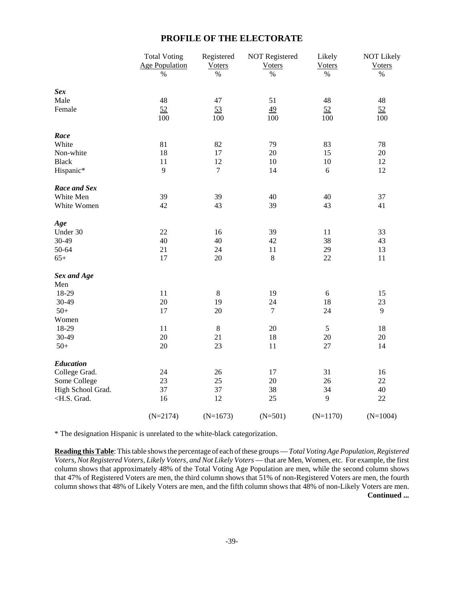# **PROFILE OF THE ELECTORATE**

|                                                                                     | <b>Total Voting</b>   | Registered     | <b>NOT Registered</b> | Likely        | <b>NOT Likely</b> |
|-------------------------------------------------------------------------------------|-----------------------|----------------|-----------------------|---------------|-------------------|
|                                                                                     | <b>Age Population</b> | <b>Voters</b>  | <b>Voters</b>         | <b>Voters</b> | <b>Voters</b>     |
|                                                                                     | $\%$                  | $\%$           | $\%$                  | $\%$          | $\%$              |
| <b>Sex</b>                                                                          |                       |                |                       |               |                   |
| Male                                                                                | 48                    | 47             | 51                    | 48            | 48                |
| Female                                                                              | 52                    | 53             | $\underline{49}$      | 52            | 52                |
|                                                                                     | 100                   | 100            | 100                   | 100           | 100               |
| Race                                                                                |                       |                |                       |               |                   |
| White                                                                               | 81                    | 82             | 79                    | 83            | 78                |
| Non-white                                                                           | 18                    | 17             | 20                    | 15            | $20\,$            |
| <b>Black</b>                                                                        | 11                    | 12             | $10\,$                | $10\,$        | 12                |
| Hispanic*                                                                           | 9                     | $\overline{7}$ | 14                    | 6             | 12                |
| Race and Sex                                                                        |                       |                |                       |               |                   |
| White Men                                                                           | 39                    | 39             | 40                    | 40            | 37                |
| White Women                                                                         | 42                    | 43             | 39                    | 43            | 41                |
| Age                                                                                 |                       |                |                       |               |                   |
| Under 30                                                                            | 22                    | 16             | 39                    | 11            | 33                |
| 30-49                                                                               | 40                    | 40             | 42                    | 38            | 43                |
| 50-64                                                                               | 21                    | 24             | 11                    | 29            | 13                |
| $65+$                                                                               | 17                    | 20             | $8\,$                 | 22            | $11\,$            |
| Sex and Age                                                                         |                       |                |                       |               |                   |
| Men                                                                                 |                       |                |                       |               |                   |
| 18-29                                                                               | 11                    | $\,8\,$        | 19                    | $6\,$         | 15                |
| 30-49                                                                               | 20                    | 19             | 24                    | 18            | 23                |
| $50+$                                                                               | 17                    | $20\,$         | $\tau$                | 24            | 9                 |
| Women                                                                               |                       |                |                       |               |                   |
| 18-29                                                                               | 11                    | $\,8\,$        | $20\,$                | 5             | 18                |
| 30-49                                                                               | 20                    | 21             | 18                    | $20\,$        | 20                |
| $50+$                                                                               | 20                    | 23             | 11                    | 27            | 14                |
| <b>Education</b>                                                                    |                       |                |                       |               |                   |
| College Grad.                                                                       | 24                    | 26             | 17                    | 31            | 16                |
| Some College                                                                        | 23                    | 25             | 20                    | 26            | 22                |
| High School Grad.                                                                   | 37                    | 37             | 38                    | 34            | 40                |
| <h.s. grad.<="" td=""><td>16</td><td>12</td><td>25</td><td>9</td><td>22</td></h.s.> | 16                    | 12             | 25                    | 9             | 22                |
|                                                                                     | $(N=2174)$            | $(N=1673)$     | $(N=501)$             | $(N=1170)$    | $(N=1004)$        |

\* The designation Hispanic is unrelated to the white-black categorization.

**Reading this Table**: This table shows the percentage of each of these groups — *Total Voting Age Population, Registered Voters, Not Registered Voters, Likely Voters, and Not Likely Voters* — that are Men, Women, etc. For example, the first column shows that approximately 48% of the Total Voting Age Population are men, while the second column shows that 47% of Registered Voters are men, the third column shows that 51% of non-Registered Voters are men, the fourth column shows that 48% of Likely Voters are men, and the fifth column shows that 48% of non-Likely Voters are men. **Continued ...**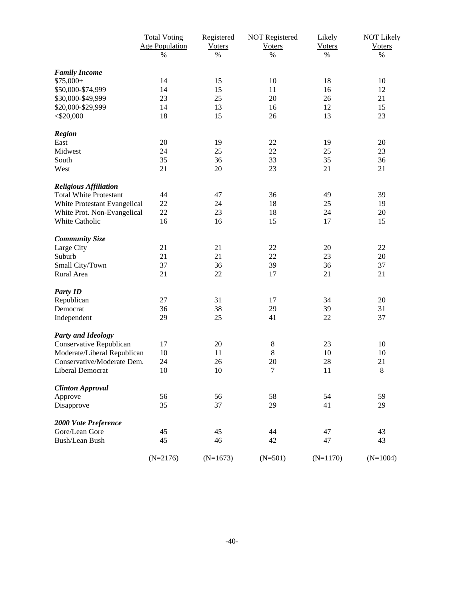|                               | <b>Total Voting</b>   | Registered    | <b>NOT Registered</b> | Likely        | <b>NOT Likely</b> |
|-------------------------------|-----------------------|---------------|-----------------------|---------------|-------------------|
|                               | <b>Age Population</b> | <b>Voters</b> | <b>Voters</b>         | <b>Voters</b> | <b>Voters</b>     |
|                               | $\%$                  | $\%$          | $\%$                  | $\%$          | $\%$              |
| <b>Family Income</b>          |                       |               |                       |               |                   |
| $$75,000+$                    | 14                    | 15            | 10                    | 18            | 10                |
| \$50,000-\$74,999             | 14                    | 15            | 11                    | 16            | 12                |
| \$30,000-\$49,999             | 23                    | 25            | 20                    | 26            | 21                |
| \$20,000-\$29,999             | 14                    | 13            | 16                    | 12            | 15                |
| $<$ \$20,000                  | 18                    | 15            | 26                    | 13            | 23                |
| <b>Region</b>                 |                       |               |                       |               |                   |
| East                          | 20                    | 19            | 22                    | 19            | 20                |
| Midwest                       | 24                    | 25            | 22                    | 25            | 23                |
| South                         | 35                    | 36            | 33                    | 35            | 36                |
| West                          | 21                    | 20            | 23                    | 21            | 21                |
| <b>Religious Affiliation</b>  |                       |               |                       |               |                   |
| <b>Total White Protestant</b> | 44                    | 47            | 36                    | 49            | 39                |
| White Protestant Evangelical  | 22                    | 24            | 18                    | 25            | 19                |
| White Prot. Non-Evangelical   | 22                    | 23            | 18                    | 24            | 20                |
| White Catholic                | 16                    | 16            | 15                    | 17            | 15                |
| <b>Community Size</b>         |                       |               |                       |               |                   |
| Large City                    | 21                    | 21            | $22\,$                | 20            | 22                |
| Suburb                        | 21                    | 21            | $22\,$                | 23            | 20                |
| Small City/Town               | 37                    | 36            | 39                    | 36            | 37                |
| Rural Area                    | 21                    | 22            | 17                    | 21            | 21                |
| <b>Party ID</b>               |                       |               |                       |               |                   |
| Republican                    | 27                    | 31            | 17                    | 34            | 20                |
| Democrat                      | 36                    | 38            | 29                    | 39            | 31                |
| Independent                   | 29                    | 25            | 41                    | 22            | 37                |
| <b>Party and Ideology</b>     |                       |               |                       |               |                   |
| Conservative Republican       | 17                    | 20            | 8                     | 23            | 10                |
| Moderate/Liberal Republican   | 10                    | 11            | $\,8\,$               | 10            | 10                |
| Conservative/Moderate Dem.    | 24                    | 26            | 20                    | 28            | 21                |
| Liberal Democrat              | 10                    | 10            | 7                     | 11            | 8                 |
| <b>Clinton Approval</b>       |                       |               |                       |               |                   |
| Approve                       | 56                    | 56            | 58                    | 54            | 59                |
| Disapprove                    | 35                    | 37            | 29                    | 41            | 29                |
| 2000 Vote Preference          |                       |               |                       |               |                   |
| Gore/Lean Gore                | 45                    | 45            | 44                    | 47            | 43                |
| <b>Bush/Lean Bush</b>         | 45                    | 46            | 42                    | 47            | 43                |
|                               | $(N=2176)$            | $(N=1673)$    | $(N=501)$             | $(N=1170)$    | $(N=1004)$        |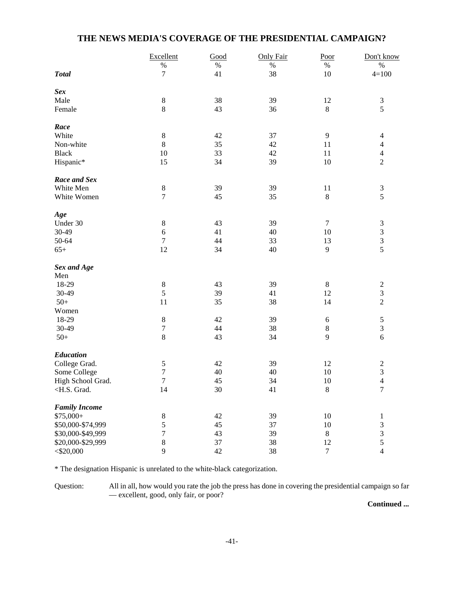# **THE NEWS MEDIA'S COVERAGE OF THE PRESIDENTIAL CAMPAIGN?**

|                                                                                                                                                                              | Excellent        | Good | <b>Only Fair</b> | Poor           | Don't know                  |
|------------------------------------------------------------------------------------------------------------------------------------------------------------------------------|------------------|------|------------------|----------------|-----------------------------|
|                                                                                                                                                                              | $\%$             | $\%$ | $\%$             | $\%$           | $\%$                        |
| <b>Total</b>                                                                                                                                                                 | 7                | 41   | 38               | $10\,$         | $4 = 100$                   |
| <b>Sex</b>                                                                                                                                                                   |                  |      |                  |                |                             |
| Male                                                                                                                                                                         | $\,8\,$          | 38   | 39               | 12             | $\mathfrak{Z}$              |
| Female                                                                                                                                                                       | $8\,$            | 43   | 36               | $8\,$          | 5                           |
| Race                                                                                                                                                                         |                  |      |                  |                |                             |
| White                                                                                                                                                                        | $\,8\,$          | 42   | 37               | 9              | $\overline{4}$              |
| Non-white                                                                                                                                                                    | $\,8\,$          | 35   | 42               | 11             | $\overline{4}$              |
| <b>Black</b>                                                                                                                                                                 | 10               | 33   | 42               | 11             | $\overline{4}$              |
| Hispanic*                                                                                                                                                                    | 15               | 34   | 39               | 10             | $\sqrt{2}$                  |
| Race and Sex                                                                                                                                                                 |                  |      |                  |                |                             |
| White Men                                                                                                                                                                    | $\,8\,$          | 39   | 39               | 11             | $\mathfrak{Z}$              |
| White Women                                                                                                                                                                  | $\boldsymbol{7}$ | 45   | 35               | $\,8\,$        | 5                           |
| Age                                                                                                                                                                          |                  |      |                  |                |                             |
| Under 30                                                                                                                                                                     | $\,8\,$          | 43   | 39               | $\tau$         | 3                           |
| 30-49                                                                                                                                                                        | $\sqrt{6}$       | 41   | 40               | 10             | $\ensuremath{\mathfrak{Z}}$ |
| 50-64                                                                                                                                                                        | $\boldsymbol{7}$ | 44   | 33               | 13             | $\mathfrak{Z}$              |
| $65+$                                                                                                                                                                        | 12               | 34   | 40               | 9              | 5                           |
| Sex and Age                                                                                                                                                                  |                  |      |                  |                |                             |
| Men                                                                                                                                                                          |                  |      |                  |                |                             |
| 18-29                                                                                                                                                                        | $\,8\,$          | 43   | 39               | $\,8\,$        | $\overline{c}$              |
| 30-49                                                                                                                                                                        | 5                | 39   | 41               | 12             | $\sqrt{3}$                  |
| $50+$                                                                                                                                                                        | 11               | 35   | 38               | 14             | $\sqrt{2}$                  |
| Women                                                                                                                                                                        |                  |      |                  |                |                             |
| 18-29                                                                                                                                                                        | $\,8\,$          | 42   | 39               | $\sqrt{6}$     | $\sqrt{5}$                  |
| 30-49                                                                                                                                                                        | $\boldsymbol{7}$ | 44   | 38               | $\,8\,$        | 3                           |
| $50+$                                                                                                                                                                        | $8\,$            | 43   | 34               | 9              | 6                           |
| <b>Education</b>                                                                                                                                                             |                  |      |                  |                |                             |
| College Grad.                                                                                                                                                                | $\sqrt{5}$       | 42   | 39               | 12             | $\overline{c}$              |
| Some College                                                                                                                                                                 | $\sqrt{ }$       | 40   | 40               | 10             | 3                           |
| High School Grad.                                                                                                                                                            | $\overline{7}$   | 45   | 34               | 10             | $\overline{4}$              |
| <h.s. grad.<="" td=""><td>14</td><td>30</td><td>41</td><td><math display="inline">\,</math> 8 <math display="inline">\,</math></td><td><math>\overline{7}</math></td></h.s.> | 14               | 30   | 41               | $\,$ 8 $\,$    | $\overline{7}$              |
| <b>Family Income</b>                                                                                                                                                         |                  |      |                  |                |                             |
| $$75,000+$                                                                                                                                                                   | $8\,$            | 42   | 39               | $10\,$         | $\mathbf{1}$                |
| \$50,000-\$74,999                                                                                                                                                            | 5                | 45   | 37               | $10\,$         | $\mathfrak{Z}$              |
| \$30,000-\$49,999                                                                                                                                                            | $\sqrt{ }$       | 43   | 39               | $8\,$          | 3                           |
| \$20,000-\$29,999                                                                                                                                                            | $\,8\,$          | 37   | 38               | 12             | $\sqrt{5}$                  |
| $<$ \$20,000                                                                                                                                                                 | 9                | 42   | 38               | $\overline{7}$ | $\overline{4}$              |

\* The designation Hispanic is unrelated to the white-black categorization.

Question: All in all, how would you rate the job the press has done in covering the presidential campaign so far — excellent, good, only fair, or poor?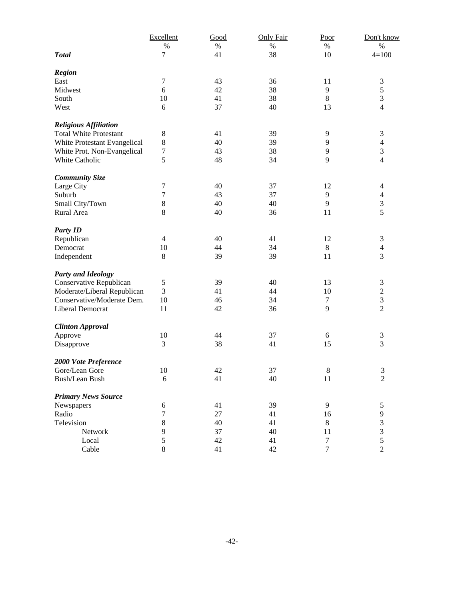|                               | Excellent      | Good | <b>Only Fair</b> | Poor             | Don't know       |
|-------------------------------|----------------|------|------------------|------------------|------------------|
|                               | $\%$           | $\%$ | $\%$             | $\%$             | $\%$             |
| <b>Total</b>                  | 7              | 41   | 38               | 10               | $4 = 100$        |
|                               |                |      |                  |                  |                  |
| <b>Region</b>                 |                |      |                  |                  |                  |
| East                          | $\tau$         | 43   | 36               | 11               | 3                |
| Midwest                       | 6              | 42   | 38               | 9                | 5                |
| South                         | 10             | 41   | 38               | 8                | 3                |
| West                          | 6              | 37   | 40               | 13               | $\overline{4}$   |
| <b>Religious Affiliation</b>  |                |      |                  |                  |                  |
| <b>Total White Protestant</b> | $\,$ 8 $\,$    | 41   | 39               | 9                | 3                |
| White Protestant Evangelical  | 8              | 40   | 39               | $\overline{9}$   | $\overline{4}$   |
| White Prot. Non-Evangelical   | 7              | 43   | 38               | 9                | 3                |
| White Catholic                | 5              | 48   | 34               | 9                | $\overline{4}$   |
|                               |                |      |                  |                  |                  |
| <b>Community Size</b>         |                |      |                  |                  |                  |
| Large City                    | 7              | 40   | 37               | 12               | 4                |
| Suburb                        | 7              | 43   | 37               | 9                | $\overline{4}$   |
| Small City/Town               | 8              | 40   | 40               | 9                | $\sqrt{3}$       |
| Rural Area                    | 8              | 40   | 36               | 11               | 5                |
| <b>Party ID</b>               |                |      |                  |                  |                  |
| Republican                    | $\overline{4}$ | 40   | 41               | 12               | 3                |
| Democrat                      | 10             | 44   | 34               | $\,8\,$          | $\overline{4}$   |
| Independent                   | $8\,$          | 39   | 39               | 11               | 3                |
|                               |                |      |                  |                  |                  |
| <b>Party and Ideology</b>     |                |      |                  |                  |                  |
| Conservative Republican       | 5              | 39   | 40               | 13               | $\mathfrak{Z}$   |
| Moderate/Liberal Republican   | 3              | 41   | 44               | 10               | $\overline{c}$   |
| Conservative/Moderate Dem.    | 10             | 46   | 34               | $\boldsymbol{7}$ | 3                |
| Liberal Democrat              | 11             | 42   | 36               | 9                | $\overline{c}$   |
| <b>Clinton Approval</b>       |                |      |                  |                  |                  |
| Approve                       | 10             | 44   | 37               | $\boldsymbol{6}$ | 3                |
| Disapprove                    | 3              | 38   | 41               | 15               | 3                |
| 2000 Vote Preference          |                |      |                  |                  |                  |
| Gore/Lean Gore                | 10             | 42   | 37               | 8                | 3                |
| <b>Bush/Lean Bush</b>         | 6              | 41   | 40               | 11               | $\boldsymbol{2}$ |
|                               |                |      |                  |                  |                  |
| <b>Primary News Source</b>    |                |      |                  |                  |                  |
| Newspapers                    | 6              | 41   | 39               | 9                | 5                |
| Radio                         | 7              | 27   | 41               | 16               | 9                |
| Television                    | 8              | 40   | 41               | $8\,$            | 3                |
| Network                       | 9              | 37   | 40               | 11               | 3                |
| Local                         | 5              | 42   | 41               | $\tau$           | 5                |
| Cable                         | 8              | 41   | 42               | $\tau$           | $\overline{2}$   |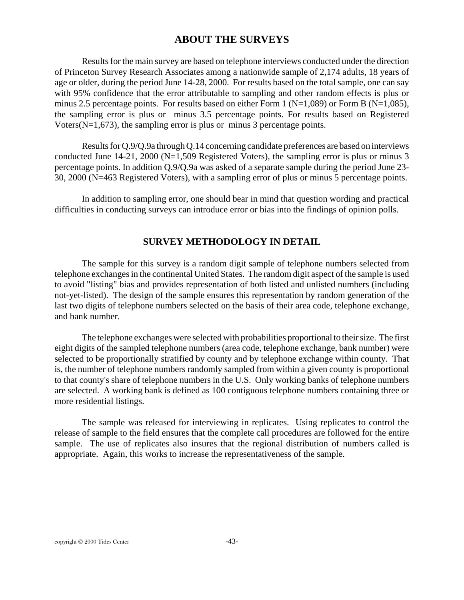# **ABOUT THE SURVEYS**

Results for the main survey are based on telephone interviews conducted under the direction of Princeton Survey Research Associates among a nationwide sample of 2,174 adults, 18 years of age or older, during the period June 14-28, 2000. For results based on the total sample, one can say with 95% confidence that the error attributable to sampling and other random effects is plus or minus 2.5 percentage points. For results based on either Form 1 ( $N=1,089$ ) or Form B ( $N=1,085$ ), the sampling error is plus or minus 3.5 percentage points. For results based on Registered Voters(N=1,673), the sampling error is plus or minus 3 percentage points.

Results for Q.9/Q.9a through Q.14 concerning candidate preferences are based on interviews conducted June 14-21, 2000 (N=1,509 Registered Voters), the sampling error is plus or minus 3 percentage points. In addition Q.9/Q.9a was asked of a separate sample during the period June 23- 30, 2000 (N=463 Registered Voters), with a sampling error of plus or minus 5 percentage points.

In addition to sampling error, one should bear in mind that question wording and practical difficulties in conducting surveys can introduce error or bias into the findings of opinion polls.

# **SURVEY METHODOLOGY IN DETAIL**

The sample for this survey is a random digit sample of telephone numbers selected from telephone exchanges in the continental United States. The random digit aspect of the sample is used to avoid "listing" bias and provides representation of both listed and unlisted numbers (including not-yet-listed). The design of the sample ensures this representation by random generation of the last two digits of telephone numbers selected on the basis of their area code, telephone exchange, and bank number.

The telephone exchanges were selected with probabilities proportional to their size. The first eight digits of the sampled telephone numbers (area code, telephone exchange, bank number) were selected to be proportionally stratified by county and by telephone exchange within county. That is, the number of telephone numbers randomly sampled from within a given county is proportional to that county's share of telephone numbers in the U.S. Only working banks of telephone numbers are selected. A working bank is defined as 100 contiguous telephone numbers containing three or more residential listings.

The sample was released for interviewing in replicates. Using replicates to control the release of sample to the field ensures that the complete call procedures are followed for the entire sample. The use of replicates also insures that the regional distribution of numbers called is appropriate. Again, this works to increase the representativeness of the sample.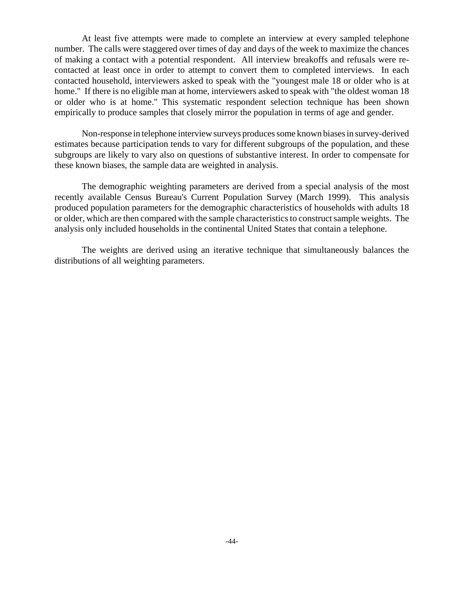At least five attempts were made to complete an interview at every sampled telephone number. The calls were staggered over times of day and days of the week to maximize the chances of making a contact with a potential respondent. All interview breakoffs and refusals were recontacted at least once in order to attempt to convert them to completed interviews. In each contacted household, interviewers asked to speak with the "youngest male 18 or older who is at home." If there is no eligible man at home, interviewers asked to speak with "the oldest woman 18" or older who is at home." This systematic respondent selection technique has been shown empirically to produce samples that closely mirror the population in terms of age and gender.

Non-response in telephone interview surveys produces some known biases in survey-derived estimates because participation tends to vary for different subgroups of the population, and these subgroups are likely to vary also on questions of substantive interest. In order to compensate for these known biases, the sample data are weighted in analysis.

The demographic weighting parameters are derived from a special analysis of the most recently available Census Bureau's Current Population Survey (March 1999). This analysis produced population parameters for the demographic characteristics of households with adults 18 or older, which are then compared with the sample characteristics to construct sample weights. The analysis only included households in the continental United States that contain a telephone.

The weights are derived using an iterative technique that simultaneously balances the distributions of all weighting parameters.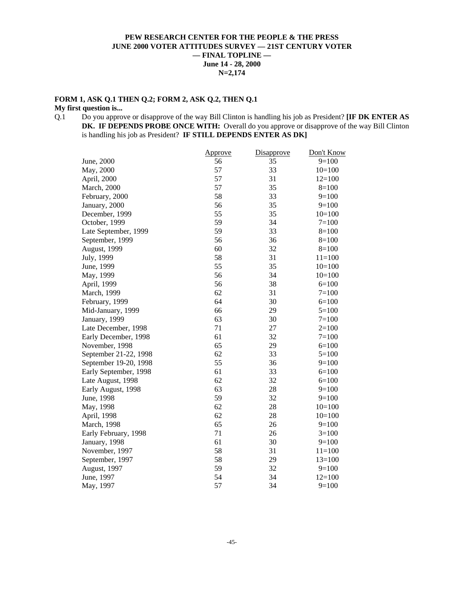### **PEW RESEARCH CENTER FOR THE PEOPLE & THE PRESS JUNE 2000 VOTER ATTITUDES SURVEY — 21ST CENTURY VOTER — FINAL TOPLINE — June 14 - 28, 2000 N=2,174**

### **FORM 1, ASK Q.1 THEN Q.2; FORM 2, ASK Q.2, THEN Q.1**

# **My first question is...**<br>Q.1 Do you appro-

Do you approve or disapprove of the way Bill Clinton is handling his job as President? **[IF DK ENTER AS** DK. IF DEPENDS PROBE ONCE WITH: Overall do you approve or disapprove of the way Bill Clinton is handling his job as President? **IF STILL DEPENDS ENTER AS DK]**

|                       | <u>Approve</u> | Disapprove | Don't Know |
|-----------------------|----------------|------------|------------|
| June, 2000            | 56             | 35         | $9=100$    |
| May, 2000             | 57             | 33         | $10=100$   |
| April, 2000           | 57             | 31         | $12=100$   |
| <b>March</b> , 2000   | 57             | 35         | $8=100$    |
| February, 2000        | 58             | 33         | $9=100$    |
| January, 2000         | 56             | 35         | $9=100$    |
| December, 1999        | 55             | 35         | $10=100$   |
| October, 1999         | 59             | 34         | $7=100$    |
| Late September, 1999  | 59             | 33         | $8=100$    |
| September, 1999       | 56             | 36         | $8=100$    |
| August, 1999          | 60             | 32         | $8=100$    |
| July, 1999            | 58             | 31         | $11=100$   |
| June, 1999            | 55             | 35         | $10=100$   |
| May, 1999             | 56             | 34         | $10=100$   |
| April, 1999           | 56             | 38         | $6=100$    |
| March, 1999           | 62             | 31         | $7 = 100$  |
| February, 1999        | 64             | 30         | $6=100$    |
| Mid-January, 1999     | 66             | 29         | $5=100$    |
| January, 1999         | 63             | 30         | $7=100$    |
| Late December, 1998   | 71             | 27         | $2=100$    |
| Early December, 1998  | 61             | 32         | $7 = 100$  |
| November, 1998        | 65             | 29         | $6=100$    |
| September 21-22, 1998 | 62             | 33         | $5 = 100$  |
| September 19-20, 1998 | 55             | 36         | $9=100$    |
| Early September, 1998 | 61             | 33         | $6=100$    |
| Late August, 1998     | 62             | 32         | $6=100$    |
| Early August, 1998    | 63             | 28         | $9=100$    |
| June, 1998            | 59             | 32         | $9=100$    |
| May, 1998             | 62             | 28         | $10=100$   |
| April, 1998           | 62             | 28         | $10=100$   |
| March, 1998           | 65             | 26         | $9=100$    |
| Early February, 1998  | 71             | 26         | $3=100$    |
| January, 1998         | 61             | 30         | $9=100$    |
| November, 1997        | 58             | 31         | $11 = 100$ |
| September, 1997       | 58             | 29         | $13=100$   |
| August, 1997          | 59             | 32         | $9=100$    |
| June, 1997            | 54             | 34         | $12=100$   |
| May, 1997             | 57             | 34         | $9=100$    |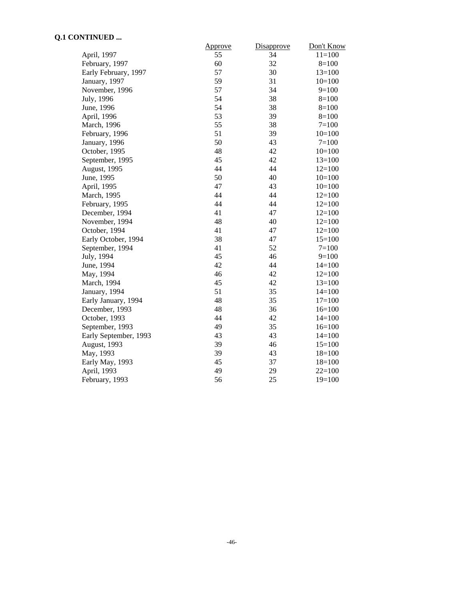### **Q.1 CONTINUED ...**

|                       | Approve | Disapprove | Don't Know |
|-----------------------|---------|------------|------------|
| April, 1997           | 55      | 34         | $11=100$   |
| February, 1997        | 60      | 32         | $8=100$    |
| Early February, 1997  | 57      | 30         | $13=100$   |
| January, 1997         | 59      | 31         | $10=100$   |
| November, 1996        | 57      | 34         | $9=100$    |
| July, 1996            | 54      | 38         | $8=100$    |
| June, 1996            | 54      | 38         | $8=100$    |
| April, 1996           | 53      | 39         | $8=100$    |
| March, 1996           | 55      | 38         | $7=100$    |
| February, 1996        | 51      | 39         | $10=100$   |
| January, 1996         | 50      | 43         | $7 = 100$  |
| October, 1995         | 48      | 42         | $10=100$   |
| September, 1995       | 45      | 42         | $13=100$   |
| August, 1995          | 44      | 44         | $12=100$   |
| June, 1995            | 50      | 40         | $10=100$   |
| April, 1995           | 47      | 43         | $10=100$   |
| March, 1995           | 44      | 44         | $12=100$   |
| February, 1995        | 44      | 44         | $12=100$   |
| December, 1994        | 41      | 47         | $12=100$   |
| November, 1994        | 48      | 40         | $12=100$   |
| October, 1994         | 41      | 47         | $12=100$   |
| Early October, 1994   | 38      | 47         | $15=100$   |
| September, 1994       | 41      | 52         | $7 = 100$  |
| July, 1994            | 45      | 46         | $9=100$    |
| June, 1994            | 42      | 44         | $14=100$   |
| May, 1994             | 46      | 42         | $12=100$   |
| March, 1994           | 45      | 42         | $13=100$   |
| January, 1994         | 51      | 35         | $14=100$   |
| Early January, 1994   | 48      | 35         | $17=100$   |
| December, 1993        | 48      | 36         | $16=100$   |
| October, 1993         | 44      | 42         | $14=100$   |
| September, 1993       | 49      | 35         | $16=100$   |
| Early September, 1993 | 43      | 43         | $14=100$   |
| August, 1993          | 39      | 46         | $15=100$   |
| May, 1993             | 39      | 43         | $18=100$   |
| Early May, 1993       | 45      | 37         | $18=100$   |
| April, 1993           | 49      | 29         | $22=100$   |
| February, 1993        | 56      | 25         | $19=100$   |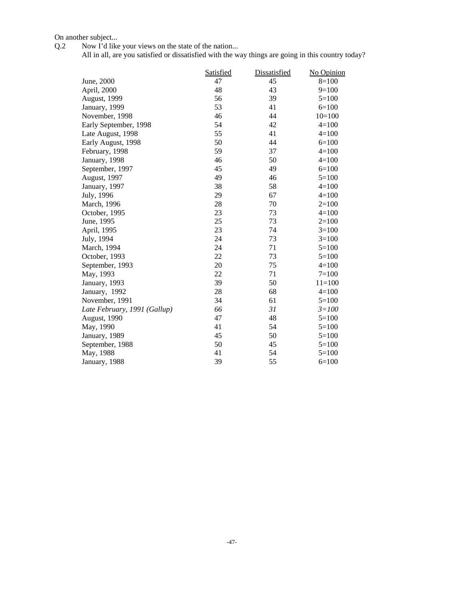On another subject...

Q.2 Now I'd like your views on the state of the nation...

All in all, are you satisfied or dissatisfied with the way things are going in this country today?

|                              | <b>Satisfied</b> | <b>Dissatisfied</b> | No Opinion |
|------------------------------|------------------|---------------------|------------|
| June, 2000                   | 47               | 45                  | $8=100$    |
| April, 2000                  | 48               | 43                  | $9=100$    |
| August, 1999                 | 56               | 39                  | $5=100$    |
| January, 1999                | 53               | 41                  | $6=100$    |
| November, 1998               | 46               | 44                  | $10=100$   |
| Early September, 1998        | 54               | 42                  | $4 = 100$  |
| Late August, 1998            | 55               | 41                  | $4=100$    |
| Early August, 1998           | 50               | 44                  | $6=100$    |
| February, 1998               | 59               | 37                  | $4=100$    |
| January, 1998                | 46               | 50                  | $4=100$    |
| September, 1997              | 45               | 49                  | $6=100$    |
| August, 1997                 | 49               | 46                  | $5=100$    |
| January, 1997                | 38               | 58                  | $4=100$    |
| July, 1996                   | 29               | 67                  | $4=100$    |
| March, 1996                  | 28               | 70                  | $2=100$    |
| October, 1995                | 23               | 73                  | $4 = 100$  |
| June, 1995                   | 25               | 73                  | $2=100$    |
| April, 1995                  | 23               | 74                  | $3=100$    |
| July, 1994                   | 24               | 73                  | $3=100$    |
| March, 1994                  | 24               | 71                  | $5=100$    |
| October, 1993                | 22               | 73                  | $5=100$    |
| September, 1993              | 20               | 75                  | $4=100$    |
| May, 1993                    | 22               | 71                  | $7 = 100$  |
| January, 1993                | 39               | 50                  | $11=100$   |
| January, 1992                | 28               | 68                  | $4=100$    |
| November, 1991               | 34               | 61                  | $5=100$    |
| Late February, 1991 (Gallup) | 66               | 31                  | $3 = 100$  |
| August, 1990                 | 47               | 48                  | $5=100$    |
| May, 1990                    | 41               | 54                  | $5=100$    |
| January, 1989                | 45               | 50                  | $5=100$    |
| September, 1988              | 50               | 45                  | $5=100$    |
| May, 1988                    | 41               | 54                  | $5=100$    |
| January, 1988                | 39               | 55                  | $6=100$    |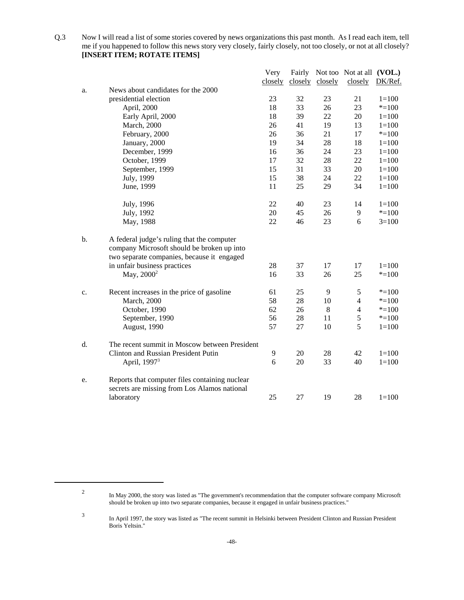Q.3 Now I will read a list of some stories covered by news organizations this past month. As I read each item, tell me if you happened to follow this news story very closely, fairly closely, not too closely, or not at all closely? **[INSERT ITEM; ROTATE ITEMS]**

|    |                                                                                                                                        | Very    |    |                 | Fairly Not too Not at all (VOL.) |           |
|----|----------------------------------------------------------------------------------------------------------------------------------------|---------|----|-----------------|----------------------------------|-----------|
|    |                                                                                                                                        | closely |    | closely closely | closely                          | DK/Ref.   |
| a. | News about candidates for the 2000                                                                                                     |         |    |                 |                                  |           |
|    | presidential election                                                                                                                  | 23      | 32 | 23              | 21                               | $1 = 100$ |
|    | April, 2000                                                                                                                            | 18      | 33 | 26              | 23                               | $* = 100$ |
|    | Early April, 2000                                                                                                                      | 18      | 39 | 22              | 20                               | $1 = 100$ |
|    | <b>March</b> , 2000                                                                                                                    | 26      | 41 | 19              | 13                               | $1 = 100$ |
|    | February, 2000                                                                                                                         | 26      | 36 | 21              | 17                               | $* = 100$ |
|    | January, 2000                                                                                                                          | 19      | 34 | 28              | 18                               | $1 = 100$ |
|    | December, 1999                                                                                                                         | 16      | 36 | 24              | 23                               | $1 = 100$ |
|    | October, 1999                                                                                                                          | 17      | 32 | 28              | 22                               | $1 = 100$ |
|    | September, 1999                                                                                                                        | 15      | 31 | 33              | 20                               | $1 = 100$ |
|    | July, 1999                                                                                                                             | 15      | 38 | 24              | 22                               | $1 = 100$ |
|    | June, 1999                                                                                                                             | 11      | 25 | 29              | 34                               | $1 = 100$ |
|    | July, 1996                                                                                                                             | 22      | 40 | 23              | 14                               | $1 = 100$ |
|    | July, 1992                                                                                                                             | 20      | 45 | 26              | 9                                | $* = 100$ |
|    | May, 1988                                                                                                                              | 22      | 46 | 23              | 6                                | $3=100$   |
| b. | A federal judge's ruling that the computer<br>company Microsoft should be broken up into<br>two separate companies, because it engaged |         |    |                 |                                  |           |
|    | in unfair business practices                                                                                                           | 28      | 37 | 17              | 17                               | $1 = 100$ |
|    | May, 2000 <sup>2</sup>                                                                                                                 | 16      | 33 | 26              | 25                               | $* = 100$ |
| c. | Recent increases in the price of gasoline                                                                                              | 61      | 25 | 9               | 5                                | $* = 100$ |
|    | <b>March</b> , 2000                                                                                                                    | 58      | 28 | 10              | $\overline{4}$                   | $* = 100$ |
|    | October, 1990                                                                                                                          | 62      | 26 | 8               | $\overline{4}$                   | $* = 100$ |
|    | September, 1990                                                                                                                        | 56      | 28 | 11              | 5                                | $* = 100$ |
|    | August, 1990                                                                                                                           | 57      | 27 | 10              | 5                                | $1 = 100$ |
| d. | The recent summit in Moscow between President                                                                                          |         |    |                 |                                  |           |
|    | Clinton and Russian President Putin                                                                                                    | 9       | 20 | 28              | 42                               | $1 = 100$ |
|    | April, 1997 <sup>3</sup>                                                                                                               | 6       | 20 | 33              | 40                               | $1 = 100$ |
| e. | Reports that computer files containing nuclear<br>secrets are missing from Los Alamos national                                         |         |    |                 |                                  |           |
|    | laboratory                                                                                                                             | 25      | 27 | 19              | 28                               | $1 = 100$ |
|    |                                                                                                                                        |         |    |                 |                                  |           |

<sup>2</sup> In May 2000, the story was listed as "The government's recommendation that the computer software company Microsoft should be broken up into two separate companies, because it engaged in unfair business practices."

<sup>3</sup> In April 1997, the story was listed as "The recent summit in Helsinki between President Clinton and Russian President Boris Yeltsin."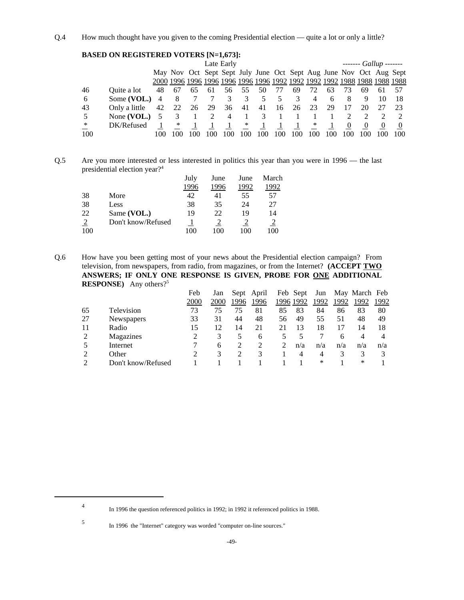Q.4 How much thought have you given to the coming Presidential election — quite a lot or only a little?

|     | <b>BASED ON REGISTERED VOTERS [N=1,673]:</b> |     |    |    |    |                |        |     |      |     |     |     |     |     |                                                                    |     |
|-----|----------------------------------------------|-----|----|----|----|----------------|--------|-----|------|-----|-----|-----|-----|-----|--------------------------------------------------------------------|-----|
|     |                                              |     |    |    |    | Late Early     |        |     |      |     |     |     |     |     | $----$ Gallup -------                                              |     |
|     |                                              |     |    |    |    |                |        |     |      |     |     |     |     |     | May Nov Oct Sept Sept July June Oct Sept Aug June Nov Oct Aug Sept |     |
|     |                                              |     |    |    |    |                |        |     |      |     |     |     |     |     |                                                                    |     |
| 46  | Ouite a lot                                  | 48  | 67 | 65 | 61 | 56             | 55     | 50  | 77   | 69  | 72  | 63  | 73  | 69  | 61                                                                 |     |
| 6   | Some (VOL.)                                  |     | 8  |    |    | 3              | 3      | 5   | 5    |     |     | 6   | 8   | 9   | 10                                                                 |     |
| 43  | Only a little                                | 42  | 22 | 26 | 29 | 36 41          |        | 41  | - 16 | 26  | 23  | 29  |     | 20  |                                                                    |     |
| 5   | None $(VOL.)$                                |     |    |    | 2  | $\overline{4}$ |        | 3   |      |     |     |     |     |     |                                                                    |     |
| ∗   | DK/Refused                                   |     | ∗  |    |    |                | $\ast$ |     |      |     | ∗   |     | 0   | 0   |                                                                    |     |
| 100 |                                              | 100 | 00 |    |    |                | 100    | 100 | 100  | 100 | 100 | 100 | 100 | 100 |                                                                    | 100 |

Q.5 Are you more interested or less interested in politics this year than you were in 1996 — the last presidential election year?4

|     |                    | July | June | June | March |
|-----|--------------------|------|------|------|-------|
|     |                    | 1996 | 1996 | 1992 | 992   |
| 38  | More               | 42   | 41   | 55   | 57    |
| 38  | Less               | 38   | 35   | 24   | 27    |
| 22  | Same (VOL.)        | 19   | 22   | 19   | 14    |
|     | Don't know/Refused |      |      |      |       |
| 100 |                    |      | 100  | 100  | (0)   |

Q.6 How have you been getting most of your news about the Presidential election campaign? From television, from newspapers, from radio, from magazines, or from the Internet? **(ACCEPT TWO ANSWERS; IF ONLY ONE RESPONSE IS GIVEN, PROBE FOR ONE ADDITIONAL RESPONSE)** Any others?5

|    |                    | Feb  | Jan  | Sept          | April |    | Feb Sept  | Jun  |      | May March Feb |      |
|----|--------------------|------|------|---------------|-------|----|-----------|------|------|---------------|------|
|    |                    | 2000 | 2000 | 1996          | 1996  |    | 1996 1992 | 1992 | 1992 | 1992          | 1992 |
| 65 | Television         | 73   | 75   | 75            | 81    | 85 | 83        | 84   | 86   | 83            | 80   |
| 27 | Newspapers         | 33   | 31   | 44            | 48    | 56 | 49        | 55   | 51   | 48            | 49   |
| 11 | Radio              | 15   | 12   | 14            | 21    | 21 | 13        | 18   |      | 14            | 18   |
| 2  | Magazines          |      | 3    | $\mathcal{L}$ | 6     |    |           |      | 6    | 4             | 4    |
|    | Internet           |      | 6    |               |       |    | n/a       | n/a  | n/a  | n/a           | n/a  |
|    | Other              |      | 3    |               | 3     |    | 4         | 4    |      | 3             |      |
|    | Don't know/Refused |      |      |               |       |    |           | ∗    |      | ∗             |      |

<sup>4</sup> In 1996 the question referenced politics in 1992; in 1992 it referenced politics in 1988.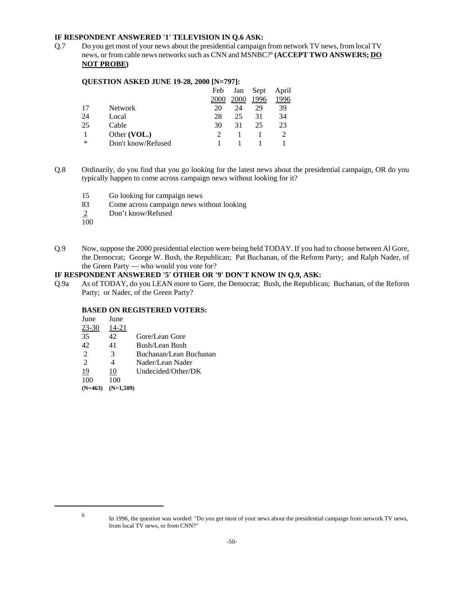### **IF RESPONDENT ANSWERED '1' TELEVISION IN Q.6 ASK:**

Q.7 Do you get most of your news about the presidential campaign from network TV news, from local TV news, or from cable news networks such as CNN and MSNBC?6 **(ACCEPT TWO ANSWERS; DO NOT PROBE)**

### **QUESTION ASKED JUNE 19-28, 2000 [N=797]:**

|    |                    | Feb  | Jan  | Sept | April |
|----|--------------------|------|------|------|-------|
|    |                    | 2000 | 2000 | 1996 | 1996  |
| 17 | <b>Network</b>     | 20   | 24   | 29   | 39    |
| 24 | Local              | 28   | 25   | 31   | 34    |
| 25 | Cable              | 30   | 31   | 25   | 23    |
|    | Other (VOL.)       |      |      |      |       |
| ∗  | Don't know/Refused |      |      |      |       |

- Q.8 Ordinarily, do you find that you go looking for the latest news about the presidential campaign, OR do you typically happen to come across campaign news without looking for it?
	- 15 Go looking for campaign news
	- 83 Come across campaign news without looking<br>2 Don't know/Refused
	- Don't know/Refused
	- $\overline{100}$
- Q.9 Now, suppose the 2000 presidential election were being held TODAY. If you had to choose between Al Gore, the Democrat; George W. Bush, the Republican; Pat Buchanan, of the Reform Party; and Ralph Nader, of the Green Party — who would you vote for?

### **IF RESPONDENT ANSWERED '5' OTHER OR '9' DON'T KNOW IN Q.9, ASK:**

Q.9a As of TODAY, do you LEAN more to Gore, the Democrat; Bush, the Republican; Buchanan, of the Reform Party; or Nader, of the Green Party?

### **BASED ON REGISTERED VOTERS:**

| June                        | June          |                        |
|-----------------------------|---------------|------------------------|
| $23 - 30$                   | 14-21         |                        |
| 35                          | 42            | Gore/Lean Gore         |
| 42                          | 41            | Bush/Lean Bush         |
| $\mathcal{L}$               | $\mathcal{R}$ | Buchanan/Lean Buchanan |
| $\mathcal{D}_{\mathcal{L}}$ | 4             | Nader/Lean Nader       |
| 19                          | 10            | Undecided/Other/DK     |
|                             |               |                        |

**(N=463) (N=1,509)**

<sup>6</sup> In 1996, the question was worded: "Do you get most of your news about the presidential campaign from network TV news, from local TV news, or from CNN?"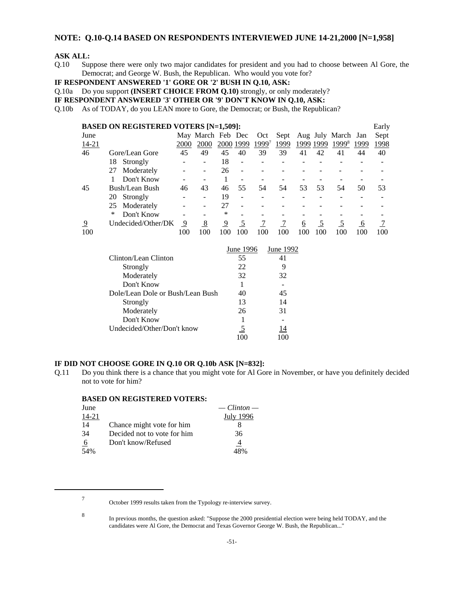### **NOTE: Q.10-Q.14 BASED ON RESPONDENTS INTERVIEWED JUNE 14-21,2000 [N=1,958]**

### **ASK ALL:**

Q.10 Suppose there were only two major candidates for president and you had to choose between Al Gore, the Democrat; and George W. Bush, the Republican. Who would you vote for?

**IF RESPONDENT ANSWERED '1' GORE OR '2' BUSH IN Q.10, ASK:**

Q.10a Do you support **(INSERT CHOICE FROM Q.10)** strongly, or only moderately?

**IF RESPONDENT ANSWERED '3' OTHER OR '9' DON'T KNOW IN Q.10, ASK:**

Q.10b As of TODAY, do you LEAN more to Gore, the Democrat; or Bush, the Republican?

|       | <b>BASED ON REGISTERED VOTERS [N=1,509]:</b> |      |                   |           |                          |                   |      |      |      |                         |      | Early |
|-------|----------------------------------------------|------|-------------------|-----------|--------------------------|-------------------|------|------|------|-------------------------|------|-------|
| June  |                                              |      | May March Feb Dec |           |                          | Oct               |      |      |      | Sept Aug July March Jan |      | Sept  |
| 14-21 |                                              | 2000 | 2000              | 2000 1999 |                          | 1999 <sup>7</sup> | 1999 | 1999 | 1999 | 1999 <sup>8</sup>       | 1999 | 1998  |
| 46    | Gore/Lean Gore                               | 45   | 49                | 45        | 40                       | 39                | 39   | 41   | 42   | 41                      | 44   | 40    |
|       | 18<br>Strongly                               |      |                   | 18        | $\overline{\phantom{0}}$ |                   |      |      |      |                         |      |       |
|       | Moderately<br>27                             |      |                   | 26        |                          |                   |      |      |      |                         |      |       |
|       | Don't Know                                   |      |                   |           |                          |                   |      |      |      |                         |      |       |
| 45    | Bush/Lean Bush                               | 46   | 43                | 46        | 55                       | 54                | 54   | 53   | 53   | 54                      | 50   | 53    |
|       | Strongly<br>20                               |      |                   | 19        |                          |                   |      |      |      |                         |      |       |
|       | Moderately<br>25                             |      |                   | 27        |                          |                   |      |      |      |                         |      |       |
|       | Don't Know<br>∗                              |      |                   | ∗         |                          |                   |      |      |      |                         |      |       |
| 9     | Undecided/Other/DK                           | 9    | <u>8</u>          | 9         |                          |                   |      | 6    |      |                         | 6    |       |
| 100   |                                              | 100  | 100               | 100       | 100                      | 100               | 100  | 100  | 100  | 100                     | 100  | 100   |

|                                  | June 1996 | June 1992 |
|----------------------------------|-----------|-----------|
| Clinton/Lean Clinton             | 55        | 41        |
| Strongly                         | 22        | g         |
| Moderately                       | 32        | 32        |
| Don't Know                       |           |           |
| Dole/Lean Dole or Bush/Lean Bush | 40        | 45        |
| Strongly                         | 13        | 14        |
| Moderately                       | 26        | 31        |
| Don't Know                       |           |           |
| Undecided/Other/Don't know       | 5         | 14        |
|                                  |           |           |

### **IF DID NOT CHOOSE GORE IN Q.10 OR Q.10b ASK [N=832]:**

Q.11 Do you think there is a chance that you might vote for Al Gore in November, or have you definitely decided not to vote for him?

#### **BASED ON REGISTERED VOTERS:**

| June  |                             | $-$ Clinton $-$ |
|-------|-----------------------------|-----------------|
| 14-21 |                             | July 1996       |
| 14    | Chance might vote for him   |                 |
| 34    | Decided not to vote for him | 36              |
| 6     | Don't know/Refused          | 4               |
| 54%   |                             | 48%             |

<sup>7</sup> October 1999 results taken from the Typology re-interview survey.

<sup>8</sup> In previous months, the question asked: "Suppose the 2000 presidential election were being held TODAY, and the candidates were Al Gore, the Democrat and Texas Governor George W. Bush, the Republican..."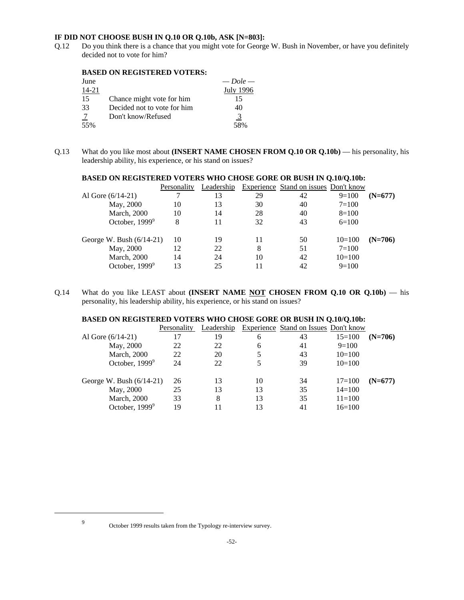### **IF DID NOT CHOOSE BUSH IN Q.10 OR Q.10b, ASK [N=803]:**

Q.12 Do you think there is a chance that you might vote for George W. Bush in November, or have you definitely decided not to vote for him?

### **BASED ON REGISTERED VOTERS:**

| June  |                             | $-$ Dole $-$ |
|-------|-----------------------------|--------------|
| 14-21 |                             | July 1996    |
| 15    | Chance might vote for him   | 15           |
| 33    | Decided not to vote for him | 40           |
| -7    | Don't know/Refused          | <u>3</u>     |
| 55%   |                             | 58%          |

Q.13 What do you like most about **(INSERT NAME CHOSEN FROM Q.10 OR Q.10b)** — his personality, his leadership ability, his experience, or his stand on issues?

| Personality                      | Leadership |    |    |           |                                              |
|----------------------------------|------------|----|----|-----------|----------------------------------------------|
|                                  | 13         | 29 | 42 | $9=100$   | $(N=677)$                                    |
| 10                               | 13         | 30 | 40 | $7 = 100$ |                                              |
| 10                               | 14         | 28 | 40 | $8=100$   |                                              |
| 8                                | 11         | 32 | 43 | $6=100$   |                                              |
| George W. Bush $(6/14-21)$<br>10 | 19         | 11 | 50 | $10=100$  | $(N=706)$                                    |
| 12                               | 22         | 8  | 51 | $7 = 100$ |                                              |
| 14                               | 24         | 10 | 42 | $10=100$  |                                              |
| 13                               | 25         |    | 42 | $9=100$   |                                              |
|                                  |            |    |    |           | <b>Experience</b> Stand on issues Don't know |

### **BASED ON REGISTERED VOTERS WHO CHOSE GORE OR BUSH IN Q.10/Q.10b:**

Q.14 What do you like LEAST about **(INSERT NAME NOT CHOSEN FROM Q.10 OR Q.10b)** — his personality, his leadership ability, his experience, or his stand on issues?

### **BASED ON REGISTERED VOTERS WHO CHOSE GORE OR BUSH IN Q.10/Q.10b:**

|                            | Personality | Leadership |    | Experience Stand on Issues Don't know |            |           |
|----------------------------|-------------|------------|----|---------------------------------------|------------|-----------|
| Al Gore $(6/14-21)$        |             | 19         | 6  | 43                                    | $15=100$   | $(N=706)$ |
| May, 2000                  | 22          | 22         | 6  | 41                                    | $9=100$    |           |
| <b>March</b> , 2000        | 22          | 20         |    | 43                                    | $10=100$   |           |
| October, $1999^9$          | 24          | 22         | 5  | 39                                    | $10=100$   |           |
| George W. Bush $(6/14-21)$ | 26          | 13         | 10 | 34                                    | $17 = 100$ | $(N=677)$ |
| May, 2000                  | 25          | 13         | 13 | 35                                    | $14 = 100$ |           |
| <b>March</b> , 2000        | 33          | 8          | 13 | 35                                    | $11 = 100$ |           |
| October, 1999 <sup>9</sup> | 19          | 11         | 13 | 41                                    | $16=100$   |           |

<sup>9</sup> October 1999 results taken from the Typology re-interview survey.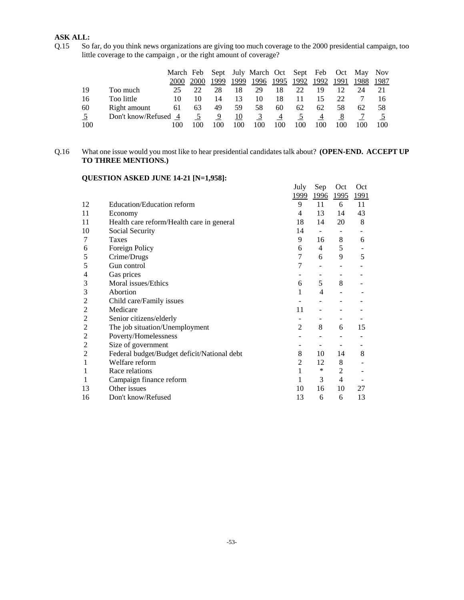## **ASK ALL:**

Q.15 So far, do you think news organizations are giving too much coverage to the 2000 presidential campaign, too little coverage to the campaign , or the right amount of coverage?

|     |                    | March Feb |             |      |      | Sept July March Oct Sept Feb Oct May Nov |      |      |      |      |      |      |
|-----|--------------------|-----------|-------------|------|------|------------------------------------------|------|------|------|------|------|------|
|     |                    | 2000      | <b>2000</b> | 1999 | 1999 | 1996                                     | 1995 | 1992 | 1992 | 1991 | 1988 | 1987 |
| 19  | Too much           | 25        |             | 28   | 18   | 29                                       | 18   | 22   | 19   |      | 24   |      |
| 16  | Too little         | 10        |             | 14   |      | 10                                       | 18   |      |      | 22   |      |      |
| 60  | Right amount       | 61        | 63          | 49   | 59   | 58                                       | 60   | 62   | 62   | 58   | 62   | 58   |
| 5   | Don't know/Refused | -4        |             | 9    | 10   | $\mathfrak{I}$                           | 4    |      | 4    |      |      |      |
| 100 |                    |           |             |      |      | 100                                      | 100  | 100  | 100  |      |      | 100  |

## Q.16 What one issue would you most like to hear presidential candidates talk about? **(OPEN-END. ACCEPT UP TO THREE MENTIONS.)**

# **QUESTION ASKED JUNE 14-21 [N=1,958]:**

|                |                                             | July           | Sep               | Oct                      | Oct         |
|----------------|---------------------------------------------|----------------|-------------------|--------------------------|-------------|
|                |                                             | 1999           | <u>1996</u>       | <u>1995</u>              | <u>1991</u> |
| 12             | <b>Education/Education reform</b>           | 9              | 11                | 6                        | 11          |
| 11             | Economy                                     | 4              | 13                | 14                       | 43          |
| 11             | Health care reform/Health care in general   | 18             | 14                | 20                       | 8           |
| 10             | Social Security                             | 14             | $\blacksquare$    | $\overline{\phantom{a}}$ |             |
| 7              | Taxes                                       | 9              | 16                | 8                        | 6           |
| 6              | Foreign Policy                              | 6              | 4                 | 5                        |             |
| 5              | Crime/Drugs                                 | 7              | 6                 | 9                        | 5           |
| 5              | Gun control                                 | 7              |                   |                          |             |
| 4              | Gas prices                                  |                |                   | -                        |             |
| 3              | Moral issues/Ethics                         | 6              | 5                 | 8                        |             |
| 3              | Abortion                                    | 1              | 4                 |                          |             |
| 2              | Child care/Family issues                    |                |                   |                          |             |
| 2              | Medicare                                    | 11             |                   |                          |             |
| 2              | Senior citizens/elderly                     | -              | $\qquad \qquad -$ | -                        |             |
| 2              | The job situation/Unemployment              | $\overline{2}$ | 8                 | 6                        | 15          |
| $\overline{c}$ | Poverty/Homelessness                        |                |                   |                          |             |
| $\overline{c}$ | Size of government                          | -              | -                 | -                        |             |
| 2              | Federal budget/Budget deficit/National debt | 8              | 10                | 14                       | 8           |
|                | Welfare reform                              | 2              | 12                | 8                        |             |
|                | Race relations                              | 1              | $\ast$            | $\overline{2}$           |             |
|                | Campaign finance reform                     | 1              | 3                 | 4                        |             |
| 13             | Other issues                                | 10             | 16                | 10                       | 27          |
| 16             | Don't know/Refused                          | 13             | 6                 | 6                        | 13          |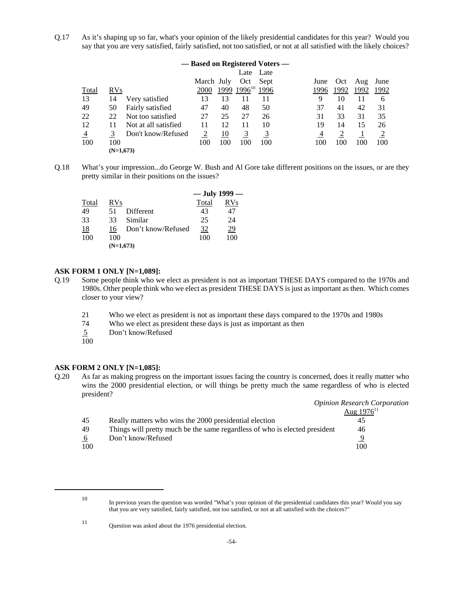Q.17 As it's shaping up so far, what's your opinion of the likely presidential candidates for this year? Would you say that you are very satisfied, fairly satisfied, not too satisfied, or not at all satisfied with the likely choices?

|                | — Based on Registered Voters — |                      |            |     |                    |      |  |      |      |      |      |
|----------------|--------------------------------|----------------------|------------|-----|--------------------|------|--|------|------|------|------|
|                |                                |                      |            |     | Late               | Late |  |      |      |      |      |
|                |                                |                      | March July |     | Oct                | Sept |  | June | Oct  | Aug  | June |
| <b>Total</b>   | <b>RVs</b>                     |                      | 2000       |     | $1999$ $1996^{10}$ | 1996 |  | 1996 | 1992 | 1992 | 1992 |
| 13             | 14                             | Very satisfied       | 13         | 13  |                    | 11   |  | 9    | 10   | 11   | 6    |
| 49             | 50                             | Fairly satisfied     | 47         | 40  | 48                 | 50   |  | 37   | 41   | 42   | 31   |
| 22             | 22                             | Not too satisfied    | 27         | 25  | 27                 | 26   |  | 31   | 33   | 31   | 35   |
| 12             | 11                             | Not at all satisfied | 11         | 12  | 11                 | 10   |  | 19   | 14   | 15   | 26   |
| $\overline{4}$ | 3                              | Don't know/Refused   | 2          | 10  | 3                  |      |  | 4    |      |      |      |
| 100            | 100                            |                      | 100        | 100 | 100                | 100  |  | 100  | 100  | 100  | 100  |
|                | $(N=1,673)$                    |                      |            |     |                    |      |  |      |      |      |      |

Q.18 What's your impression...do George W. Bush and Al Gore take different positions on the issues, or are they pretty similar in their positions on the issues?

|       |             |                    | $-$ July 1999 $-$ |     |
|-------|-------------|--------------------|-------------------|-----|
| Total | <b>RVs</b>  |                    | Total             | RVs |
| 49    | 51          | Different          | 43                | 47  |
| 33    | 33          | Similar            | 25                | 24  |
| 18    | 16          | Don't know/Refused | 32                | 29  |
| 100   | 100         |                    | 100               | 100 |
|       | $(N=1,673)$ |                    |                   |     |

### **ASK FORM 1 ONLY [N=1,089]:**

- Q.19 Some people think who we elect as president is not as important THESE DAYS compared to the 1970s and 1980s. Other people think who we elect as president THESE DAYS is just as important as then. Which comes closer to your view?
	- 21 Who we elect as president is not as important these days compared to the 1970s and 1980s
	- 74 Who we elect as president these days is just as important as then
	- 5 Don't know/Refused
	- 100

### **ASK FORM 2 ONLY [N=1,085]:**

Q.20 As far as making progress on the important issues facing the country is concerned, does it really matter who wins the 2000 presidential election, or will things be pretty much the same regardless of who is elected president?

|     |                                                                            | <b>Opinion Research Corporation</b> |
|-----|----------------------------------------------------------------------------|-------------------------------------|
|     |                                                                            | Aug $1976^{11}$                     |
| 45  | Really matters who wins the 2000 presidential election                     |                                     |
| 49  | Things will pretty much be the same regardless of who is elected president | 46                                  |
| b   | Don't know/Refused                                                         | Q                                   |
| 100 |                                                                            | 100                                 |

<sup>11</sup> Question was asked about the 1976 presidential election.

<sup>10</sup> In previous years the question was worded "What's your opinion of the presidential candidates this year? Would you say that you are very satisfied, fairly satisfied, not too satisfied, or not at all satisfied with the choices?"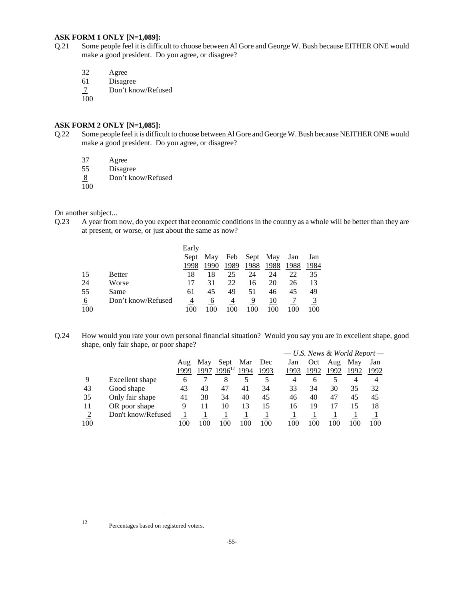### **ASK FORM 1 ONLY [N=1,089]:**

- Q.21 Some people feel it is difficult to choose between Al Gore and George W. Bush because EITHER ONE would make a good president. Do you agree, or disagree?
	- 32 Agree

61 Disagree

Don't know/Refused  $\frac{7}{100}$ 

### **ASK FORM 2 ONLY [N=1,085]:**

- Q.22 Some people feel it is difficult to choose between Al Gore and George W. Bush because NEITHER ONE would make a good president. Do you agree, or disagree?
	- 37 Agree<br>55 Disagr
	- **Disagree**
	- 8 Don't know/Refused
	- $\overline{100}$

On another subject...

Q.23 A year from now, do you expect that economic conditions in the country as a whole will be better than they are at present, or worse, or just about the same as now?

|     |                    | Early |      |      |      |          |      |      |
|-----|--------------------|-------|------|------|------|----------|------|------|
|     |                    | Sept  | May  | Feb  |      | Sept May | Jan  | Jan  |
|     |                    | 1998  | 1990 | 1989 | 1988 | 1988     | 1988 | 1984 |
| 15  | <b>Better</b>      | 18    | 18   | 25   | 24   | 24       | 22   | 35   |
| 24  | Worse              | 17    | 31   | 22   | 16   | 20       | 26   | 13   |
| 55  | Same               | 61    | 45   | 49   | 51   | 46       | 45   | 49   |
| 6   | Don't know/Refused | 4     | 6    |      | 9    | 10       |      |      |
| 100 |                    | 100   | 100  | 100  | 100  | 100      | 100  | 100  |

Q.24 How would you rate your own personal financial situation? Would you say you are in excellent shape, good shape, only fair shape, or poor shape? *— U.S. News & World Report —*

|     |                    |      |      |                    |      |      | $-$ U.S. News $\alpha$ World Report $-$ |              |      |      |      |
|-----|--------------------|------|------|--------------------|------|------|-----------------------------------------|--------------|------|------|------|
|     |                    | Aug  | May  | Sept               | Mar  | Dec  | Jan                                     | Oct          | Aug  | May  | Jan  |
|     |                    | 1999 | 1997 | 1996 <sup>12</sup> | 1994 | 1993 | 1993                                    | 1992         | 1992 | 1992 | 1992 |
| 9   | Excellent shape    | 6    |      | 8                  |      |      | 4                                       | <sub>b</sub> |      | 4    | 4    |
| 43  | Good shape         | 43   | 43   | 47                 | 41   | 34   | 33                                      | 34           | 30   | 35   | 32   |
| 35  | Only fair shape    | 41   | 38   | 34                 | 40   | 45   | 46                                      | 40           | 47   | 45   | 45   |
| 11  | OR poor shape      | 9    | 11   | 10                 | 13   | 15   | 16                                      | 19           |      | 15   | 18   |
|     | Don't know/Refused |      |      |                    |      |      |                                         |              |      |      |      |
| 100 |                    |      | 100  | 100                | 100  | 100  | 100                                     | 100          | 100  | 100  | 100  |

<sup>12</sup> Percentages based on registered voters.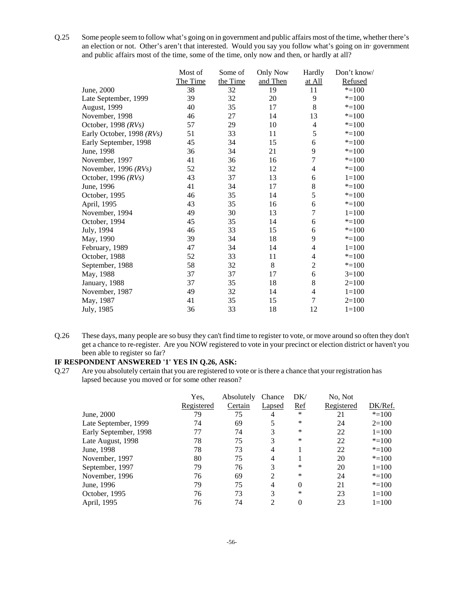Q.25 Some people seem to follow what's going on in government and public affairs most of the time, whether there's an election or not. Other's aren't that interested. Would you say you follow what's going on in government and public affairs most of the time, some of the time, only now and then, or hardly at all?

|                           | Most of  | Some of  | <b>Only Now</b> | Hardly         | Don't know/ |
|---------------------------|----------|----------|-----------------|----------------|-------------|
|                           | The Time | the Time | and Then        | at All         | Refused     |
| June, 2000                | 38       | 32       | 19              | 11             | $* = 100$   |
| Late September, 1999      | 39       | 32       | 20              | 9              | $* = 100$   |
| August, 1999              | 40       | 35       | 17              | 8              | $* = 100$   |
| November, 1998            | 46       | 27       | 14              | 13             | $* = 100$   |
| October, 1998 $(RVs)$     | 57       | 29       | 10              | $\overline{4}$ | $* = 100$   |
| Early October, 1998 (RVs) | 51       | 33       | 11              | 5              | $* = 100$   |
| Early September, 1998     | 45       | 34       | 15              | 6              | $* = 100$   |
| June, 1998                | 36       | 34       | 21              | 9              | $* = 100$   |
| November, 1997            | 41       | 36       | 16              | $\overline{7}$ | $* = 100$   |
| November, 1996 $(RVs)$    | 52       | 32       | 12              | 4              | $* = 100$   |
| October, 1996 $(RVs)$     | 43       | 37       | 13              | 6              | $1 = 100$   |
| June, 1996                | 41       | 34       | 17              | 8              | $* = 100$   |
| October, 1995             | 46       | 35       | 14              | 5              | $* = 100$   |
| April, 1995               | 43       | 35       | 16              | 6              | $* = 100$   |
| November, 1994            | 49       | 30       | 13              | $\overline{7}$ | $1 = 100$   |
| October, 1994             | 45       | 35       | 14              | 6              | $* = 100$   |
| July, 1994                | 46       | 33       | 15              | 6              | $* = 100$   |
| May, 1990                 | 39       | 34       | 18              | 9              | $* = 100$   |
| February, 1989            | 47       | 34       | 14              | 4              | $1 = 100$   |
| October, 1988             | 52       | 33       | 11              | 4              | $* = 100$   |
| September, 1988           | 58       | 32       | 8               | $\overline{2}$ | $* = 100$   |
| May, 1988                 | 37       | 37       | 17              | 6              | $3=100$     |
| January, 1988             | 37       | 35       | 18              | 8              | $2=100$     |
| November, 1987            | 49       | 32       | 14              | 4              | $1 = 100$   |
| May, 1987                 | 41       | 35       | 15              | 7              | $2=100$     |
| July, 1985                | 36       | 33       | 18              | 12             | $1 = 100$   |

Q.26 These days, many people are so busy they can't find time to register to vote, or move around so often they don't get a chance to re-register. Are you NOW registered to vote in your precinct or election district or haven't you been able to register so far?

### **IF RESPONDENT ANSWERED '1' YES IN Q.26, ASK:**

Q.27 Are you absolutely certain that you are registered to vote or is there a chance that your registration has lapsed because you moved or for some other reason?

|                       | Yes,       | Absolutely | Chance        | DK/        | No, Not    |           |
|-----------------------|------------|------------|---------------|------------|------------|-----------|
|                       | Registered | Certain    | <b>Lapsed</b> | <u>Ref</u> | Registered | DK/Ref.   |
| June, 2000            | 79         | 75         | 4             | $\ast$     | 21         | $* = 100$ |
| Late September, 1999  | 74         | 69         |               | ∗          | 24         | $2=100$   |
| Early September, 1998 | 77         | 74         | 3             | ∗          | 22         | $1 = 100$ |
| Late August, 1998     | 78         | 75         | 3             | *          | 22         | $* = 100$ |
| June, 1998            | 78         | 73         | 4             |            | 22         | $* = 100$ |
| November, 1997        | 80         | 75         | 4             |            | 20         | $* = 100$ |
| September, 1997       | 79         | 76         | 3             | *          | 20         | $1=100$   |
| November, 1996        | 76         | 69         | 2             | *          | 24         | $* = 100$ |
| June, 1996            | 79         | 75         | 4             | $\theta$   | 21         | $* = 100$ |
| October, 1995         | 76         | 73         | 3             | *          | 23         | $1 = 100$ |
| April, 1995           | 76         | 74         | 2             | 0          | 23         | $1=100$   |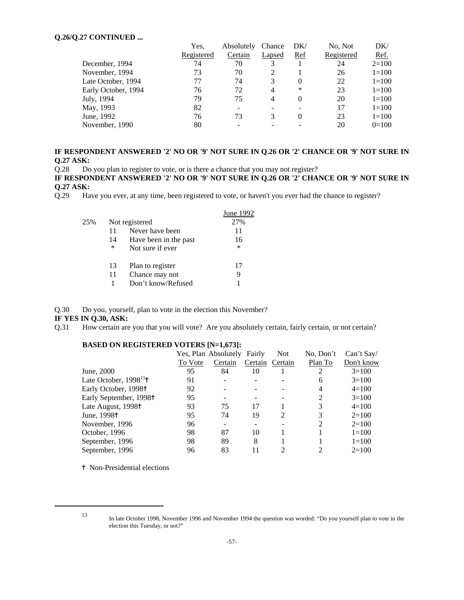### **Q.26/Q.27 CONTINUED ...**

| Yes.       | Absolutely | Chance         | DK/      | No, Not    | DK/       |
|------------|------------|----------------|----------|------------|-----------|
| Registered | Certain    | Lapsed         | Ref      | Registered | Ref.      |
| 74         | 70         |                |          | 24         | $2=100$   |
| 73         | 70         |                |          | 26         | $1=100$   |
| 77         | 74         | 3              | 0        | 22         | $1=100$   |
| 76         | 72         | 4              | ∗        | 23         | $1 = 100$ |
| 79         | 75         | $\overline{4}$ | $\Omega$ | 20         | $1=100$   |
| 82         |            |                |          | 17         | $1=100$   |
| 76         | 73         | 3              | 0        | 23         | $1=100$   |
| 80         |            |                |          | 20         | $0=100$   |
|            |            |                |          |            |           |

### **IF RESPONDENT ANSWERED '2' NO OR '9' NOT SURE IN Q.26 OR '2' CHANCE OR '9' NOT SURE IN Q.27 ASK:**

Q.28 Do you plan to register to vote, or is there a chance that you may not register?

**IF RESPONDENT ANSWERED '2' NO OR '9' NOT SURE IN Q.26 OR '2' CHANCE OR '9' NOT SURE IN Q.27 ASK:**

Q.29 Have you ever, at any time, been registered to vote, or haven't you ever had the chance to register?

|     |    |                       | June 1992 |
|-----|----|-----------------------|-----------|
| 25% |    | Not registered        | 27%       |
|     | 11 | Never have been       | 11        |
|     | 14 | Have been in the past | 16        |
|     | *  | Not sure if ever      | $\ast$    |
|     | 13 | Plan to register      | 17        |
|     | 11 | Chance may not        | 9         |
|     |    | Don't know/Refused    |           |
|     |    |                       |           |

Q.30 Do you, yourself, plan to vote in the election this November?

### **IF YES IN Q.30, ASK:**

Q.31 How certain are you that you will vote? Are you absolutely certain, fairly certain, or not certain?

### **BASED ON REGISTERED VOTERS [N=1,673]:**

|                                        |         | Yes, Plan Absolutely | Fairly  | <b>Not</b>     | No, Don't | Can't Say/ |
|----------------------------------------|---------|----------------------|---------|----------------|-----------|------------|
|                                        | To Vote | Certain              | Certain | Certain        | Plan To   | Don't know |
| June, 2000                             | 95      | 84                   | 10      |                | 2         | $3=100$    |
| Late October, $1998^{13}$ <sup>+</sup> | 91      |                      |         |                | 6         | $3=100$    |
| Early October, 1998 <sup>†</sup>       | 92      |                      |         |                | 4         | $4=100$    |
| Early September, 1998 <sup>†</sup>     | 95      |                      |         |                | 2         | $3=100$    |
| Late August, 1998 <sup>+</sup>         | 93      | 75                   | 17      |                | 3         | $4=100$    |
| June, 1998 <sup>†</sup>                | 95      | 74                   | 19      | $\mathfrak{D}$ | 3         | $2=100$    |
| November, 1996                         | 96      |                      |         |                | 2         | $2=100$    |
| October, 1996                          | 98      | 87                   | 10      |                |           | $1 = 100$  |
| September, 1996                        | 98      | 89                   | 8       |                |           | $1 = 100$  |
| September, 1996                        | 96      | 83                   | 11      | ∍              | 2         | $2=100$    |
|                                        |         |                      |         |                |           |            |

<sup> $\dagger$ </sup> Non-Presidential elections

<sup>13</sup> In late October 1998, November 1996 and November 1994 the question was worded: "Do you yourself plan to vote in the election this Tuesday, or not?"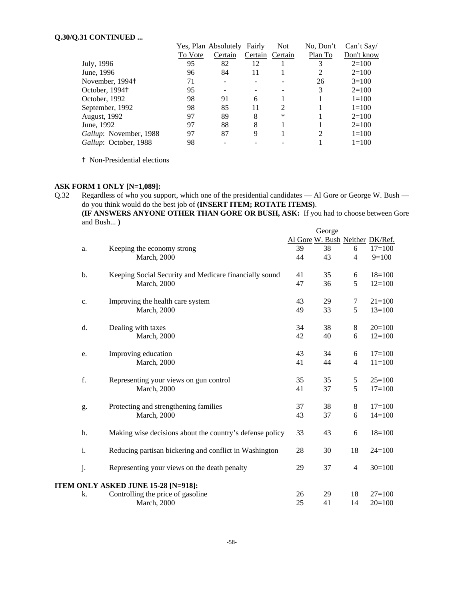### **Q.30/Q.31 CONTINUED ...**

| , <i>.</i>             |         |                             |         |                |           |            |
|------------------------|---------|-----------------------------|---------|----------------|-----------|------------|
|                        |         | Yes, Plan Absolutely Fairly |         | <b>Not</b>     | No, Don't | Can't Say  |
|                        | To Vote | Certain                     | Certain | Certain        | Plan To   | Don't know |
| July, 1996             | 95      | 82                          | 12      |                | 3         | $2=100$    |
| June, 1996             | 96      | 84                          | 11      |                |           | $2=100$    |
| November, 1994†        | 71      |                             |         |                | 26        | $3=100$    |
| October, 1994†         | 95      |                             |         |                | 3         | $2=100$    |
| October, 1992          | 98      | 91                          | 6       |                |           | $1 = 100$  |
| September, 1992        | 98      | 85                          | 11      | $\overline{2}$ |           | $1=100$    |
| August, 1992           | 97      | 89                          | 8       | *              |           | $2=100$    |
| June, 1992             | 97      | 88                          | 8       |                |           | $2=100$    |
| Gallup: November, 1988 | 97      | 87                          | 9       |                | 2         | $1 = 100$  |
| Gallup: October, 1988  | 98      |                             |         |                |           | $1 = 100$  |

<sup> $\dagger$ </sup> Non-Presidential elections

### **ASK FORM 1 ONLY [N=1,089]:**

Q.32 Regardless of who you support, which one of the presidential candidates — Al Gore or George W. Bush do you think would do the best job of **(INSERT ITEM; ROTATE ITEMS)**.

**(IF ANSWERS ANYONE OTHER THAN GORE OR BUSH, ASK:** If you had to choose between Gore and Bush... **)**

|    |                                                          |                                 | George |                |            |
|----|----------------------------------------------------------|---------------------------------|--------|----------------|------------|
|    |                                                          | Al Gore W. Bush Neither DK/Ref. |        |                |            |
| a. | Keeping the economy strong                               | 39                              | 38     | 6              | $17=100$   |
|    | <b>March</b> , 2000                                      | 44                              | 43     | $\overline{4}$ | $9=100$    |
| b. | Keeping Social Security and Medicare financially sound   | 41                              | 35     | 6              | $18=100$   |
|    | <b>March</b> , 2000                                      | 47                              | 36     | 5              | $12=100$   |
| c. | Improving the health care system                         | 43                              | 29     | $\tau$         | $21 = 100$ |
|    | <b>March</b> , 2000                                      | 49                              | 33     | 5              | $13=100$   |
| d. | Dealing with taxes                                       | 34                              | 38     | $\,8\,$        | $20=100$   |
|    | March, 2000                                              | 42                              | 40     | 6              | $12=100$   |
| e. | Improving education                                      | 43                              | 34     | 6              | $17=100$   |
|    | March, 2000                                              | 41                              | 44     | $\overline{4}$ | $11 = 100$ |
| f. | Representing your views on gun control                   | 35                              | 35     | $\sqrt{5}$     | $25=100$   |
|    | <b>March</b> , 2000                                      | 41                              | 37     | 5              | $17=100$   |
| g. | Protecting and strengthening families                    | 37                              | 38     | $\,8\,$        | $17=100$   |
|    | <b>March</b> , 2000                                      | 43                              | 37     | 6              | $14=100$   |
| h. | Making wise decisions about the country's defense policy | 33                              | 43     | 6              | $18=100$   |
| i. | Reducing partisan bickering and conflict in Washington   | 28                              | 30     | 18             | $24=100$   |
| j. | Representing your views on the death penalty             | 29                              | 37     | $\overline{4}$ | $30=100$   |
|    | ITEM ONLY ASKED JUNE 15-28 [N=918]:                      |                                 |        |                |            |
| k. | Controlling the price of gasoline                        | 26                              | 29     | 18             | $27 = 100$ |
|    | <b>March</b> , 2000                                      | 25                              | 41     | 14             | $20=100$   |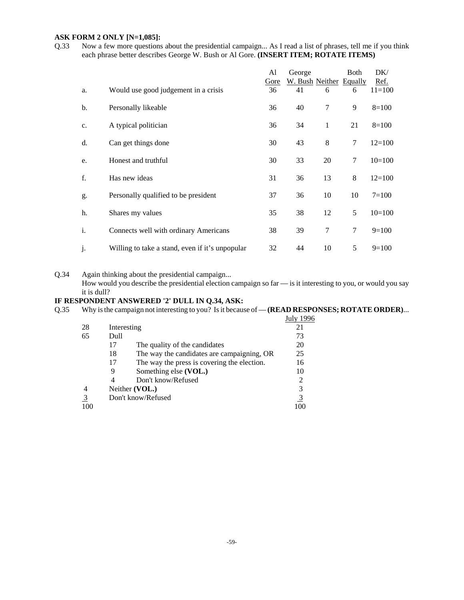### **ASK FORM 2 ONLY [N=1,085]:**

Q.33 Now a few more questions about the presidential campaign... As I read a list of phrases, tell me if you think each phrase better describes George W. Bush or Al Gore. **(INSERT ITEM; ROTATE ITEMS)**

|    |                                                 | Al   | George                  |    | Both   | DK/        |
|----|-------------------------------------------------|------|-------------------------|----|--------|------------|
|    |                                                 | Gore | W. Bush Neither Equally |    |        | Ref.       |
| a. | Would use good judgement in a crisis            | 36   | 41                      | 6  | 6      | $11 = 100$ |
| b. | Personally likeable                             | 36   | 40                      | 7  | 9      | $8=100$    |
| c. | A typical politician                            | 36   | 34                      | 1  | 21     | $8=100$    |
| d. | Can get things done                             | 30   | 43                      | 8  | $\tau$ | $12=100$   |
| e. | Honest and truthful                             | 30   | 33                      | 20 | 7      | $10=100$   |
| f. | Has new ideas                                   | 31   | 36                      | 13 | 8      | $12=100$   |
| g. | Personally qualified to be president            | 37   | 36                      | 10 | 10     | $7 = 100$  |
| h. | Shares my values                                | 35   | 38                      | 12 | 5      | $10=100$   |
| i. | Connects well with ordinary Americans           | 38   | 39                      | 7  | $\tau$ | $9=100$    |
| j. | Willing to take a stand, even if it's unpopular | 32   | 44                      | 10 | 5      | $9=100$    |

Q.34 Again thinking about the presidential campaign... How would you describe the presidential election campaign so far — is it interesting to you, or would you say it is dull?

# **IF RESPONDENT ANSWERED '2' DULL IN Q.34, ASK:**

Q.35 Why is the campaign not interesting to you? Is it because of — **(READ RESPONSES; ROTATE ORDER)**...

| 28             | Interesting                                       | 21             |
|----------------|---------------------------------------------------|----------------|
| 65             | Dull                                              | 73             |
|                | 17<br>The quality of the candidates               | 20             |
|                | The way the candidates are campaigning, OR<br>18  | 25             |
|                | The way the press is covering the election.<br>17 | 16             |
|                | Something else (VOL.)<br>9                        | 10             |
|                | Don't know/Refused                                | 2              |
| $\overline{4}$ | Neither (VOL.)                                    | 3              |
| $\overline{3}$ | Don't know/Refused                                | $\overline{3}$ |
| 100            |                                                   | 100            |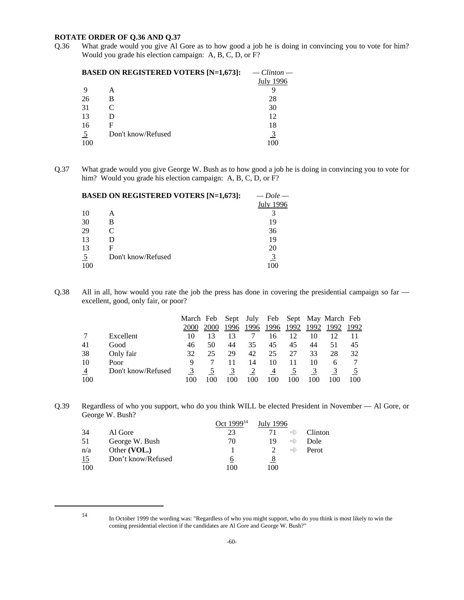### **ROTATE ORDER OF Q.36 AND Q.37**

Q.36 What grade would you give Al Gore as to how good a job he is doing in convincing you to vote for him? Would you grade his election campaign: A, B, C, D, or F?

|                | <b>BASED ON REGISTERED VOTERS [N=1,673]:</b> | $-$ Clinton $-$ |
|----------------|----------------------------------------------|-----------------|
|                |                                              | July 1996       |
| -9             | А                                            |                 |
| 26             | B                                            | 28              |
| 31             | C                                            | 30              |
| 13             | D                                            | 12              |
| 16             | F                                            | 18              |
| $\overline{5}$ | Don't know/Refused                           |                 |
| 100            |                                              | 100             |
|                |                                              |                 |

Q.37 What grade would you give George W. Bush as to how good a job he is doing in convincing you to vote for him? Would you grade his election campaign: A, B, C, D, or F?

|                | <b>BASED ON REGISTERED VOTERS [N=1,673]:</b> | $-$ Dole $-$     |
|----------------|----------------------------------------------|------------------|
|                |                                              | <b>July 1996</b> |
| 10             | А                                            |                  |
| 30             | в                                            | 19               |
| 29             | C                                            | 36               |
| 13             | D                                            | 19               |
| 13             | F                                            | 20               |
| $\overline{2}$ | Don't know/Refused                           |                  |
| 100            |                                              | 100              |

Q.38 All in all, how would you rate the job the press has done in covering the presidential campaign so far excellent, good, only fair, or poor?

|               |                    | March Feb |      |      | Sept July | Feb  |      |      | Sept May March Feb |      |
|---------------|--------------------|-----------|------|------|-----------|------|------|------|--------------------|------|
|               |                    | 2000      | 2000 | 1996 | 1996      | 1996 | 1992 | 1992 | 1992               | 1992 |
|               | Excellent          | 10        |      | 13   |           | 16   | 12   | 10   | 12                 |      |
| 41            | Good               | 46        | 50   | 44   | 35        | 45   | 45   | 44   | 51                 | 45   |
| 38            | Only fair          | 32        | 25   | 29   | 42        | 25   | 27   | 33   | 28                 | 32   |
| 10            | Poor               | 9         |      |      | 14        | 10   | 11   | 10   | 6                  |      |
| $\frac{4}{1}$ | Don't know/Refused |           |      |      |           | 4    |      |      |                    |      |
| 100           |                    | 100       |      |      | -00       | 100  | 100  | 100  | 100                | 100  |

Q.39 Regardless of who you support, who do you think WILL be elected President in November — Al Gore, or George W. Bush?

|     |                    | Oct 1999 <sup>14</sup> | July 1996 |               |         |
|-----|--------------------|------------------------|-----------|---------------|---------|
| 34  | Al Gore            | 23                     |           | $\Rightarrow$ | Clinton |
| 51  | George W. Bush     | 70                     | 19        | $\Rightarrow$ | Dole    |
| n/a | Other (VOL.)       |                        |           | $\Rightarrow$ | Perot   |
| 15  | Don't know/Refused | 6                      | 8         |               |         |
| 100 |                    | 100                    | 100       |               |         |

<sup>14</sup> In October 1999 the wording was: "Regardless of who you might support, who do you think is most likely to win the coming presidential election if the candidates are Al Gore and George W. Bush?"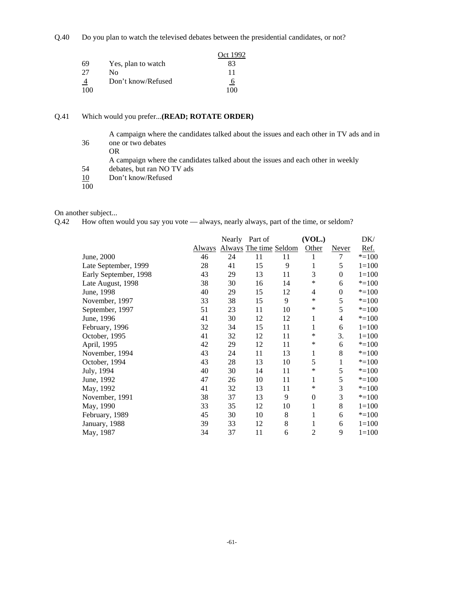Q.40 Do you plan to watch the televised debates between the presidential candidates, or not?

|               |                    | Oct 1992       |
|---------------|--------------------|----------------|
| 69            | Yes, plan to watch | 83             |
| 27            | Nο                 | 11             |
| $\frac{4}{1}$ | Don't know/Refused | $\overline{6}$ |
| 100           |                    | 100            |

### Q.41 Which would you prefer...**(READ; ROTATE ORDER)**

A campaign where the candidates talked about the issues and each other in TV ads and in 36 one or two debates OR A campaign where the candidates talked about the issues and each other in weekly 54 debates, but ran NO TV ads 10 Don't know/Refused

100

On another subject...

Q.42 How often would you say you vote — always, nearly always, part of the time, or seldom?

|                       |               |    | Nearly Part of         |    | (VOL.)           |                  | DK/       |
|-----------------------|---------------|----|------------------------|----|------------------|------------------|-----------|
|                       | <b>Always</b> |    | Always The time Seldom |    | Other            | <b>Never</b>     | Ref.      |
| June, 2000            | 46            | 24 | 11                     | 11 | 1                | 7                | $* = 100$ |
| Late September, 1999  | 28            | 41 | 15                     | 9  | 1                | 5                | $1=100$   |
| Early September, 1998 | 43            | 29 | 13                     | 11 | 3                | $\Omega$         | $1 = 100$ |
| Late August, 1998     | 38            | 30 | 16                     | 14 | ∗                | 6                | $* = 100$ |
| June, 1998            | 40            | 29 | 15                     | 12 | 4                | $\boldsymbol{0}$ | $* = 100$ |
| November, 1997        | 33            | 38 | 15                     | 9  | ∗                | 5                | $* = 100$ |
| September, 1997       | 51            | 23 | 11                     | 10 | ∗                | 5                | $* = 100$ |
| June, 1996            | 41            | 30 | 12                     | 12 | 1                | 4                | $* = 100$ |
| February, 1996        | 32            | 34 | 15                     | 11 | 1                | 6                | $1=100$   |
| October, 1995         | 41            | 32 | 12                     | 11 | *                | 3.               | $1 = 100$ |
| April, 1995           | 42            | 29 | 12                     | 11 | ∗                | 6                | $* = 100$ |
| November, 1994        | 43            | 24 | 11                     | 13 | 1                | 8                | $* = 100$ |
| October, 1994         | 43            | 28 | 13                     | 10 | 5                | 1                | $* = 100$ |
| July, 1994            | 40            | 30 | 14                     | 11 | ∗                | 5                | $* = 100$ |
| June, 1992            | 47            | 26 | 10                     | 11 | 1                | 5                | $* = 100$ |
| May, 1992             | 41            | 32 | 13                     | 11 | ∗                | 3                | $* = 100$ |
| November, 1991        | 38            | 37 | 13                     | 9  | $\boldsymbol{0}$ | 3                | $* = 100$ |
| May, 1990             | 33            | 35 | 12                     | 10 | $\mathbf{1}$     | 8                | $1 = 100$ |
| February, 1989        | 45            | 30 | 10                     | 8  | 1                | 6                | $* = 100$ |
| January, 1988         | 39            | 33 | 12                     | 8  | 1                | 6                | $1=100$   |
| May, 1987             | 34            | 37 | 11                     | 6  | $\mathfrak{2}$   | 9                | $1=100$   |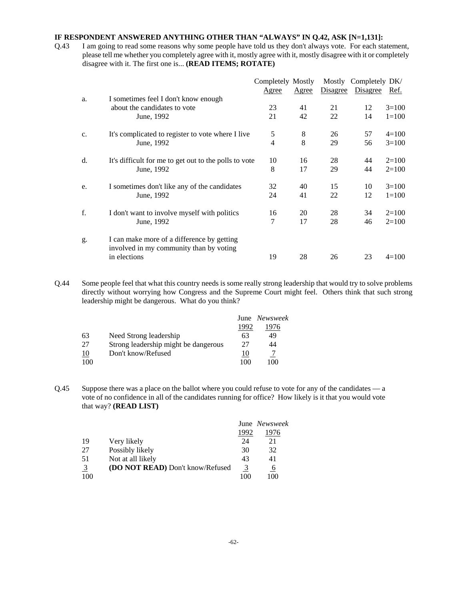### **IF RESPONDENT ANSWERED ANYTHING OTHER THAN "ALWAYS" IN Q.42, ASK [N=1,131]:**

Q.43 I am going to read some reasons why some people have told us they don't always vote. For each statement, please tell me whether you completely agree with it, mostly agree with it, mostly disagree with it or completely disagree with it. The first one is... **(READ ITEMS; ROTATE)**

|    |                                                       | Completely Mostly |       |          | Mostly Completely DK/ |           |
|----|-------------------------------------------------------|-------------------|-------|----------|-----------------------|-----------|
|    |                                                       | Agree             | Agree | Disagree | Disagree              | Ref.      |
| a. | I sometimes feel I don't know enough                  |                   |       |          |                       |           |
|    | about the candidates to vote                          | 23                | 41    | 21       | 12                    | $3=100$   |
|    | June, 1992                                            | 21                | 42    | 22       | 14                    | $1 = 100$ |
| c. | It's complicated to register to vote where I live     | 5                 | 8     | 26       | 57                    | $4=100$   |
|    | June, 1992                                            | 4                 | 8     | 29       | 56                    | $3=100$   |
| d. | It's difficult for me to get out to the polls to vote | 10                | 16    | 28       | 44                    | $2=100$   |
|    | June, 1992                                            | 8                 | 17    | 29       | 44                    | $2=100$   |
| e. | I sometimes don't like any of the candidates          | 32                | 40    | 15       | 10                    | $3=100$   |
|    | June, 1992                                            | 24                | 41    | 22       | 12                    | $1 = 100$ |
| f. | I don't want to involve myself with politics          | 16                | 20    | 28       | 34                    | $2=100$   |
|    | June, 1992                                            | 7                 | 17    | 28       | 46                    | $2=100$   |
| g. | I can make more of a difference by getting            |                   |       |          |                       |           |
|    | involved in my community than by voting               |                   |       |          |                       |           |
|    | in elections                                          | 19                | 28    | 26       | 23                    | $4 = 100$ |

Q.44 Some people feel that what this country needs is some really strong leadership that would try to solve problems directly without worrying how Congress and the Supreme Court might feel. Others think that such strong leadership might be dangerous. What do you think?

|     |                                      |      | June Newsweek |
|-----|--------------------------------------|------|---------------|
|     |                                      | 1992 | 1976          |
| 63  | Need Strong leadership               | 63   | 49            |
| 27  | Strong leadership might be dangerous | 27   | 44            |
| 10  | Don't know/Refused                   | 10   |               |
| 100 |                                      | 100  | 100           |

Q.45 Suppose there was a place on the ballot where you could refuse to vote for any of the candidates — a vote of no confidence in all of the candidates running for office? How likely is it that you would vote that way? **(READ LIST)**

|                |                                  |      | June Newsweek |
|----------------|----------------------------------|------|---------------|
|                |                                  | 1992 | 1976          |
| 19             | Very likely                      | 24   | 21            |
| 27             | Possibly likely                  | 30   | 32            |
| 51             | Not at all likely                | 43   | 41            |
| $\overline{3}$ | (DO NOT READ) Don't know/Refused | 3    | 6             |
| 100            |                                  |      | 100           |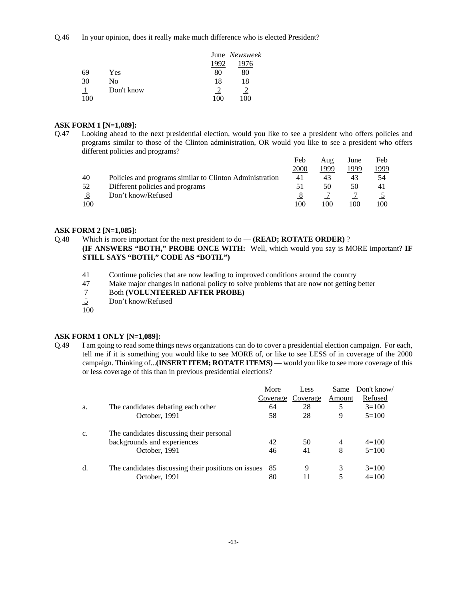Q.46 In your opinion, does it really make much difference who is elected President?

|     |            |    | June Newsweek |
|-----|------------|----|---------------|
|     |            |    | 976           |
| 69  | Yes        | 80 | 80            |
| 30  | No         | 18 | 18            |
|     | Don't know |    |               |
| 100 |            |    | M             |

### **ASK FORM 1 [N=1,089]:**

Q.47 Looking ahead to the next presidential election, would you like to see a president who offers policies and programs similar to those of the Clinton administration, OR would you like to see a president who offers different policies and programs?

|     |                                                         | Feb  | Aug  | June | Feb           |
|-----|---------------------------------------------------------|------|------|------|---------------|
|     |                                                         | 2000 | 1999 | 1999 | <u> 1999 </u> |
| 40  | Policies and programs similar to Clinton Administration | 41   | 43   | 43   | 54            |
| 52  | Different policies and programs                         | 51   | 50   | 50   | 41            |
| 8   | Don't know/Refused                                      |      |      |      |               |
| 100 |                                                         | 100  | 100  | 100  | 100           |

#### **ASK FORM 2 [N=1,085]:**

### Q.48 Which is more important for the next president to do — **(READ; ROTATE ORDER)** ? **(IF ANSWERS "BOTH," PROBE ONCE WITH:** Well, which would you say is MORE important? **IF STILL SAYS "BOTH," CODE AS "BOTH.")**

- 41 Continue policies that are now leading to improved conditions around the country<br>47 Make major changes in national policy to solve problems that are now not getting
- 47 Make major changes in national policy to solve problems that are now not getting better <br>
47 Both (VOLUNTEERED AFTER PROBE)
- 7 Both **(VOLUNTEERED AFTER PROBE)**
- 5 Don't know/Refused
- $\overline{100}$

### **ASK FORM 1 ONLY [N=1,089]:**

Q.49 I am going to read some things news organizations can do to cover a presidential election campaign. For each, tell me if it is something you would like to see MORE of, or like to see LESS of in coverage of the 2000 campaign. Thinking of...**(INSERT ITEM; ROTATE ITEMS)** — would you like to see more coverage of this or less coverage of this than in previous presidential elections?

|    |                                                     | More     | Less     | Same   | Don't know/ |
|----|-----------------------------------------------------|----------|----------|--------|-------------|
|    |                                                     | Coverage | Coverage | Amount | Refused     |
| a. | The candidates debating each other                  | 64       | 28       | 5      | $3=100$     |
|    | October, 1991                                       | 58       | 28       | 9      | $5=100$     |
| c. | The candidates discussing their personal            |          |          |        |             |
|    | backgrounds and experiences                         | 42       | 50       | 4      | $4=100$     |
|    | October, 1991                                       | 46       | 41       | 8      | $5=100$     |
| d. | The candidates discussing their positions on issues | 85       | 9        | 3      | $3=100$     |
|    | October, 1991                                       | 80       |          |        | $4=100$     |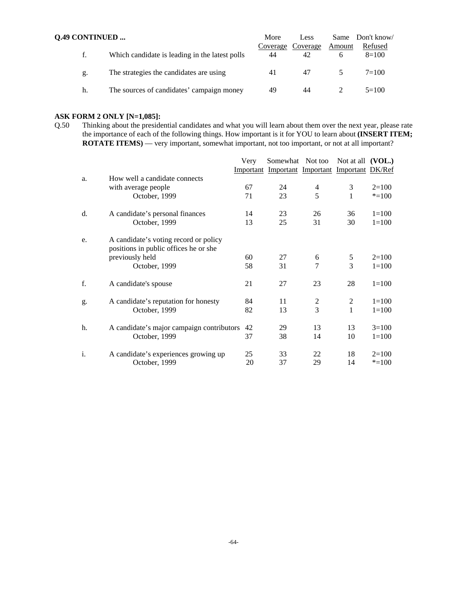| <b>Q.49 CONTINUED </b> |                                                |    | Less                    |        | Same Don't know    |
|------------------------|------------------------------------------------|----|-------------------------|--------|--------------------|
| f.                     | Which candidate is leading in the latest polls | 44 | Coverage Coverage<br>42 | Amount | Refused<br>$8=100$ |
| g.                     | The strategies the candidates are using        | 41 | 47                      |        | $7=100$            |
| h.                     | The sources of candidates' campaign money      | 49 | 44                      |        | $5=100$            |

# **ASK FORM 2 ONLY [N=1,085]:**<br>Q.50 Thinking about the preside

Thinking about the presidential candidates and what you will learn about them over the next year, please rate the importance of each of the following things. How important is it for YOU to learn about **(INSERT ITEM; ROTATE ITEMS)** — very important, somewhat important, not too important, or not at all important?

|    |                                                                                                                    | Very     | Somewhat Not too                               |                                  | Not at all $(VOL.)$ |                        |
|----|--------------------------------------------------------------------------------------------------------------------|----------|------------------------------------------------|----------------------------------|---------------------|------------------------|
|    |                                                                                                                    |          | Important Important Important Important DK/Ref |                                  |                     |                        |
| a. | How well a candidate connects<br>with average people<br>October, 1999                                              | 67<br>71 | 24<br>23                                       | 4<br>5                           | 3<br>1              | $2=100$<br>$* = 100$   |
| d. | A candidate's personal finances<br>October, 1999                                                                   | 14<br>13 | 23<br>25                                       | 26<br>31                         | 36<br>30            | $1 = 100$<br>$1=100$   |
| e. | A candidate's voting record or policy<br>positions in public offices he or she<br>previously held<br>October, 1999 | 60<br>58 | 27<br>31                                       | 6<br>7                           | 5<br>3              | $2=100$<br>$1 = 100$   |
| f. | A candidate's spouse                                                                                               | 21       | 27                                             | 23                               | 28                  | $1 = 100$              |
| g. | A candidate's reputation for honesty<br>October, 1999                                                              | 84<br>82 | 11<br>13                                       | $\overline{c}$<br>$\overline{3}$ | 2<br>1              | $1 = 100$<br>$1 = 100$ |
| h. | A candidate's major campaign contributors<br>October, 1999                                                         | 42<br>37 | 29<br>38                                       | 13<br>14                         | 13<br>10            | $3=100$<br>$1=100$     |
| i. | A candidate's experiences growing up<br>October, 1999                                                              | 25<br>20 | 33<br>37                                       | 22<br>29                         | 18<br>14            | $2=100$<br>$* = 100$   |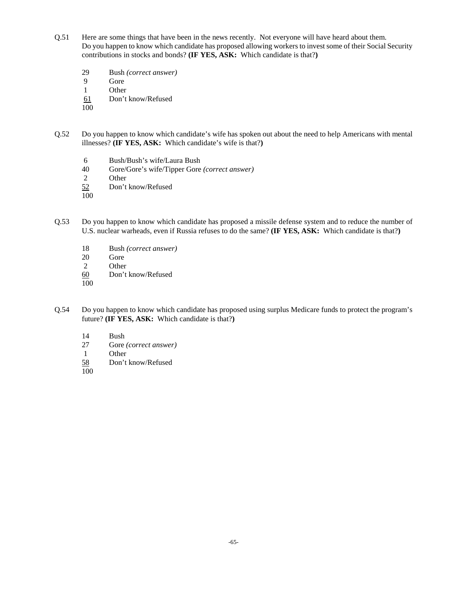- Q.51 Here are some things that have been in the news recently. Not everyone will have heard about them. Do you happen to know which candidate has proposed allowing workers to invest some of their Social Security contributions in stocks and bonds? **(IF YES, ASK:** Which candidate is that?**)**
	- 29 Bush *(correct answer)*
	- 9 Gore
	- 1 Other
	- 61 Don't know/Refused
	- 100
- Q.52 Do you happen to know which candidate's wife has spoken out about the need to help Americans with mental illnesses? **(IF YES, ASK:** Which candidate's wife is that?**)**
	- 6 Bush/Bush's wife/Laura Bush
	- 40 Gore/Gore's wife/Tipper Gore *(correct answer)*
	- 2 Other
	- 52 Don't know/Refused
	- 100
- Q.53 Do you happen to know which candidate has proposed a missile defense system and to reduce the number of U.S. nuclear warheads, even if Russia refuses to do the same? **(IF YES, ASK:** Which candidate is that?**)**
	- 18 Bush *(correct answer)*
	- 20 Gore
	- 2 Other
	- 60 Don't know/Refused
	- 100
- Q.54 Do you happen to know which candidate has proposed using surplus Medicare funds to protect the program's future? **(IF YES, ASK:** Which candidate is that?**)**
	- 14 Bush
	- 27 Gore *(correct answer)*
	- 1 Other
	- 58 Don't know/Refused
	- 100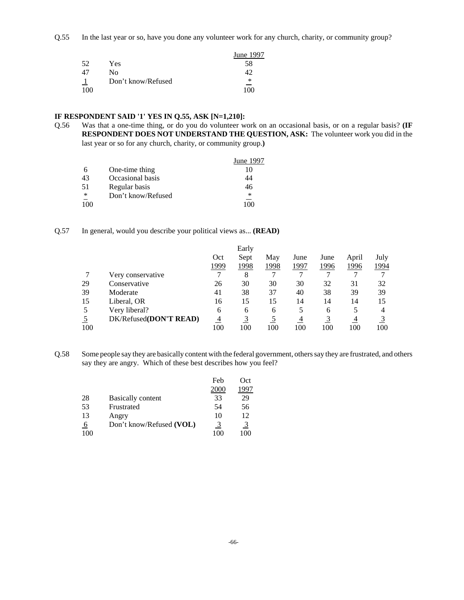Q.55 In the last year or so, have you done any volunteer work for any church, charity, or community group?

|     |                    | June 1997 |
|-----|--------------------|-----------|
| 52  | Yes.               | 58        |
| 47  | Nο                 |           |
|     | Don't know/Refused | ∗         |
| 100 |                    | 100       |

### **IF RESPONDENT SAID '1' YES IN Q.55, ASK [N=1,210]:**

Q.56 Was that a one-time thing, or do you do volunteer work on an occasional basis, or on a regular basis? **(IF RESPONDENT DOES NOT UNDERSTAND THE QUESTION, ASK:** The volunteer work you did in the last year or so for any church, charity, or community group.**)**

|                 |                    | June 1997 |
|-----------------|--------------------|-----------|
|                 | One-time thing     | 10        |
| 43              | Occasional basis   | 44        |
| 51              | Regular basis      | 46        |
| $\overline{\ }$ | Don't know/Refused | *         |
| 100             |                    |           |

### Q.57 In general, would you describe your political views as... **(READ)**

|     |                        |      | Early |      |      |      |       |      |
|-----|------------------------|------|-------|------|------|------|-------|------|
|     |                        | Oct  | Sept  | May  | June | June | April | July |
|     |                        | 1999 | 1998  | 1998 | 1997 | 1996 | 1996  | 1994 |
|     | Very conservative      |      | 8     |      |      |      |       | 7    |
| 29  | Conservative           | 26   | 30    | 30   | 30   | 32   | 31    | 32   |
| 39  | Moderate               | 41   | 38    | 37   | 40   | 38   | 39    | 39   |
| 15  | Liberal, OR            | 16   | 15    | 15   | 14   | 14   | 14    | 15   |
| 5   | Very liberal?          | 6    | 6     | 6    |      | 6    | 5     | 4    |
|     | DK/Refused(DON'T READ) | 4    |       |      | 4    |      | 4     |      |
| 100 |                        | 100  | 100   | 100  | 100  | 100  | 100   | 100  |

Q.58 Some people say they are basically content with the federal government, others say they are frustrated, and others say they are angry. Which of these best describes how you feel?

|     |                          | Feb  | Oct  |
|-----|--------------------------|------|------|
|     |                          | 2000 | 1997 |
| 28  | <b>Basically content</b> | 33   | 29   |
| 53  | Frustrated               | 54   | 56   |
| 13  | Angry                    | 10   | 12   |
| -6  | Don't know/Refused (VOL) | 3    | 3    |
| 100 |                          | 100  | 100  |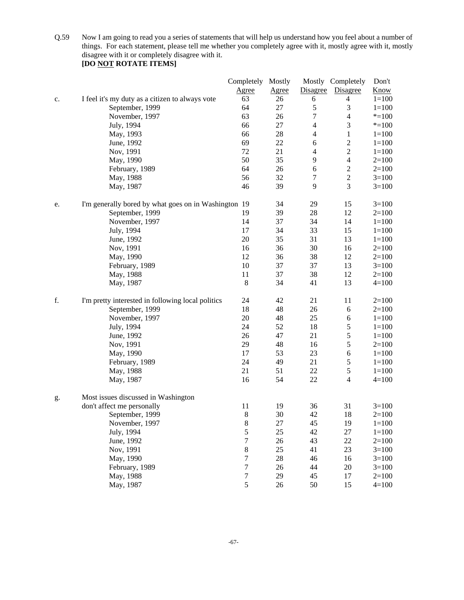Q.59 Now I am going to read you a series of statements that will help us understand how you feel about a number of things. For each statement, please tell me whether you completely agree with it, mostly agree with it, mostly disagree with it or completely disagree with it.

|    |                                                      | Completely Mostly |              |                          | Mostly Completely | Don't       |
|----|------------------------------------------------------|-------------------|--------------|--------------------------|-------------------|-------------|
|    |                                                      | <b>Agree</b>      | <b>Agree</b> | Disagree                 | Disagree          | <b>Know</b> |
| c. | I feel it's my duty as a citizen to always vote      | 63                | 26           | 6                        | $\overline{4}$    | $1 = 100$   |
|    | September, 1999                                      | 64                | 27           | $\sqrt{5}$               | 3                 | $1 = 100$   |
|    | November, 1997                                       | 63                | 26           | 7                        | $\overline{4}$    | $* = 100$   |
|    | July, 1994                                           | 66                | 27           | $\overline{\mathbf{4}}$  | 3                 | $* = 100$   |
|    | May, 1993                                            | 66                | 28           | $\overline{4}$           | $\mathbf{1}$      | $1 = 100$   |
|    | June, 1992                                           | 69                | 22           | 6                        | $\overline{c}$    | $1 = 100$   |
|    | Nov, 1991                                            | 72                | 21           | $\overline{\mathcal{L}}$ | $\overline{c}$    | $1 = 100$   |
|    | May, 1990                                            | 50                | 35           | 9                        | $\overline{4}$    | $2=100$     |
|    | February, 1989                                       | 64                | 26           | 6                        | $\sqrt{2}$        | $2=100$     |
|    | May, 1988                                            | 56                | 32           | 7                        | $\overline{c}$    | $3=100$     |
|    | May, 1987                                            | 46                | 39           | 9                        | 3                 | $3=100$     |
| e. | I'm generally bored by what goes on in Washington 19 |                   | 34           | 29                       | 15                | $3=100$     |
|    | September, 1999                                      | 19                | 39           | $28\,$                   | 12                | $2=100$     |
|    | November, 1997                                       | 14                | 37           | 34                       | 14                | $1 = 100$   |
|    | July, 1994                                           | 17                | 34           | 33                       | 15                | $1 = 100$   |
|    | June, 1992                                           | 20                | 35           | 31                       | 13                | $1 = 100$   |
|    | Nov, 1991                                            | 16                | 36           | 30                       | 16                | $2=100$     |
|    | May, 1990                                            | 12                | 36           | 38                       | 12                | $2 = 100$   |
|    | February, 1989                                       | 10                | 37           | 37                       | 13                | $3=100$     |
|    | May, 1988                                            | 11                | 37           | 38                       | 12                | $2=100$     |
|    | May, 1987                                            | $\,8\,$           | 34           | 41                       | 13                | $4 = 100$   |
| f. | I'm pretty interested in following local politics    | 24                | 42           | 21                       | 11                | $2=100$     |
|    | September, 1999                                      | 18                | 48           | 26                       | $\sqrt{6}$        | $2=100$     |
|    | November, 1997                                       | 20                | 48           | 25                       | $\sqrt{6}$        | $1 = 100$   |
|    | July, 1994                                           | 24                | 52           | 18                       | 5                 | $1 = 100$   |
|    | June, 1992                                           | 26                | 47           | 21                       | 5                 | $1 = 100$   |
|    | Nov, 1991                                            | 29                | 48           | 16                       | $\sqrt{5}$        | $2=100$     |
|    | May, 1990                                            | 17                | 53           | 23                       | $\sqrt{6}$        | $1 = 100$   |
|    | February, 1989                                       | 24                | 49           | 21                       | $\sqrt{5}$        | $1 = 100$   |
|    | May, 1988                                            | 21                | 51           | 22                       | $\sqrt{5}$        | $1 = 100$   |
|    | May, 1987                                            | 16                | 54           | 22                       | $\overline{4}$    | $4 = 100$   |
| g. | Most issues discussed in Washington                  |                   |              |                          |                   |             |
|    | don't affect me personally                           | 11                | 19           | 36                       | 31                | $3=100$     |
|    | September, 1999                                      | 8                 | 30           | 42                       | 18                | $2=100$     |
|    | November, 1997                                       | $\,8$             | 27           | 45                       | 19                | $1 = 100$   |
|    | July, 1994                                           | 5                 | 25           | 42                       | 27                | $1 = 100$   |
|    | June, 1992                                           | $\boldsymbol{7}$  | $26\,$       | 43                       | 22                | $2 = 100$   |
|    | Nov, 1991                                            | $8\,$             | 25           | 41                       | 23                | $3=100$     |
|    | May, 1990                                            | 7                 | 28           | 46                       | 16                | $3=100$     |
|    | February, 1989                                       | $\boldsymbol{7}$  | 26           | 44                       | $20\,$            | $3=100$     |
|    | May, 1988                                            | $\boldsymbol{7}$  | 29           | 45                       | 17                | $2 = 100$   |
|    | May, 1987                                            | 5                 | 26           | 50                       | 15                | $4 = 100$   |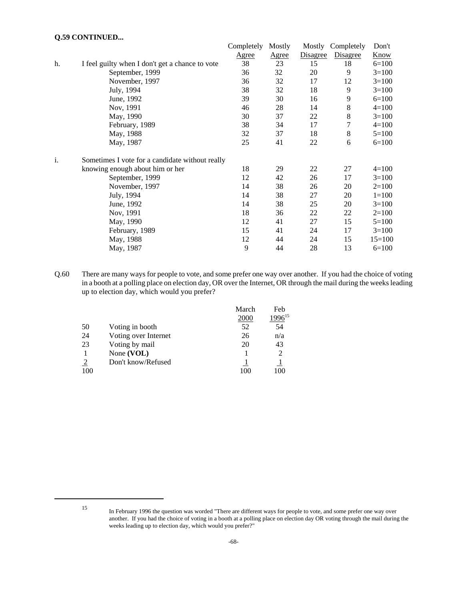### **Q.59 CONTINUED...**

|    |                                                 | Completely   | Mostly | Mostly   | Completely | Don't       |
|----|-------------------------------------------------|--------------|--------|----------|------------|-------------|
|    |                                                 | <b>Agree</b> | Agree  | Disagree | Disagree   | <b>Know</b> |
| h. | I feel guilty when I don't get a chance to vote | 38           | 23     | 15       | 18         | $6=100$     |
|    | September, 1999                                 | 36           | 32     | 20       | 9          | $3=100$     |
|    | November, 1997                                  | 36           | 32     | 17       | 12         | $3=100$     |
|    | July, 1994                                      | 38           | 32     | 18       | 9          | $3=100$     |
|    | June, 1992                                      | 39           | 30     | 16       | 9          | $6=100$     |
|    | Nov, 1991                                       | 46           | 28     | 14       | 8          | $4=100$     |
|    | May, 1990                                       | 30           | 37     | 22       | 8          | $3=100$     |
|    | February, 1989                                  | 38           | 34     | 17       | 7          | $4 = 100$   |
|    | May, 1988                                       | 32           | 37     | 18       | 8          | $5=100$     |
|    | May, 1987                                       | 25           | 41     | 22       | 6          | $6=100$     |
| i. | Sometimes I vote for a candidate without really |              |        |          |            |             |
|    | knowing enough about him or her                 | 18           | 29     | 22       | 27         | $4=100$     |
|    | September, 1999                                 | 12           | 42     | 26       | 17         | $3=100$     |
|    | November, 1997                                  | 14           | 38     | 26       | 20         | $2=100$     |
|    | July, 1994                                      | 14           | 38     | 27       | 20         | $1=100$     |
|    | June, 1992                                      | 14           | 38     | 25       | 20         | $3=100$     |
|    | Nov, 1991                                       | 18           | 36     | 22       | 22         | $2=100$     |
|    | May, 1990                                       | 12           | 41     | 27       | 15         | $5=100$     |
|    | February, 1989                                  | 15           | 41     | 24       | 17         | $3=100$     |
|    | May, 1988                                       | 12           | 44     | 24       | 15         | $15=100$    |
|    | May, 1987                                       | 9            | 44     | 28       | 13         | $6=100$     |
|    |                                                 |              |        |          |            |             |

Q.60 There are many ways for people to vote, and some prefer one way over another. If you had the choice of voting in a booth at a polling place on election day, OR over the Internet, OR through the mail during the weeks leading up to election day, which would you prefer?

|     |                      | March | Feb         |
|-----|----------------------|-------|-------------|
|     |                      | 2000  | $1996^{15}$ |
| 50  | Voting in booth      | 52    | 54          |
| 24  | Voting over Internet | 26    | n/a         |
| 23  | Voting by mail       | 20    | 43          |
|     | None (VOL)           |       |             |
| 2   | Don't know/Refused   |       |             |
| 100 |                      | 100   | 100         |

<sup>15</sup> In February 1996 the question was worded "There are different ways for people to vote, and some prefer one way over another. If you had the choice of voting in a booth at a polling place on election day OR voting through the mail during the weeks leading up to election day, which would you prefer?"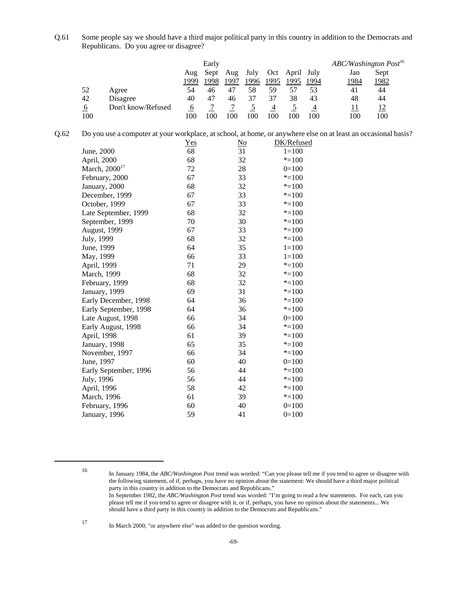Q.61 Some people say we should have a third major political party in this country in addition to the Democrats and Republicans. Do you agree or disagree?

|     |                    |      | Early |      |      |      |       |      | ABC/Washington Post <sup>16</sup> |      |  |
|-----|--------------------|------|-------|------|------|------|-------|------|-----------------------------------|------|--|
|     |                    | Aug  | Sept  | Aug  | July | Oct  | April | July | Jan                               | Sept |  |
|     |                    | 1999 | 1998  | 1997 | 1996 | 1995 | 1995  | 1994 | 1984                              | 1982 |  |
| 52  | Agree              | 54   | 46    | 47   | 58   | 59   |       | 53   | 41                                | 44   |  |
| 42  | Disagree           | 40   | 47    | 46   | 37   | 37   | 38    | 43   | 48                                | 44   |  |
| 6   | Don't know/Refused | O    |       |      |      |      |       |      | 11                                | 12   |  |
| 100 |                    | 100  | 100   | 100  | 100  | .00  |       | 100  | 100                               | 100  |  |

| Q.62 Do you use a computer at your workplace, at school, at home, or anywhere else on at least an occasional basis? |  |  |                             |  |  |  |
|---------------------------------------------------------------------------------------------------------------------|--|--|-----------------------------|--|--|--|
|                                                                                                                     |  |  | $\sim$ $\sim$ $\sim$ $\sim$ |  |  |  |

|                           | $Yes$ | $\underline{\mathrm{No}}$ | DK/Refused |
|---------------------------|-------|---------------------------|------------|
| June, 2000                | 68    | 31                        | $1 = 100$  |
| April, 2000               | 68    | 32                        | $* = 100$  |
| March, 2000 <sup>17</sup> | 72    | 28                        | $0=100$    |
| February, 2000            | 67    | 33                        | $* = 100$  |
| January, 2000             | 68    | 32                        | $* = 100$  |
| December, 1999            | 67    | 33                        | $* = 100$  |
| October, 1999             | 67    | 33                        | $* = 100$  |
| Late September, 1999      | 68    | 32                        | $* = 100$  |
| September, 1999           | 70    | 30                        | $* = 100$  |
| <b>August, 1999</b>       | 67    | 33                        | $* = 100$  |
| July, 1999                | 68    | 32                        | $* = 100$  |
| June, 1999                | 64    | 35                        | $1 = 100$  |
| May, 1999                 | 66    | 33                        | $1 = 100$  |
| April, 1999               | 71    | 29                        | $* = 100$  |
| March, 1999               | 68    | 32                        | $* = 100$  |
| February, 1999            | 68    | 32                        | $* = 100$  |
| January, 1999             | 69    | 31                        | $* = 100$  |
| Early December, 1998      | 64    | 36                        | $* = 100$  |
| Early September, 1998     | 64    | 36                        | $* = 100$  |
| Late August, 1998         | 66    | 34                        | $0=100$    |
| Early August, 1998        | 66    | 34                        | $* = 100$  |
| April, 1998               | 61    | 39                        | $* = 100$  |
| January, 1998             | 65    | 35                        | $* = 100$  |
| November, 1997            | 66    | 34                        | $* = 100$  |
| June, 1997                | 60    | 40                        | $0=100$    |
| Early September, 1996     | 56    | 44                        | $* = 100$  |
| July, 1996                | 56    | 44                        | $* = 100$  |
| April, 1996               | 58    | 42                        | $* = 100$  |
| March, 1996               | 61    | 39                        | $* = 100$  |
| February, 1996            | 60    | 40                        | $0=100$    |
| January, 1996             | 59    | 41                        | $0=100$    |
|                           |       |                           |            |

<sup>16</sup> In January 1984, the *ABC/Washington Post* trend was worded: "Can you please tell me if you tend to agree or disagree with the following statement, of if, perhaps, you have no opinion about the statement: We should have a third major political party in this country in addition to the Democrats and Republicans." In September 1982, the *ABC/Washington Post* trend was worded: "I'm going to read a few statements. For each, can you

please tell me if you tend to agree or disagree with it, or if, perhaps, you have no opinion about the statements... We should have a third party in this country in addition to the Democrats and Republicans."

<sup>17</sup> In March 2000, "or anywhere else" was added to the question wording.